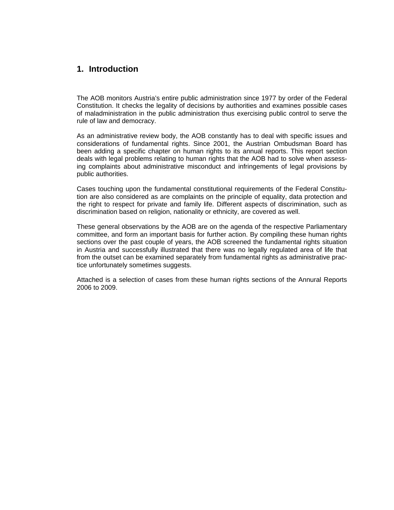## **1. Introduction**

The AOB monitors Austria's entire public administration since 1977 by order of the Federal Constitution. It checks the legality of decisions by authorities and examines possible cases of maladministration in the public administration thus exercising public control to serve the rule of law and democracy.

As an administrative review body, the AOB constantly has to deal with specific issues and considerations of fundamental rights. Since 2001, the Austrian Ombudsman Board has been adding a specific chapter on human rights to its annual reports. This report section deals with legal problems relating to human rights that the AOB had to solve when assessing complaints about administrative misconduct and infringements of legal provisions by public authorities.

Cases touching upon the fundamental constitutional requirements of the Federal Constitution are also considered as are complaints on the principle of equality, data protection and the right to respect for private and family life. Different aspects of discrimination, such as discrimination based on religion, nationality or ethnicity, are covered as well.

These general observations by the AOB are on the agenda of the respective Parliamentary committee, and form an important basis for further action. By compiling these human rights sections over the past couple of years, the AOB screened the fundamental rights situation in Austria and successfully illustrated that there was no legally regulated area of life that from the outset can be examined separately from fundamental rights as administrative practice unfortunately sometimes suggests.

Attached is a selection of cases from these human rights sections of the Annural Reports 2006 to 2009.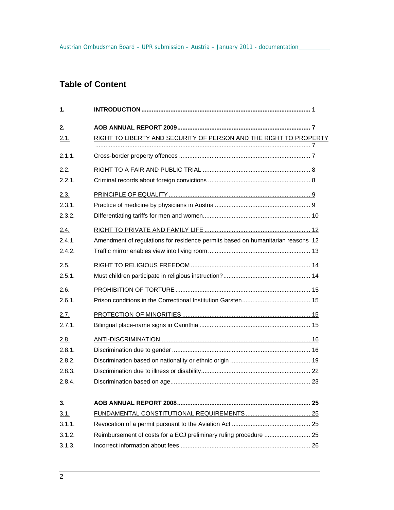# **Table of Content**

| 1.     |                                                                                 |
|--------|---------------------------------------------------------------------------------|
| 2.     |                                                                                 |
| 2.1.   | RIGHT TO LIBERTY AND SECURITY OF PERSON AND THE RIGHT TO PROPERTY               |
| 2.1.1. |                                                                                 |
| 2.2.   |                                                                                 |
| 2.2.1. |                                                                                 |
| 2.3.   |                                                                                 |
| 2.3.1. |                                                                                 |
| 2.3.2. |                                                                                 |
| 2.4.   |                                                                                 |
| 2.4.1  | Amendment of regulations for residence permits based on humanitarian reasons 12 |
| 2.4.2. |                                                                                 |
| 2.5.   |                                                                                 |
| 2.5.1. |                                                                                 |
| 2.6.   |                                                                                 |
| 2.6.1. |                                                                                 |
| 2.7.   |                                                                                 |
| 2.7.1. |                                                                                 |
| 2.8.   |                                                                                 |
| 2.8.1. |                                                                                 |
| 2.8.2. |                                                                                 |
| 2.8.3. |                                                                                 |
| 2.8.4. |                                                                                 |
| 3.     |                                                                                 |
| 3.1.   |                                                                                 |
| 3.1.1. |                                                                                 |
| 3.1.2. | Reimbursement of costs for a ECJ preliminary ruling procedure  25               |
| 3.1.3. |                                                                                 |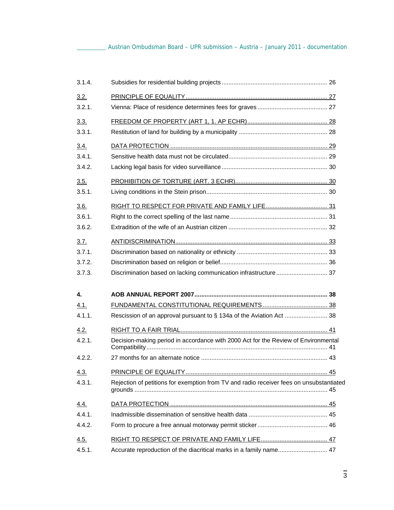| 3.1.4. |                                                                                         |  |
|--------|-----------------------------------------------------------------------------------------|--|
| 3.2.   |                                                                                         |  |
| 3.2.1. |                                                                                         |  |
| 3.3.   |                                                                                         |  |
| 3.3.1. |                                                                                         |  |
| 3.4.   |                                                                                         |  |
| 3.4.1. |                                                                                         |  |
| 3.4.2. |                                                                                         |  |
| 3.5.   |                                                                                         |  |
| 3.5.1. |                                                                                         |  |
| 3.6.   |                                                                                         |  |
| 3.6.1. |                                                                                         |  |
| 3.6.2. |                                                                                         |  |
| 3.7.   |                                                                                         |  |
| 3.7.1. |                                                                                         |  |
| 3.7.2. |                                                                                         |  |
| 3.7.3. | Discrimination based on lacking communication infrastructure 37                         |  |
| 4.     |                                                                                         |  |
| 4.1.   |                                                                                         |  |
| 4.1.1. | Rescission of an approval pursuant to § 134a of the Aviation Act  38                    |  |
| 4.2.   |                                                                                         |  |
| 4.2.1  | Decision-making period in accordance with 2000 Act for the Review of Environmental      |  |
| 4.2.2. |                                                                                         |  |
| 4.3.   |                                                                                         |  |
| 4.3.1. | Rejection of petitions for exemption from TV and radio receiver fees on unsubstantiated |  |
| 4.4.   |                                                                                         |  |
| 4.4.1. |                                                                                         |  |
| 4.4.2. |                                                                                         |  |
| 4.5.   |                                                                                         |  |
| 4.5.1. | Accurate reproduction of the diacritical marks in a family name 47                      |  |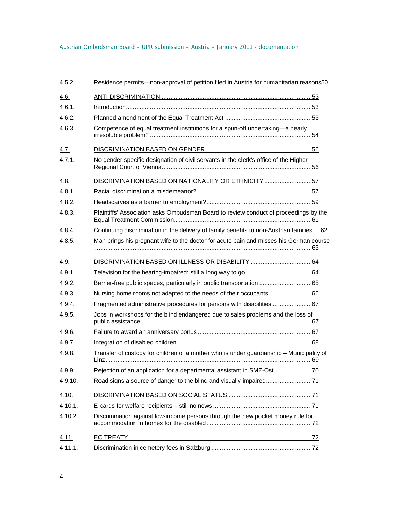| 4.5.2.      | Residence permits—non-approval of petition filed in Austria for humanitarian reasons50      |
|-------------|---------------------------------------------------------------------------------------------|
| 4.6.        |                                                                                             |
| 4.6.1.      |                                                                                             |
| 4.6.2.      |                                                                                             |
| 4.6.3.      | Competence of equal treatment institutions for a spun-off undertaking-a nearly              |
| 4.7.        |                                                                                             |
| 4.7.1.      | No gender-specific designation of civil servants in the clerk's office of the Higher        |
| <u>4.8.</u> | DISCRIMINATION BASED ON NATIONALITY OR ETHNICITY  57                                        |
| 4.8.1.      |                                                                                             |
| 4.8.2.      |                                                                                             |
| 4.8.3.      | Plaintiffs' Association asks Ombudsman Board to review conduct of proceedings by the        |
| 4.8.4.      | Continuing discrimination in the delivery of family benefits to non-Austrian families<br>62 |
| 4.8.5.      | Man brings his pregnant wife to the doctor for acute pain and misses his German course      |
| 4.9.        | DISCRIMINATION BASED ON ILLNESS OR DISABILITY  64                                           |
| 4.9.1.      |                                                                                             |
| 4.9.2.      | Barrier-free public spaces, particularly in public transportation  65                       |
| 4.9.3.      | Nursing home rooms not adapted to the needs of their occupants  66                          |
| 4.9.4.      | Fragmented administrative procedures for persons with disabilities  67                      |
| 4.9.5.      | Jobs in workshops for the blind endangered due to sales problems and the loss of            |
| 4.9.6.      |                                                                                             |
| 4.9.7.      |                                                                                             |
| 4.9.8.      | Transfer of custody for children of a mother who is under guardianship - Municipality of    |
| 4.9.9.      | Rejection of an application for a departmental assistant in SMZ-Ost  70                     |
| 4.9.10.     |                                                                                             |
| 4.10.       |                                                                                             |
| 4.10.1.     |                                                                                             |
| 4.10.2.     | Discrimination against low-income persons through the new pocket money rule for             |
| 4.11.       |                                                                                             |
| 4.11.1.     |                                                                                             |
|             |                                                                                             |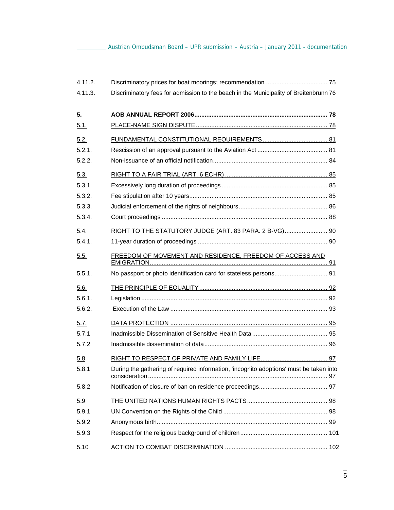Austrian Ombudsman Board – UPR submission – Austria – January 2011 - documentation

| 4.11.2. |                                                                                        |  |
|---------|----------------------------------------------------------------------------------------|--|
| 4.11.3. | Discriminatory fees for admission to the beach in the Municipality of Breitenbrunn 76  |  |
| 5.      |                                                                                        |  |
| 5.1.    |                                                                                        |  |
| 5.2.    |                                                                                        |  |
| 5.2.1.  |                                                                                        |  |
| 5.2.2.  |                                                                                        |  |
| 5.3.    |                                                                                        |  |
| 5.3.1.  |                                                                                        |  |
| 5.3.2.  |                                                                                        |  |
| 5.3.3.  |                                                                                        |  |
| 5.3.4.  |                                                                                        |  |
| 5.4.    | RIGHT TO THE STATUTORY JUDGE (ART. 83 PARA. 2 B-VG) 90                                 |  |
| 5.4.1.  |                                                                                        |  |
| 5.5.    | FREEDOM OF MOVEMENT AND RESIDENCE, FREEDOM OF ACCESS AND                               |  |
| 5.5.1.  | No passport or photo identification card for stateless persons 91                      |  |
| 5.6.    |                                                                                        |  |
| 5.6.1.  |                                                                                        |  |
| 5.6.2.  |                                                                                        |  |
| 5.7.    |                                                                                        |  |
| 5.7.1   |                                                                                        |  |
| 5.7.2   |                                                                                        |  |
| 5.8     |                                                                                        |  |
| 5.8.1   | During the gathering of required information, 'incognito adoptions' must be taken into |  |
| 5.8.2   |                                                                                        |  |
| 5.9     |                                                                                        |  |
| 5.9.1   |                                                                                        |  |
| 5.9.2   |                                                                                        |  |
| 5.9.3   |                                                                                        |  |
| 5.10    |                                                                                        |  |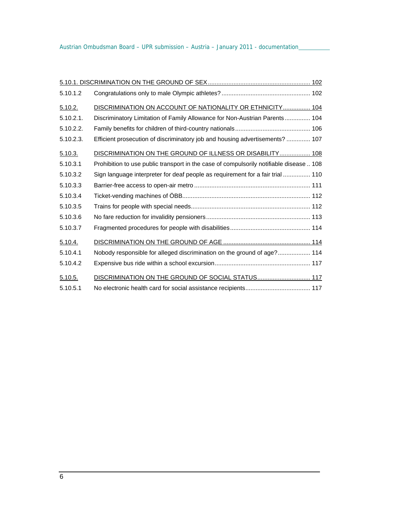| 5.10.1.2     |                                                                                         |
|--------------|-----------------------------------------------------------------------------------------|
| 5.10.2.      | DISCRIMINATION ON ACCOUNT OF NATIONALITY OR ETHNICITY 104                               |
| $5.10.2.1$ . | Discriminatory Limitation of Family Allowance for Non-Austrian Parents 104              |
| 5.10.2.2.    |                                                                                         |
| 5.10.2.3.    | Efficient prosecution of discriminatory job and housing advertisements?  107            |
| 5.10.3.      | DISCRIMINATION ON THE GROUND OF ILLNESS OR DISABILITY 108                               |
| 5.10.3.1     | Prohibition to use public transport in the case of compulsorily notifiable disease  108 |
| 5.10.3.2     | Sign language interpreter for deaf people as requirement for a fair trial  110          |
| 5.10.3.3     |                                                                                         |
| 5.10.3.4     |                                                                                         |
| 5.10.3.5     |                                                                                         |
| 5.10.3.6     |                                                                                         |
| 5.10.3.7     |                                                                                         |
| 5.10.4.      |                                                                                         |
| 5.10.4.1     | Nobody responsible for alleged discrimination on the ground of age? 114                 |
| 5.10.4.2     |                                                                                         |
| 5.10.5.      | DISCRIMINATION ON THE GROUND OF SOCIAL STATUS 117                                       |
| 5.10.5.1     |                                                                                         |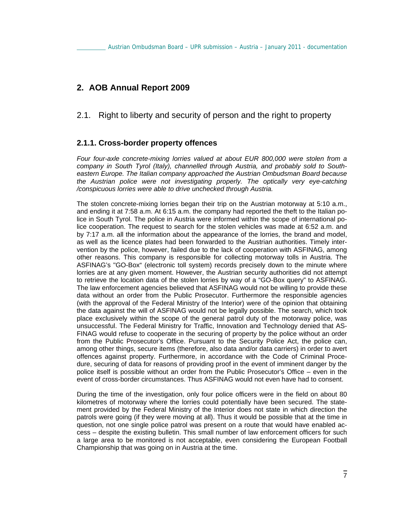# **2. AOB Annual Report 2009**

2.1. Right to liberty and security of person and the right to property

## **2.1.1. Cross-border property offences**

*Four four-axle concrete-mixing lorries valued at about EUR 800,000 were stolen from a company in South Tyrol (Italy), channelled through Austria, and probably sold to Southeastern Europe. The Italian company approached the Austrian Ombudsman Board because the Austrian police were not investigating properly. The optically very eye-catching /conspicuous lorries were able to drive unchecked through Austria.* 

The stolen concrete-mixing lorries began their trip on the Austrian motorway at 5:10 a.m., and ending it at 7:58 a.m. At 6:15 a.m. the company had reported the theft to the Italian police in South Tyrol. The police in Austria were informed within the scope of international police cooperation. The request to search for the stolen vehicles was made at 6:52 a.m. and by 7:17 a.m. all the information about the appearance of the lorries, the brand and model, as well as the licence plates had been forwarded to the Austrian authorities. Timely intervention by the police, however, failed due to the lack of cooperation with ASFINAG, among other reasons. This company is responsible for collecting motorway tolls in Austria. The ASFINAG's "GO-Box" (electronic toll system) records precisely down to the minute where lorries are at any given moment. However, the Austrian security authorities did not attempt to retrieve the location data of the stolen lorries by way of a "GO-Box query" to ASFINAG. The law enforcement agencies believed that ASFINAG would not be willing to provide these data without an order from the Public Prosecutor. Furthermore the responsible agencies (with the approval of the Federal Ministry of the Interior) were of the opinion that obtaining the data against the will of ASFINAG would not be legally possible. The search, which took place exclusively within the scope of the general patrol duty of the motorway police, was unsuccessful. The Federal Ministry for Traffic, Innovation and Technology denied that AS-FINAG would refuse to cooperate in the securing of property by the police without an order from the Public Prosecutor's Office. Pursuant to the Security Police Act, the police can, among other things, secure items (therefore, also data and/or data carriers) in order to avert offences against property. Furthermore, in accordance with the Code of Criminal Procedure, securing of data for reasons of providing proof in the event of imminent danger by the police itself is possible without an order from the Public Prosecutor's Office – even in the event of cross-border circumstances. Thus ASFINAG would not even have had to consent.

During the time of the investigation, only four police officers were in the field on about 80 kilometres of motorway where the lorries could potentially have been secured. The statement provided by the Federal Ministry of the Interior does not state in which direction the patrols were going (if they were moving at all). Thus it would be possible that at the time in question, not one single police patrol was present on a route that would have enabled access – despite the existing bulletin. This small number of law enforcement officers for such a large area to be monitored is not acceptable, even considering the European Football Championship that was going on in Austria at the time.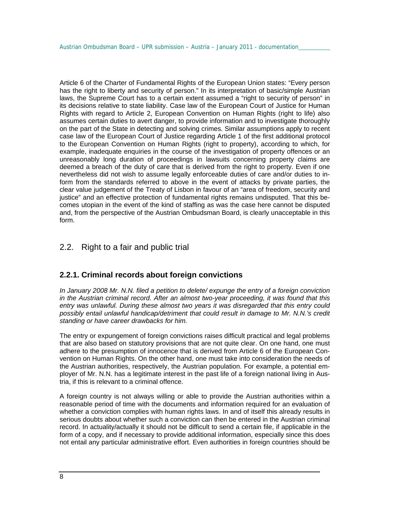Article 6 of the Charter of Fundamental Rights of the European Union states: "Every person has the right to liberty and security of person." In its interpretation of basic/simple Austrian laws, the Supreme Court has to a certain extent assumed a "right to security of person" in its decisions relative to state liability. Case law of the European Court of Justice for Human Rights with regard to Article 2, European Convention on Human Rights (right to life) also assumes certain duties to avert danger, to provide information and to investigate thoroughly on the part of the State in detecting and solving crimes. Similar assumptions apply to recent case law of the European Court of Justice regarding Article 1 of the first additional protocol to the European Convention on Human Rights (right to property), according to which, for example, inadequate enquiries in the course of the investigation of property offences or an unreasonably long duration of proceedings in lawsuits concerning property claims are deemed a breach of the duty of care that is derived from the right to property. Even if one nevertheless did not wish to assume legally enforceable duties of care and/or duties to inform from the standards referred to above in the event of attacks by private parties, the clear value judgement of the Treaty of Lisbon in favour of an "area of freedom, security and justice" and an effective protection of fundamental rights remains undisputed. That this becomes utopian in the event of the kind of staffing as was the case here cannot be disputed and, from the perspective of the Austrian Ombudsman Board, is clearly unacceptable in this form.

## 2.2. Right to a fair and public trial

## **2.2.1. Criminal records about foreign convictions**

*In January 2008 Mr. N.N. filed a petition to delete/ expunge the entry of a foreign conviction in the Austrian criminal record. After an almost two-year proceeding, it was found that this entry was unlawful. During these almost two years it was disregarded that this entry could*  possibly entail unlawful handicap/detriment that could result in damage to Mr. N.N.'s credit *standing or have career drawbacks for him.*

The entry or expungement of foreign convictions raises difficult practical and legal problems that are also based on statutory provisions that are not quite clear. On one hand, one must adhere to the presumption of innocence that is derived from Article 6 of the European Convention on Human Rights. On the other hand, one must take into consideration the needs of the Austrian authorities, respectively, the Austrian population. For example, a potential employer of Mr. N.N. has a legitimate interest in the past life of a foreign national living in Austria, if this is relevant to a criminal offence.

A foreign country is not always willing or able to provide the Austrian authorities within a reasonable period of time with the documents and information required for an evaluation of whether a conviction complies with human rights laws. In and of itself this already results in serious doubts about whether such a conviction can then be entered in the Austrian criminal record. In actuality/actually it should not be difficult to send a certain file, if applicable in the form of a copy, and if necessary to provide additional information, especially since this does not entail any particular administrative effort. Even authorities in foreign countries should be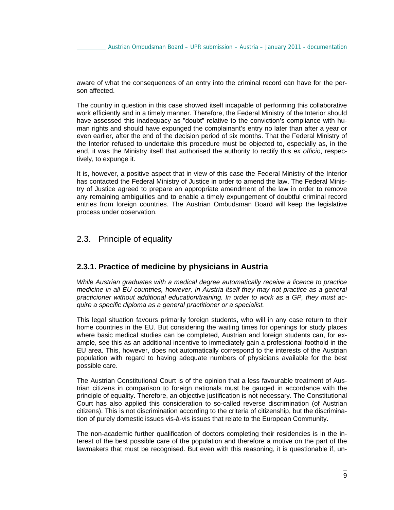aware of what the consequences of an entry into the criminal record can have for the person affected.

The country in question in this case showed itself incapable of performing this collaborative work efficiently and in a timely manner. Therefore, the Federal Ministry of the Interior should have assessed this inadequacy as "doubt" relative to the conviction's compliance with human rights and should have expunged the complainant's entry no later than after a year or even earlier, after the end of the decision period of six months. That the Federal Ministry of the Interior refused to undertake this procedure must be objected to, especially as, in the end, it was the Ministry itself that authorised the authority to rectify this *ex officio*, respectively, to expunge it.

It is, however, a positive aspect that in view of this case the Federal Ministry of the Interior has contacted the Federal Ministry of Justice in order to amend the law. The Federal Ministry of Justice agreed to prepare an appropriate amendment of the law in order to remove any remaining ambiguities and to enable a timely expungement of doubtful criminal record entries from foreign countries. The Austrian Ombudsman Board will keep the legislative process under observation.

## 2.3. Principle of equality

### **2.3.1. Practice of medicine by physicians in Austria**

*While Austrian graduates with a medical degree automatically receive a licence to practice medicine in all EU countries, however, in Austria itself they may not practice as a general practicioner without additional education/training. In order to work as a GP, they must acquire a specific diploma as a general practitioner or a specialist.* 

This legal situation favours primarily foreign students, who will in any case return to their home countries in the EU. But considering the waiting times for openings for study places where basic medical studies can be completed, Austrian and foreign students can, for example, see this as an additional incentive to immediately gain a professional foothold in the EU area. This, however, does not automatically correspond to the interests of the Austrian population with regard to having adequate numbers of physicians available for the best possible care.

The Austrian Constitutional Court is of the opinion that a less favourable treatment of Austrian citizens in comparison to foreign nationals must be gauged in accordance with the principle of equality. Therefore, an objective justification is not necessary. The Constitutional Court has also applied this consideration to so-called reverse discrimination (of Austrian citizens). This is not discrimination according to the criteria of citizenship, but the discrimination of purely domestic issues vis-à-vis issues that relate to the European Community.

The non-academic further qualification of doctors completing their residencies is in the interest of the best possible care of the population and therefore a motive on the part of the lawmakers that must be recognised. But even with this reasoning, it is questionable if, un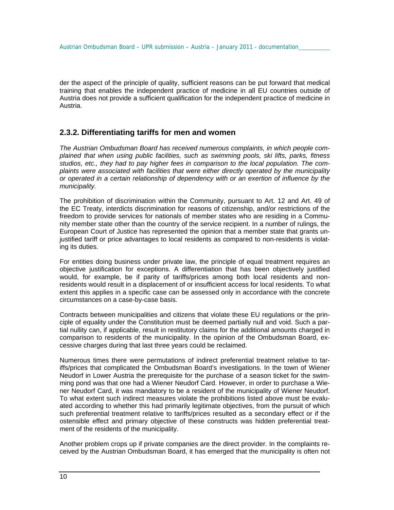der the aspect of the principle of quality, sufficient reasons can be put forward that medical training that enables the independent practice of medicine in all EU countries outside of Austria does not provide a sufficient qualification for the independent practice of medicine in Austria.

## **2.3.2. Differentiating tariffs for men and women**

*The Austrian Ombudsman Board has received numerous complaints, in which people complained that when using public facilities, such as swimming pools, ski lifts, parks, fitness studios, etc., they had to pay higher fees in comparison to the local population. The complaints were associated with facilities that were either directly operated by the municipality or operated in a certain relationship of dependency with or an exertion of influence by the municipality.*

The prohibition of discrimination within the Community, pursuant to Art. 12 and Art. 49 of the EC Treaty, interdicts discrimination for reasons of citizenship, and/or restrictions of the freedom to provide services for nationals of member states who are residing in a Community member state other than the country of the service recipient. In a number of rulings, the European Court of Justice has represented the opinion that a member state that grants unjustified tariff or price advantages to local residents as compared to non-residents is violating its duties.

For entities doing business under private law, the principle of equal treatment requires an objective justification for exceptions. A differentiation that has been objectively justified would, for example, be if parity of tariffs/prices among both local residents and nonresidents would result in a displacement of or insufficient access for local residents. To what extent this applies in a specific case can be assessed only in accordance with the concrete circumstances on a case-by-case basis.

Contracts between municipalities and citizens that violate these EU regulations or the principle of equality under the Constitution must be deemed partially null and void. Such a partial nullity can, if applicable, result in restitutory claims for the additional amounts charged in comparison to residents of the municipality. In the opinion of the Ombudsman Board, excessive charges during that last three years could be reclaimed.

Numerous times there were permutations of indirect preferential treatment relative to tariffs/prices that complicated the Ombudsman Board's investigations. In the town of Wiener Neudorf in Lower Austria the prerequisite for the purchase of a season ticket for the swimming pond was that one had a Wiener Neudorf Card. However, in order to purchase a Wiener Neudorf Card, it was mandatory to be a resident of the municipality of Wiener Neudorf. To what extent such indirect measures violate the prohibitions listed above must be evaluated according to whether this had primarily legitimate objectives, from the pursuit of which such preferential treatment relative to tariffs/prices resulted as a secondary effect or if the ostensible effect and primary objective of these constructs was hidden preferential treatment of the residents of the municipality.

Another problem crops up if private companies are the direct provider. In the complaints received by the Austrian Ombudsman Board, it has emerged that the municipality is often not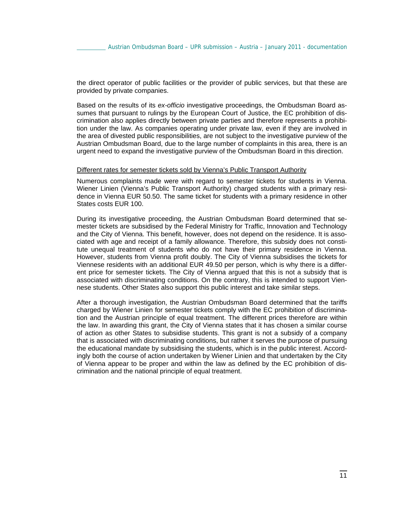the direct operator of public facilities or the provider of public services, but that these are provided by private companies.

Based on the results of its *ex-officio* investigative proceedings, the Ombudsman Board assumes that pursuant to rulings by the European Court of Justice, the EC prohibition of discrimination also applies directly between private parties and therefore represents a prohibition under the law. As companies operating under private law, even if they are involved in the area of divested public responsibilities, are not subject to the investigative purview of the Austrian Ombudsman Board, due to the large number of complaints in this area, there is an urgent need to expand the investigative purview of the Ombudsman Board in this direction.

#### Different rates for semester tickets sold by Vienna's Public Transport Authority

Numerous complaints made were with regard to semester tickets for students in Vienna. Wiener Linien (Vienna's Public Transport Authority) charged students with a primary residence in Vienna EUR 50.50. The same ticket for students with a primary residence in other States costs EUR 100.

During its investigative proceeding, the Austrian Ombudsman Board determined that semester tickets are subsidised by the Federal Ministry for Traffic, Innovation and Technology and the City of Vienna. This benefit, however, does not depend on the residence. It is associated with age and receipt of a family allowance. Therefore, this subsidy does not constitute unequal treatment of students who do not have their primary residence in Vienna. However, students from Vienna profit doubly. The City of Vienna subsidises the tickets for Viennese residents with an additional EUR 49.50 per person, which is why there is a different price for semester tickets. The City of Vienna argued that this is not a subsidy that is associated with discriminating conditions. On the contrary, this is intended to support Viennese students. Other States also support this public interest and take similar steps.

After a thorough investigation, the Austrian Ombudsman Board determined that the tariffs charged by Wiener Linien for semester tickets comply with the EC prohibition of discrimination and the Austrian principle of equal treatment. The different prices therefore are within the law. In awarding this grant, the City of Vienna states that it has chosen a similar course of action as other States to subsidise students. This grant is not a subsidy of a company that is associated with discriminating conditions, but rather it serves the purpose of pursuing the educational mandate by subsidising the students, which is in the public interest. Accordingly both the course of action undertaken by Wiener Linien and that undertaken by the City of Vienna appear to be proper and within the law as defined by the EC prohibition of discrimination and the national principle of equal treatment.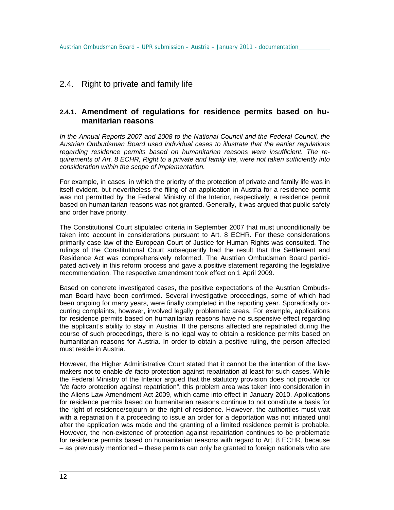## 2.4. Right to private and family life

### **2.4.1. Amendment of regulations for residence permits based on humanitarian reasons**

*In the Annual Reports 2007 and 2008 to the National Council and the Federal Council, the Austrian Ombudsman Board used individual cases to illustrate that the earlier regulations regarding residence permits based on humanitarian reasons were insufficient. The requirements of Art. 8 ECHR, Right to a private and family life, were not taken sufficiently into consideration within the scope of implementation.* 

For example, in cases, in which the priority of the protection of private and family life was in itself evident, but nevertheless the filing of an application in Austria for a residence permit was not permitted by the Federal Ministry of the Interior, respectively, a residence permit based on humanitarian reasons was not granted. Generally, it was argued that public safety and order have priority.

The Constitutional Court stipulated criteria in September 2007 that must unconditionally be taken into account in considerations pursuant to Art. 8 ECHR. For these considerations primarily case law of the European Court of Justice for Human Rights was consulted. The rulings of the Constitutional Court subsequently had the result that the Settlement and Residence Act was comprehensively reformed. The Austrian Ombudsman Board participated actively in this reform process and gave a positive statement regarding the legislative recommendation. The respective amendment took effect on 1 April 2009.

Based on concrete investigated cases, the positive expectations of the Austrian Ombudsman Board have been confirmed. Several investigative proceedings, some of which had been ongoing for many years, were finally completed in the reporting year. Sporadically occurring complaints, however, involved legally problematic areas. For example, applications for residence permits based on humanitarian reasons have no suspensive effect regarding the applicant's ability to stay in Austria. If the persons affected are repatriated during the course of such proceedings, there is no legal way to obtain a residence permits based on humanitarian reasons for Austria. In order to obtain a positive ruling, the person affected must reside in Austria.

However, the Higher Administrative Court stated that it cannot be the intention of the lawmakers not to enable *de facto* protection against repatriation at least for such cases. While the Federal Ministry of the Interior argued that the statutory provision does not provide for "*de facto* protection against repatriation", this problem area was taken into consideration in the Aliens Law Amendment Act 2009, which came into effect in January 2010. Applications for residence permits based on humanitarian reasons continue to not constitute a basis for the right of residence/sojourn or the right of residence. However, the authorities must wait with a repatriation if a proceeding to issue an order for a deportation was not initiated until after the application was made and the granting of a limited residence permit is probable. However, the non-existence of protection against repatriation continues to be problematic for residence permits based on humanitarian reasons with regard to Art. 8 ECHR, because – as previously mentioned – these permits can only be granted to foreign nationals who are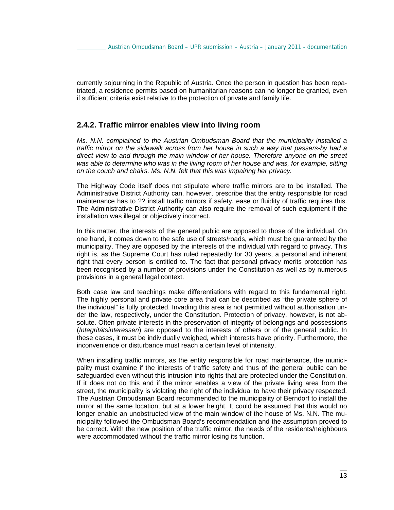currently sojourning in the Republic of Austria. Once the person in question has been repatriated, a residence permits based on humanitarian reasons can no longer be granted, even if sufficient criteria exist relative to the protection of private and family life.

### **2.4.2. Traffic mirror enables view into living room**

*Ms. N.N. complained to the Austrian Ombudsman Board that the municipality installed a traffic mirror on the sidewalk across from her house in such a way that passers-by had a direct view to and through the main window of her house. Therefore anyone on the street*  was able to determine who was in the living room of her house and was, for example, sitting *on the couch and chairs. Ms. N.N. felt that this was impairing her privacy.*

The Highway Code itself does not stipulate where traffic mirrors are to be installed. The Administrative District Authority can, however, prescribe that the entity responsible for road maintenance has to ?? install traffic mirrors if safety, ease or fluidity of traffic requires this. The Administrative District Authority can also require the removal of such equipment if the installation was illegal or objectively incorrect.

In this matter, the interests of the general public are opposed to those of the individual. On one hand, it comes down to the safe use of streets/roads, which must be guaranteed by the municipality. They are opposed by the interests of the individual with regard to privacy. This right is, as the Supreme Court has ruled repeatedly for 30 years, a personal and inherent right that every person is entitled to. The fact that personal privacy merits protection has been recognised by a number of provisions under the Constitution as well as by numerous provisions in a general legal context.

Both case law and teachings make differentiations with regard to this fundamental right. The highly personal and private core area that can be described as "the private sphere of the individual" is fully protected. Invading this area is not permitted without authorisation under the law, respectively, under the Constitution. Protection of privacy, however, is not absolute. Often private interests in the preservation of integrity of belongings and possessions (*Integritätsinteressen*) are opposed to the interests of others or of the general public. In these cases, it must be individually weighed, which interests have priority. Furthermore, the inconvenience or disturbance must reach a certain level of intensity.

When installing traffic mirrors, as the entity responsible for road maintenance, the municipality must examine if the interests of traffic safety and thus of the general public can be safeguarded even without this intrusion into rights that are protected under the Constitution. If it does not do this and if the mirror enables a view of the private living area from the street, the municipality is violating the right of the individual to have their privacy respected. The Austrian Ombudsman Board recommended to the municipality of Berndorf to install the mirror at the same location, but at a lower height. It could be assumed that this would no longer enable an unobstructed view of the main window of the house of Ms. N.N. The municipality followed the Ombudsman Board's recommendation and the assumption proved to be correct. With the new position of the traffic mirror, the needs of the residents/neighbours were accommodated without the traffic mirror losing its function.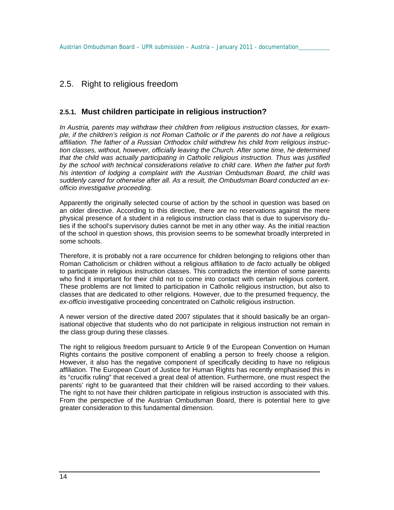## 2.5. Right to religious freedom

## **2.5.1. Must children participate in religious instruction?**

*In Austria, parents may withdraw their children from religious instruction classes, for example, if the children's religion is not Roman Catholic or if the parents do not have a religious affiliation. The father of a Russian Orthodox child withdrew his child from religious instruction classes, without, however, officially leaving the Church. After some time, he determined that the child was actually participating in Catholic religious instruction. Thus was justified by the school with technical considerations relative to child care. When the father put forth his intention of lodging a complaint with the Austrian Ombudsman Board, the child was suddenly cared for otherwise after all. As a result, the Ombudsman Board conducted an exofficio investigative proceeding.*

Apparently the originally selected course of action by the school in question was based on an older directive. According to this directive, there are no reservations against the mere physical presence of a student in a religious instruction class that is due to supervisory duties if the school's supervisory duties cannot be met in any other way. As the initial reaction of the school in question shows, this provision seems to be somewhat broadly interpreted in some schools.

Therefore, it is probably not a rare occurrence for children belonging to religions other than Roman Catholicism or children without a religious affiliation to *de facto* actually be obliged to participate in religious instruction classes. This contradicts the intention of some parents who find it important for their child not to come into contact with certain religious content. These problems are not limited to participation in Catholic religious instruction, but also to classes that are dedicated to other religions. However, due to the presumed frequency, the *ex-officio* investigative proceeding concentrated on Catholic religious instruction.

A newer version of the directive dated 2007 stipulates that it should basically be an organisational objective that students who do not participate in religious instruction not remain in the class group during these classes.

The right to religious freedom pursuant to Article 9 of the European Convention on Human Rights contains the positive component of enabling a person to freely choose a religion. However, it also has the negative component of specifically deciding to have no religious affiliation. The European Court of Justice for Human Rights has recently emphasised this in its "crucifix ruling" that received a great deal of attention. Furthermore, one must respect the parents' right to be guaranteed that their children will be raised according to their values. The right to not have their children participate in religious instruction is associated with this. From the perspective of the Austrian Ombudsman Board, there is potential here to give greater consideration to this fundamental dimension.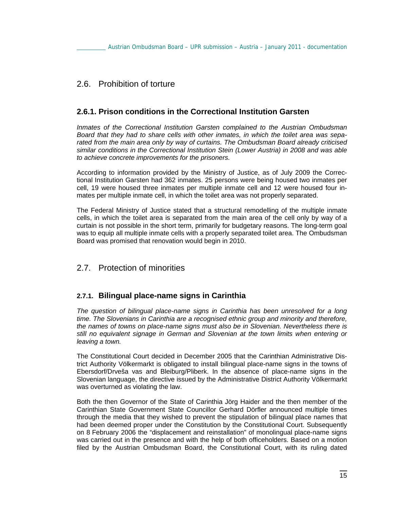## 2.6. Prohibition of torture

## **2.6.1. Prison conditions in the Correctional Institution Garsten**

*Inmates of the Correctional Institution Garsten complained to the Austrian Ombudsman Board that they had to share cells with other inmates, in which the toilet area was separated from the main area only by way of curtains. The Ombudsman Board already criticised similar conditions in the Correctional Institution Stein (Lower Austria) in 2008 and was able to achieve concrete improvements for the prisoners.*

According to information provided by the Ministry of Justice, as of July 2009 the Correctional Institution Garsten had 362 inmates. 25 persons were being housed two inmates per cell, 19 were housed three inmates per multiple inmate cell and 12 were housed four inmates per multiple inmate cell, in which the toilet area was not properly separated.

The Federal Ministry of Justice stated that a structural remodelling of the multiple inmate cells, in which the toilet area is separated from the main area of the cell only by way of a curtain is not possible in the short term, primarily for budgetary reasons. The long-term goal was to equip all multiple inmate cells with a properly separated toilet area. The Ombudsman Board was promised that renovation would begin in 2010.

## 2.7. Protection of minorities

## **2.7.1. Bilingual place-name signs in Carinthia**

*The question of bilingual place-name signs in Carinthia has been unresolved for a long time. The Slovenians in Carinthia are a recognised ethnic group and minority and therefore, the names of towns on place-name signs must also be in Slovenian. Nevertheless there is still no equivalent signage in German and Slovenian at the town limits when entering or leaving a town.*

The Constitutional Court decided in December 2005 that the Carinthian Administrative District Authority Völkermarkt is obligated to install bilingual place-name signs in the towns of Ebersdorf/Drveša vas and Bleiburg/Pliberk. In the absence of place-name signs in the Slovenian language, the directive issued by the Administrative District Authority Völkermarkt was overturned as violating the law.

Both the then Governor of the State of Carinthia Jörg Haider and the then member of the Carinthian State Government State Councillor Gerhard Dörfler announced multiple times through the media that they wished to prevent the stipulation of bilingual place names that had been deemed proper under the Constitution by the Constitutional Court. Subsequently on 8 February 2006 the "displacement and reinstallation" of monolingual place-name signs was carried out in the presence and with the help of both officeholders. Based on a motion filed by the Austrian Ombudsman Board, the Constitutional Court, with its ruling dated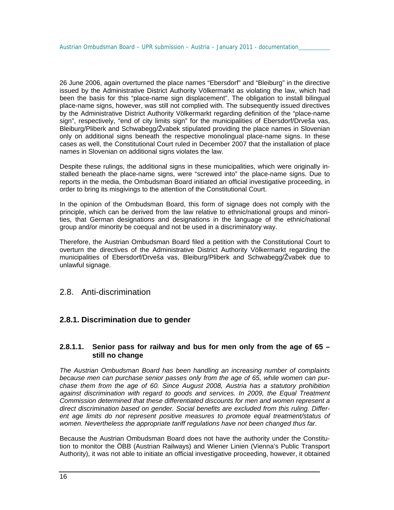26 June 2006, again overturned the place names "Ebersdorf" and "Bleiburg" in the directive issued by the Administrative District Authority Völkermarkt as violating the law, which had been the basis for this "place-name sign displacement". The obligation to install bilingual place-name signs, however, was still not complied with. The subsequently issued directives by the Administrative District Authority Völkermarkt regarding definition of the "place-name sign", respectively, "end of city limits sign" for the municipalities of Ebersdorf/Drveša vas, Bleiburg/Pliberk and Schwabegg/Žvabek stipulated providing the place names in Slovenian only on additional signs beneath the respective monolingual place-name signs. In these cases as well, the Constitutional Court ruled in December 2007 that the installation of place names in Slovenian on additional signs violates the law.

Despite these rulings, the additional signs in these municipalities, which were originally installed beneath the place-name signs, were "screwed into" the place-name signs. Due to reports in the media, the Ombudsman Board initiated an official investigative proceeding, in order to bring its misgivings to the attention of the Constitutional Court.

In the opinion of the Ombudsman Board, this form of signage does not comply with the principle, which can be derived from the law relative to ethnic/national groups and minorities, that German designations and designations in the language of the ethnic/national group and/or minority be coequal and not be used in a discriminatory way.

Therefore, the Austrian Ombudsman Board filed a petition with the Constitutional Court to overturn the directives of the Administrative District Authority Völkermarkt regarding the municipalities of Ebersdorf/Drveša vas, Bleiburg/Pliberk and Schwabegg/Žvabek due to unlawful signage.

## 2.8. Anti-discrimination

## **2.8.1. Discrimination due to gender**

### **2.8.1.1. Senior pass for railway and bus for men only from the age of 65 – still no change**

*The Austrian Ombudsman Board has been handling an increasing number of complaints because men can purchase senior passes only from the age of 65, while women can purchase them from the age of 60. Since August 2008, Austria has a statutory prohibition against discrimination with regard to goods and services. In 2009, the Equal Treatment Commission determined that these differentiated discounts for men and women represent a direct discrimination based on gender. Social benefits are excluded from this ruling. Different age limits do not represent positive measures to promote equal treatment/status of women. Nevertheless the appropriate tariff regulations have not been changed thus far.* 

Because the Austrian Ombudsman Board does not have the authority under the Constitution to monitor the ÖBB (Austrian Railways) and Wiener Linien (Vienna's Public Transport Authority), it was not able to initiate an official investigative proceeding, however, it obtained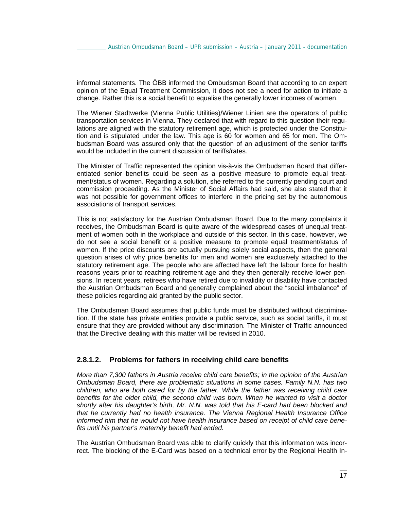informal statements. The ÖBB informed the Ombudsman Board that according to an expert opinion of the Equal Treatment Commission, it does not see a need for action to initiate a change. Rather this is a social benefit to equalise the generally lower incomes of women.

The Wiener Stadtwerke (Vienna Public Utilities)/Wiener Linien are the operators of public transportation services in Vienna. They declared that with regard to this question their regulations are aligned with the statutory retirement age, which is protected under the Constitution and is stipulated under the law. This age is 60 for women and 65 for men. The Ombudsman Board was assured only that the question of an adjustment of the senior tariffs would be included in the current discussion of tariffs/rates.

The Minister of Traffic represented the opinion vis-à-vis the Ombudsman Board that differentiated senior benefits could be seen as a positive measure to promote equal treatment/status of women. Regarding a solution, she referred to the currently pending court and commission proceeding. As the Minister of Social Affairs had said, she also stated that it was not possible for government offices to interfere in the pricing set by the autonomous associations of transport services.

This is not satisfactory for the Austrian Ombudsman Board. Due to the many complaints it receives, the Ombudsman Board is quite aware of the widespread cases of unequal treatment of women both in the workplace and outside of this sector. In this case, however, we do not see a social benefit or a positive measure to promote equal treatment/status of women. If the price discounts are actually pursuing solely social aspects, then the general question arises of why price benefits for men and women are exclusively attached to the statutory retirement age. The people who are affected have left the labour force for health reasons years prior to reaching retirement age and they then generally receive lower pensions. In recent years, retirees who have retired due to invalidity or disability have contacted the Austrian Ombudsman Board and generally complained about the "social imbalance" of these policies regarding aid granted by the public sector.

The Ombudsman Board assumes that public funds must be distributed without discrimination. If the state has private entities provide a public service, such as social tariffs, it must ensure that they are provided without any discrimination. The Minister of Traffic announced that the Directive dealing with this matter will be revised in 2010.

### **2.8.1.2. Problems for fathers in receiving child care benefits**

*More than 7,300 fathers in Austria receive child care benefits; in the opinion of the Austrian Ombudsman Board, there are problematic situations in some cases. Family N.N. has two children, who are both cared for by the father. While the father was receiving child care benefits for the older child, the second child was born. When he wanted to visit a doctor shortly after his daughter's birth, Mr. N.N. was told that his E-card had been blocked and that he currently had no health insurance. The Vienna Regional Health Insurance Office informed him that he would not have health insurance based on receipt of child care benefits until his partner's maternity benefit had ended.* 

The Austrian Ombudsman Board was able to clarify quickly that this information was incorrect. The blocking of the E-Card was based on a technical error by the Regional Health In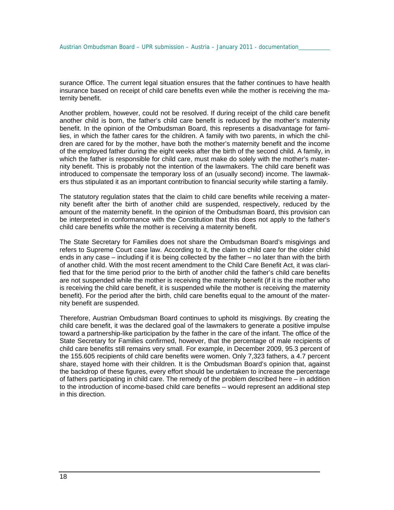surance Office. The current legal situation ensures that the father continues to have health insurance based on receipt of child care benefits even while the mother is receiving the maternity benefit.

Another problem, however, could not be resolved. If during receipt of the child care benefit another child is born, the father's child care benefit is reduced by the mother's maternity benefit. In the opinion of the Ombudsman Board, this represents a disadvantage for families, in which the father cares for the children. A family with two parents, in which the children are cared for by the mother, have both the mother's maternity benefit and the income of the employed father during the eight weeks after the birth of the second child. A family, in which the father is responsible for child care, must make do solely with the mother's maternity benefit. This is probably not the intention of the lawmakers. The child care benefit was introduced to compensate the temporary loss of an (usually second) income. The lawmakers thus stipulated it as an important contribution to financial security while starting a family.

The statutory regulation states that the claim to child care benefits while receiving a maternity benefit after the birth of another child are suspended, respectively, reduced by the amount of the maternity benefit. In the opinion of the Ombudsman Board, this provision can be interpreted in conformance with the Constitution that this does not apply to the father's child care benefits while the mother is receiving a maternity benefit.

The State Secretary for Families does not share the Ombudsman Board's misgivings and refers to Supreme Court case law. According to it, the claim to child care for the older child ends in any case – including if it is being collected by the father – no later than with the birth of another child. With the most recent amendment to the Child Care Benefit Act, it was clarified that for the time period prior to the birth of another child the father's child care benefits are not suspended while the mother is receiving the maternity benefit (if it is the mother who is receiving the child care benefit, it is suspended while the mother is receiving the maternity benefit). For the period after the birth, child care benefits equal to the amount of the maternity benefit are suspended.

Therefore, Austrian Ombudsman Board continues to uphold its misgivings. By creating the child care benefit, it was the declared goal of the lawmakers to generate a positive impulse toward a partnership-like participation by the father in the care of the infant. The office of the State Secretary for Families confirmed, however, that the percentage of male recipients of child care benefits still remains very small. For example, in December 2009, 95.3 percent of the 155.605 recipients of child care benefits were women. Only 7,323 fathers, a 4.7 percent share, stayed home with their children. It is the Ombudsman Board's opinion that, against the backdrop of these figures, every effort should be undertaken to increase the percentage of fathers participating in child care. The remedy of the problem described here – in addition to the introduction of income-based child care benefits – would represent an additional step in this direction.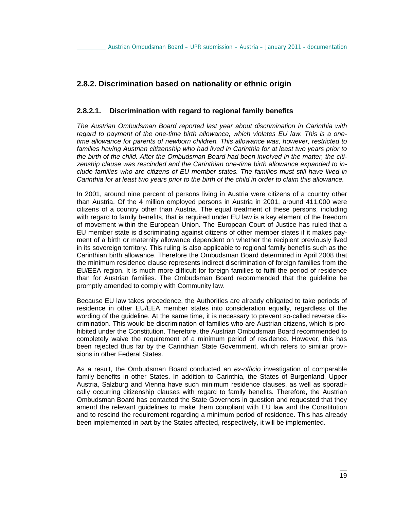### **2.8.2. Discrimination based on nationality or ethnic origin**

#### **2.8.2.1. Discrimination with regard to regional family benefits**

*The Austrian Ombudsman Board reported last year about discrimination in Carinthia with regard to payment of the one-time birth allowance, which violates EU law. This is a onetime allowance for parents of newborn children. This allowance was, however, restricted to families having Austrian citizenship who had lived in Carinthia for at least two years prior to the birth of the child. After the Ombudsman Board had been involved in the matter, the citizenship clause was rescinded and the Carinthian one-time birth allowance expanded to include families who are citizens of EU member states. The families must still have lived in Carinthia for at least two years prior to the birth of the child in order to claim this allowance.* 

In 2001, around nine percent of persons living in Austria were citizens of a country other than Austria. Of the 4 million employed persons in Austria in 2001, around 411,000 were citizens of a country other than Austria. The equal treatment of these persons, including with regard to family benefits, that is required under EU law is a key element of the freedom of movement within the European Union. The European Court of Justice has ruled that a EU member state is discriminating against citizens of other member states if it makes payment of a birth or maternity allowance dependent on whether the recipient previously lived in its sovereign territory. This ruling is also applicable to regional family benefits such as the Carinthian birth allowance. Therefore the Ombudsman Board determined in April 2008 that the minimum residence clause represents indirect discrimination of foreign families from the EU/EEA region. It is much more difficult for foreign families to fulfil the period of residence than for Austrian families. The Ombudsman Board recommended that the guideline be promptly amended to comply with Community law.

Because EU law takes precedence, the Authorities are already obligated to take periods of residence in other EU/EEA member states into consideration equally, regardless of the wording of the guideline. At the same time, it is necessary to prevent so-called reverse discrimination. This would be discrimination of families who are Austrian citizens, which is prohibited under the Constitution. Therefore, the Austrian Ombudsman Board recommended to completely waive the requirement of a minimum period of residence. However, this has been rejected thus far by the Carinthian State Government, which refers to similar provisions in other Federal States.

As a result, the Ombudsman Board conducted an *ex-officio* investigation of comparable family benefits in other States. In addition to Carinthia, the States of Burgenland, Upper Austria, Salzburg and Vienna have such minimum residence clauses, as well as sporadically occurring citizenship clauses with regard to family benefits. Therefore, the Austrian Ombudsman Board has contacted the State Governors in question and requested that they amend the relevant guidelines to make them compliant with EU law and the Constitution and to rescind the requirement regarding a minimum period of residence. This has already been implemented in part by the States affected, respectively, it will be implemented.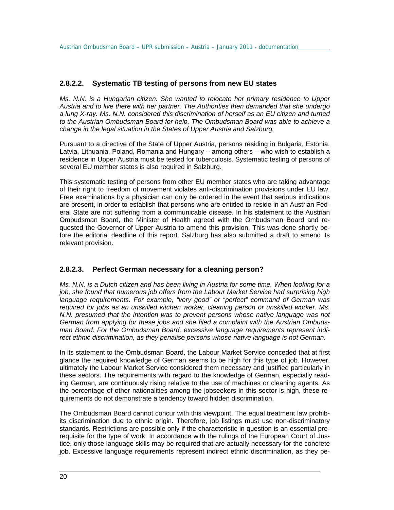#### **2.8.2.2. Systematic TB testing of persons from new EU states**

*Ms. N.N. is a Hungarian citizen. She wanted to relocate her primary residence to Upper Austria and to live there with her partner. The Authorities then demanded that she undergo a lung X-ray. Ms. N.N. considered this discrimination of herself as an EU citizen and turned to the Austrian Ombudsman Board for help. The Ombudsman Board was able to achieve a change in the legal situation in the States of Upper Austria and Salzburg.*

Pursuant to a directive of the State of Upper Austria, persons residing in Bulgaria, Estonia, Latvia, Lithuania, Poland, Romania and Hungary – among others – who wish to establish a residence in Upper Austria must be tested for tuberculosis. Systematic testing of persons of several EU member states is also required in Salzburg.

This systematic testing of persons from other EU member states who are taking advantage of their right to freedom of movement violates anti-discrimination provisions under EU law. Free examinations by a physician can only be ordered in the event that serious indications are present, in order to establish that persons who are entitled to reside in an Austrian Federal State are not suffering from a communicable disease. In his statement to the Austrian Ombudsman Board, the Minister of Health agreed with the Ombudsman Board and requested the Governor of Upper Austria to amend this provision. This was done shortly before the editorial deadline of this report. Salzburg has also submitted a draft to amend its relevant provision.

#### **2.8.2.3. Perfect German necessary for a cleaning person?**

*Ms. N.N. is a Dutch citizen and has been living in Austria for some time. When looking for a job, she found that numerous job offers from the Labour Market Service had surprising high language requirements. For example, "very good" or "perfect" command of German was required for jobs as an unskilled kitchen worker, cleaning person or unskilled worker. Ms. N.N. presumed that the intention was to prevent persons whose native language was not German from applying for these jobs and she filed a complaint with the Austrian Ombudsman Board. For the Ombudsman Board, excessive language requirements represent indirect ethnic discrimination, as they penalise persons whose native language is not German.*

In its statement to the Ombudsman Board, the Labour Market Service conceded that at first glance the required knowledge of German seems to be high for this type of job. However, ultimately the Labour Market Service considered them necessary and justified particularly in these sectors. The requirements with regard to the knowledge of German, especially reading German, are continuously rising relative to the use of machines or cleaning agents. As the percentage of other nationalities among the jobseekers in this sector is high, these requirements do not demonstrate a tendency toward hidden discrimination.

The Ombudsman Board cannot concur with this viewpoint. The equal treatment law prohibits discrimination due to ethnic origin. Therefore, job listings must use non-discriminatory standards. Restrictions are possible only if the characteristic in question is an essential prerequisite for the type of work. In accordance with the rulings of the European Court of Justice, only those language skills may be required that are actually necessary for the concrete job. Excessive language requirements represent indirect ethnic discrimination, as they pe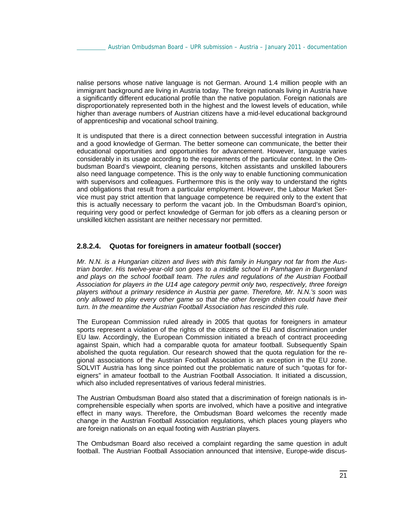nalise persons whose native language is not German. Around 1.4 million people with an immigrant background are living in Austria today. The foreign nationals living in Austria have a significantly different educational profile than the native population. Foreign nationals are disproportionately represented both in the highest and the lowest levels of education, while higher than average numbers of Austrian citizens have a mid-level educational background of apprenticeship and vocational school training.

It is undisputed that there is a direct connection between successful integration in Austria and a good knowledge of German. The better someone can communicate, the better their educational opportunities and opportunities for advancement. However, language varies considerably in its usage according to the requirements of the particular context. In the Ombudsman Board's viewpoint, cleaning persons, kitchen assistants and unskilled labourers also need language competence. This is the only way to enable functioning communication with supervisors and colleagues. Furthermore this is the only way to understand the rights and obligations that result from a particular employment. However, the Labour Market Service must pay strict attention that language competence be required only to the extent that this is actually necessary to perform the vacant job. In the Ombudsman Board's opinion, requiring very good or perfect knowledge of German for job offers as a cleaning person or unskilled kitchen assistant are neither necessary nor permitted.

### **2.8.2.4. Quotas for foreigners in amateur football (soccer)**

*Mr. N.N. is a Hungarian citizen and lives with this family in Hungary not far from the Austrian border. His twelve-year-old son goes to a middle school in Pamhagen in Burgenland*  and plays on the school football team. The rules and regulations of the Austrian Football *Association for players in the U14 age category permit only two, respectively, three foreign players without a primary residence in Austria per game. Therefore, Mr. N.N.'s soon was only allowed to play every other game so that the other foreign children could have their turn. In the meantime the Austrian Football Association has rescinded this rule.*

The European Commission ruled already in 2005 that quotas for foreigners in amateur sports represent a violation of the rights of the citizens of the EU and discrimination under EU law. Accordingly, the European Commission initiated a breach of contract proceeding against Spain, which had a comparable quota for amateur football. Subsequently Spain abolished the quota regulation. Our research showed that the quota regulation for the regional associations of the Austrian Football Association is an exception in the EU zone. SOLVIT Austria has long since pointed out the problematic nature of such "quotas for foreigners" in amateur football to the Austrian Football Association. It initiated a discussion, which also included representatives of various federal ministries.

The Austrian Ombudsman Board also stated that a discrimination of foreign nationals is incomprehensible especially when sports are involved, which have a positive and integrative effect in many ways. Therefore, the Ombudsman Board welcomes the recently made change in the Austrian Football Association regulations, which places young players who are foreign nationals on an equal footing with Austrian players.

The Ombudsman Board also received a complaint regarding the same question in adult football. The Austrian Football Association announced that intensive, Europe-wide discus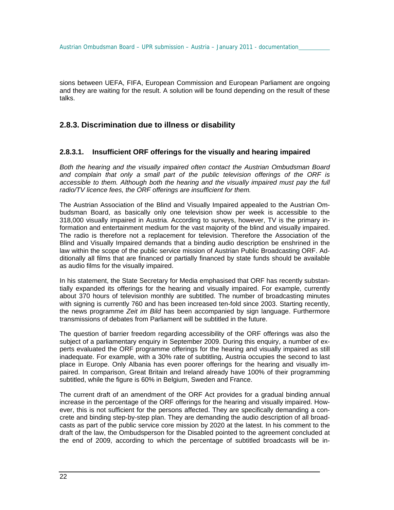sions between UEFA, FIFA, European Commission and European Parliament are ongoing and they are waiting for the result. A solution will be found depending on the result of these talks.

## **2.8.3. Discrimination due to illness or disability**

#### **2.8.3.1. Insufficient ORF offerings for the visually and hearing impaired**

*Both the hearing and the visually impaired often contact the Austrian Ombudsman Board and complain that only a small part of the public television offerings of the ORF is accessible to them. Although both the hearing and the visually impaired must pay the full radio/TV licence fees, the ORF offerings are insufficient for them.* 

The Austrian Association of the Blind and Visually Impaired appealed to the Austrian Ombudsman Board, as basically only one television show per week is accessible to the 318,000 visually impaired in Austria. According to surveys, however, TV is the primary information and entertainment medium for the vast majority of the blind and visually impaired. The radio is therefore not a replacement for television. Therefore the Association of the Blind and Visually Impaired demands that a binding audio description be enshrined in the law within the scope of the public service mission of Austrian Public Broadcasting ORF. Additionally all films that are financed or partially financed by state funds should be available as audio films for the visually impaired.

In his statement, the State Secretary for Media emphasised that ORF has recently substantially expanded its offerings for the hearing and visually impaired. For example, currently about 370 hours of television monthly are subtitled. The number of broadcasting minutes with signing is currently 760 and has been increased ten-fold since 2003. Starting recently, the news programme *Zeit im Bild* has been accompanied by sign language. Furthermore transmissions of debates from Parliament will be subtitled in the future.

The question of barrier freedom regarding accessibility of the ORF offerings was also the subject of a parliamentary enquiry in September 2009. During this enquiry, a number of experts evaluated the ORF programme offerings for the hearing and visually impaired as still inadequate. For example, with a 30% rate of subtitling, Austria occupies the second to last place in Europe. Only Albania has even poorer offerings for the hearing and visually impaired. In comparison, Great Britain and Ireland already have 100% of their programming subtitled, while the figure is 60% in Belgium, Sweden and France.

The current draft of an amendment of the ORF Act provides for a gradual binding annual increase in the percentage of the ORF offerings for the hearing and visually impaired. However, this is not sufficient for the persons affected. They are specifically demanding a concrete and binding step-by-step plan. They are demanding the audio description of all broadcasts as part of the public service core mission by 2020 at the latest. In his comment to the draft of the law, the Ombudsperson for the Disabled pointed to the agreement concluded at the end of 2009, according to which the percentage of subtitled broadcasts will be in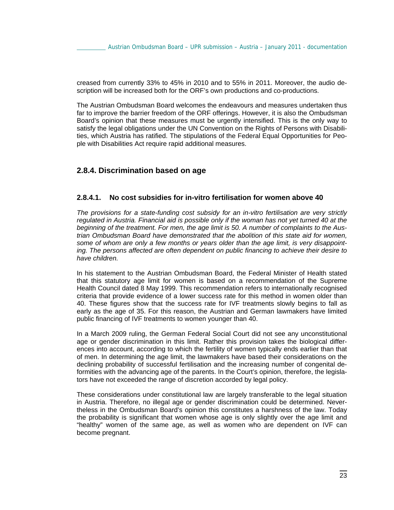creased from currently 33% to 45% in 2010 and to 55% in 2011. Moreover, the audio description will be increased both for the ORF's own productions and co-productions.

The Austrian Ombudsman Board welcomes the endeavours and measures undertaken thus far to improve the barrier freedom of the ORF offerings. However, it is also the Ombudsman Board's opinion that these measures must be urgently intensified. This is the only way to satisfy the legal obligations under the UN Convention on the Rights of Persons with Disabilities, which Austria has ratified. The stipulations of the Federal Equal Opportunities for People with Disabilities Act require rapid additional measures.

### **2.8.4. Discrimination based on age**

#### **2.8.4.1. No cost subsidies for in-vitro fertilisation for women above 40**

*The provisions for a state-funding cost subsidy for an in-vitro fertilisation are very strictly regulated in Austria. Financial aid is possible only if the woman has not yet turned 40 at the beginning of the treatment. For men, the age limit is 50. A number of complaints to the Austrian Ombudsman Board have demonstrated that the abolition of this state aid for women, some of whom are only a few months or years older than the age limit, is very disappointing. The persons affected are often dependent on public financing to achieve their desire to have children.*

In his statement to the Austrian Ombudsman Board, the Federal Minister of Health stated that this statutory age limit for women is based on a recommendation of the Supreme Health Council dated 8 May 1999. This recommendation refers to internationally recognised criteria that provide evidence of a lower success rate for this method in women older than 40. These figures show that the success rate for IVF treatments slowly begins to fall as early as the age of 35. For this reason, the Austrian and German lawmakers have limited public financing of IVF treatments to women younger than 40.

In a March 2009 ruling, the German Federal Social Court did not see any unconstitutional age or gender discrimination in this limit. Rather this provision takes the biological differences into account, according to which the fertility of women typically ends earlier than that of men. In determining the age limit, the lawmakers have based their considerations on the declining probability of successful fertilisation and the increasing number of congenital deformities with the advancing age of the parents. In the Court's opinion, therefore, the legislators have not exceeded the range of discretion accorded by legal policy.

These considerations under constitutional law are largely transferable to the legal situation in Austria. Therefore, no illegal age or gender discrimination could be determined. Nevertheless in the Ombudsman Board's opinion this constitutes a harshness of the law. Today the probability is significant that women whose age is only slightly over the age limit and "healthy" women of the same age, as well as women who are dependent on IVF can become pregnant.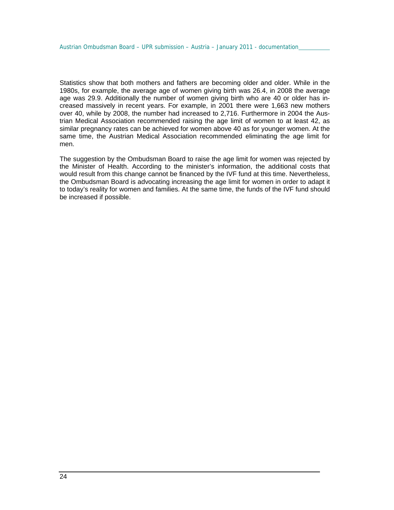Statistics show that both mothers and fathers are becoming older and older. While in the 1980s, for example, the average age of women giving birth was 26.4, in 2008 the average age was 29.9. Additionally the number of women giving birth who are 40 or older has increased massively in recent years. For example, in 2001 there were 1,663 new mothers over 40, while by 2008, the number had increased to 2,716. Furthermore in 2004 the Austrian Medical Association recommended raising the age limit of women to at least 42, as similar pregnancy rates can be achieved for women above 40 as for younger women. At the same time, the Austrian Medical Association recommended eliminating the age limit for men.

The suggestion by the Ombudsman Board to raise the age limit for women was rejected by the Minister of Health. According to the minister's information, the additional costs that would result from this change cannot be financed by the IVF fund at this time. Nevertheless, the Ombudsman Board is advocating increasing the age limit for women in order to adapt it to today's reality for women and families. At the same time, the funds of the IVF fund should be increased if possible.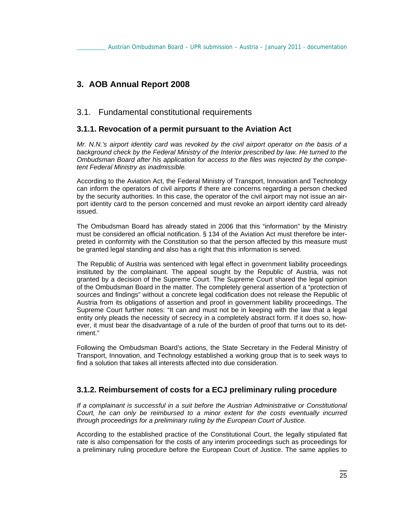# **3. AOB Annual Report 2008**

## 3.1. Fundamental constitutional requirements

## **3.1.1. Revocation of a permit pursuant to the Aviation Act**

*Mr. N.N.'s airport identity card was revoked by the civil airport operator on the basis of a background check by the Federal Ministry of the Interior prescribed by law. He turned to the Ombudsman Board after his application for access to the files was rejected by the competent Federal Ministry as inadmissible.* 

According to the Aviation Act, the Federal Ministry of Transport, Innovation and Technology can inform the operators of civil airports if there are concerns regarding a person checked by the security authorities. In this case, the operator of the civil airport may not issue an airport identity card to the person concerned and must revoke an airport identity card already issued.

The Ombudsman Board has already stated in 2006 that this "information" by the Ministry must be considered an official notification. § 134 of the Aviation Act must therefore be interpreted in conformity with the Constitution so that the person affected by this measure must be granted legal standing and also has a right that this information is served.

The Republic of Austria was sentenced with legal effect in government liability proceedings instituted by the complainant. The appeal sought by the Republic of Austria, was not granted by a decision of the Supreme Court. The Supreme Court shared the legal opinion of the Ombudsman Board in the matter. The completely general assertion of a "protection of sources and findings" without a concrete legal codification does not release the Republic of Austria from its obligations of assertion and proof in government liability proceedings. The Supreme Court further notes: "It can and must not be in keeping with the law that a legal entity only pleads the necessity of secrecy in a completely abstract form. If it does so, however, it must bear the disadvantage of a rule of the burden of proof that turns out to its detriment."

Following the Ombudsman Board's actions, the State Secretary in the Federal Ministry of Transport, Innovation, and Technology established a working group that is to seek ways to find a solution that takes all interests affected into due consideration.

## **3.1.2. Reimbursement of costs for a ECJ preliminary ruling procedure**

*If a complainant is successful in a suit before the Austrian Administrative or Constitutional Court, he can only be reimbursed to a minor extent for the costs eventually incurred through proceedings for a preliminary ruling by the European Court of Justice.* 

According to the established practice of the Constitutional Court, the legally stipulated flat rate is also compensation for the costs of any interim proceedings such as proceedings for a preliminary ruling procedure before the European Court of Justice. The same applies to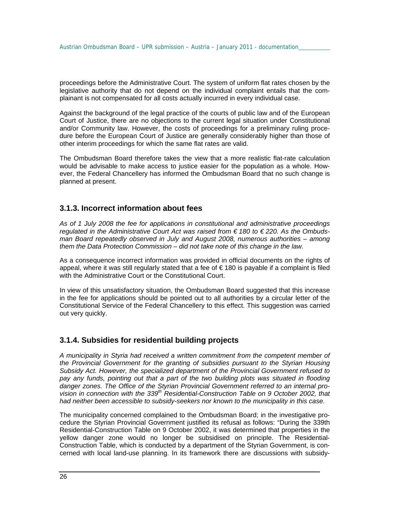proceedings before the Administrative Court. The system of uniform flat rates chosen by the legislative authority that do not depend on the individual complaint entails that the complainant is not compensated for all costs actually incurred in every individual case.

Against the background of the legal practice of the courts of public law and of the European Court of Justice, there are no objections to the current legal situation under Constitutional and/or Community law. However, the costs of proceedings for a preliminary ruling procedure before the European Court of Justice are generally considerably higher than those of other interim proceedings for which the same flat rates are valid.

The Ombudsman Board therefore takes the view that a more realistic flat-rate calculation would be advisable to make access to justice easier for the population as a whole. However, the Federal Chancellery has informed the Ombudsman Board that no such change is planned at present.

## **3.1.3. Incorrect information about fees**

*As of 1 July 2008 the fee for applications in constitutional and administrative proceedings regulated in the Administrative Court Act was raised from € 180 to € 220. As the Ombudsman Board repeatedly observed in July and August 2008, numerous authorities – among them the Data Protection Commission – did not take note of this change in the law.* 

As a consequence incorrect information was provided in official documents on the rights of appeal, where it was still regularly stated that a fee of € 180 is payable if a complaint is filed with the Administrative Court or the Constitutional Court.

In view of this unsatisfactory situation, the Ombudsman Board suggested that this increase in the fee for applications should be pointed out to all authorities by a circular letter of the Constitutional Service of the Federal Chancellery to this effect. This suggestion was carried out very quickly.

## **3.1.4. Subsidies for residential building projects**

*A municipality in Styria had received a written commitment from the competent member of the Provincial Government for the granting of subsidies pursuant to the Styrian Housing Subsidy Act. However, the specialized department of the Provincial Government refused to pay any funds, pointing out that a part of the two building plots was situated in flooding danger zones. The Office of the Styrian Provincial Government referred to an internal provision in connection with the 339th Residential-Construction Table on 9 October 2002, that had neither been accessible to subsidy-seekers nor known to the municipality in this case.* 

The municipality concerned complained to the Ombudsman Board; in the investigative procedure the Styrian Provincial Government justified its refusal as follows: "During the 339th Residential-Construction Table on 9 October 2002, it was determined that properties in the yellow danger zone would no longer be subsidised on principle. The Residential-Construction Table, which is conducted by a department of the Styrian Government, is concerned with local land-use planning. In its framework there are discussions with subsidy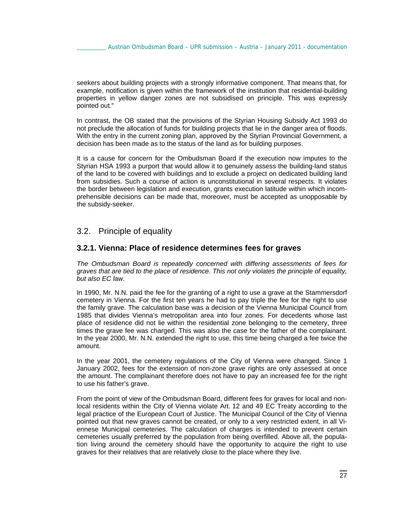seekers about building projects with a strongly informative component. That means that, for example, notification is given within the framework of the institution that residential-building properties in yellow danger zones are not subsidised on principle. This was expressly pointed out."

In contrast, the OB stated that the provisions of the Styrian Housing Subsidy Act 1993 do not preclude the allocation of funds for building projects that lie in the danger area of floods. With the entry in the current zoning plan, approved by the Styrian Provincial Government, a decision has been made as to the status of the land as for building purposes.

It is a cause for concern for the Ombudsman Board if the execution now imputes to the Styrian HSA 1993 a purport that would allow it to genuinely assess the building-land status of the land to be covered with buildings and to exclude a project on dedicated building land from subsidies. Such a course of action is unconstitutional in several respects. It violates the border between legislation and execution, grants execution latitude within which incomprehensible decisions can be made that, moreover, must be accepted as unopposable by the subsidy-seeker.

## 3.2. Principle of equality

### **3.2.1. Vienna: Place of residence determines fees for graves**

*The Ombudsman Board is repeatedly concerned with differing assessments of fees for graves that are tied to the place of residence. This not only violates the principle of equality, but also EC law.* 

In 1990, Mr. N.N. paid the fee for the granting of a right to use a grave at the Stammersdorf cemetery in Vienna. For the first ten years he had to pay triple the fee for the right to use the family grave. The calculation base was a decision of the Vienna Municipal Council from 1985 that divides Vienna's metropolitan area into four zones. For decedents whose last place of residence did not lie within the residential zone belonging to the cemetery, three times the grave fee was charged. This was also the case for the father of the complainant. In the year 2000, Mr. N.N. extended the right to use, this time being charged a fee twice the amount.

In the year 2001, the cemetery regulations of the City of Vienna were changed. Since 1 January 2002, fees for the extension of non-zone grave rights are only assessed at once the amount. The complainant therefore does not have to pay an increased fee for the right to use his father's grave.

From the point of view of the Ombudsman Board, different fees for graves for local and nonlocal residents within the City of Vienna violate Art. 12 and 49 EC Treaty according to the legal practice of the European Court of Justice. The Municipal Council of the City of Vienna pointed out that new graves cannot be created, or only to a very restricted extent, in all Viennese Municipal cemeteries. The calculation of charges is intended to prevent certain cemeteries usually preferred by the population from being overfilled. Above all, the population living around the cemetery should have the opportunity to acquire the right to use graves for their relatives that are relatively close to the place where they live.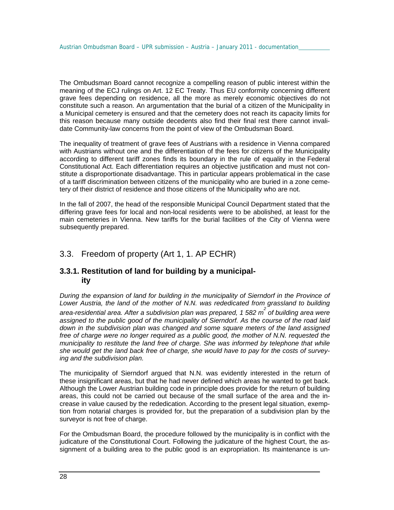The Ombudsman Board cannot recognize a compelling reason of public interest within the meaning of the ECJ rulings on Art. 12 EC Treaty. Thus EU conformity concerning different grave fees depending on residence, all the more as merely economic objectives do not constitute such a reason. An argumentation that the burial of a citizen of the Municipality in a Municipal cemetery is ensured and that the cemetery does not reach its capacity limits for this reason because many outside decedents also find their final rest there cannot invalidate Community-law concerns from the point of view of the Ombudsman Board.

The inequality of treatment of grave fees of Austrians with a residence in Vienna compared with Austrians without one and the differentiation of the fees for citizens of the Municipality according to different tariff zones finds its boundary in the rule of equality in the Federal Constitutional Act. Each differentiation requires an objective justification and must not constitute a disproportionate disadvantage. This in particular appears problematical in the case of a tariff discrimination between citizens of the municipality who are buried in a zone cemetery of their district of residence and those citizens of the Municipality who are not.

In the fall of 2007, the head of the responsible Municipal Council Department stated that the differing grave fees for local and non-local residents were to be abolished, at least for the main cemeteries in Vienna. New tariffs for the burial facilities of the City of Vienna were subsequently prepared.

# 3.3. Freedom of property (Art 1, 1. AP ECHR)

## **3.3.1. Restitution of land for building by a municipality**

*During the expansion of land for building in the municipality of Sierndorf in the Province of Lower Austria, the land of the mother of N.N. was rededicated from grassland to building area-residential area. After a subdivision plan was prepared, 1 582 m<sup>2</sup> of building area were assigned to the public good of the municipality of Sierndorf. As the course of the road laid down in the subdivision plan was changed and some square meters of the land assigned free of charge were no longer required as a public good, the mother of N.N. requested the municipality to restitute the land free of charge. She was informed by telephone that while she would get the land back free of charge, she would have to pay for the costs of surveying and the subdivision plan.* 

The municipality of Sierndorf argued that N.N. was evidently interested in the return of these insignificant areas, but that he had never defined which areas he wanted to get back. Although the Lower Austrian building code in principle does provide for the return of building areas, this could not be carried out because of the small surface of the area and the increase in value caused by the rededication. According to the present legal situation, exemption from notarial charges is provided for, but the preparation of a subdivision plan by the surveyor is not free of charge.

For the Ombudsman Board, the procedure followed by the municipality is in conflict with the judicature of the Constitutional Court. Following the judicature of the highest Court, the assignment of a building area to the public good is an expropriation. Its maintenance is un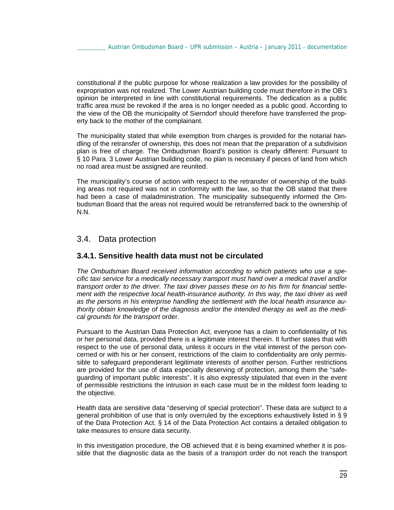constitutional if the public purpose for whose realization a law provides for the possibility of expropriation was not realized. The Lower Austrian building code must therefore in the OB's opinion be interpreted in line with constitutional requirements. The dedication as a public traffic area must be revoked if the area is no longer needed as a public good. According to the view of the OB the municipality of Sierndorf should therefore have transferred the property back to the mother of the complainant.

The municipality stated that while exemption from charges is provided for the notarial handling of the retransfer of ownership, this does not mean that the preparation of a subdivision plan is free of charge. The Ombudsman Board's position is clearly different: Pursuant to § 10 Para. 3 Lower Austrian building code, no plan is necessary if pieces of land from which no road area must be assigned are reunited.

The municipality's course of action with respect to the retransfer of ownership of the building areas not required was not in conformity with the law, so that the OB stated that there had been a case of maladministration. The municipality subsequently informed the Ombudsman Board that the areas not required would be retransferred back to the ownership of N.N.

## 3.4. Data protection

### **3.4.1. Sensitive health data must not be circulated**

*The Ombudsman Board received information according to which patients who use a specific taxi service for a medically necessary transport must hand over a medical travel and/or transport order to the driver. The taxi driver passes these on to his firm for financial settlement with the respective local health-insurance authority. In this way, the taxi driver as well as the persons in his enterprise handling the settlement with the local health insurance authority obtain knowledge of the diagnosis and/or the intended therapy as well as the medical grounds for the transport* order.

Pursuant to the Austrian Data Protection Act, everyone has a claim to confidentiality of his or her personal data, provided there is a legitimate interest therein. It further states that with respect to the use of personal data, unless it occurs in the vital interest of the person concerned or with his or her consent, restrictions of the claim to confidentiality are only permissible to safeguard preponderant legitimate interests of another person. Further restrictions are provided for the use of data especially deserving of protection, among them the "safeguarding of important public interests". It is also expressly stipulated that even in the event of permissible restrictions the intrusion in each case must be in the mildest form leading to the objective.

Health data are sensitive data "deserving of special protection". These data are subject to a general prohibition of use that is only overruled by the exceptions exhaustively listed in § 9 of the Data Protection Act. § 14 of the Data Protection Act contains a detailed obligation to take measures to ensure data security.

In this investigation procedure, the OB achieved that it is being examined whether it is possible that the diagnostic data as the basis of a transport order do not reach the transport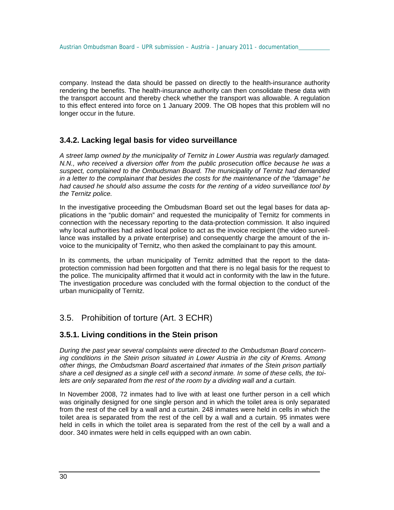company. Instead the data should be passed on directly to the health-insurance authority rendering the benefits. The health-insurance authority can then consolidate these data with the transport account and thereby check whether the transport was allowable. A regulation to this effect entered into force on 1 January 2009. The OB hopes that this problem will no longer occur in the future.

## **3.4.2. Lacking legal basis for video surveillance**

*A street lamp owned by the municipality of Ternitz in Lower Austria was regularly damaged. N.N., who received a diversion offer from the public prosecution office because he was a suspect, complained to the Ombudsman Board. The municipality of Ternitz had demanded in a letter to the complainant that besides the costs for the maintenance of the "damage" he had caused he should also assume the costs for the renting of a video surveillance tool by the Ternitz police.*

In the investigative proceeding the Ombudsman Board set out the legal bases for data applications in the "public domain" and requested the municipality of Ternitz for comments in connection with the necessary reporting to the data-protection commission. It also inquired why local authorities had asked local police to act as the invoice recipient (the video surveillance was installed by a private enterprise) and consequently charge the amount of the invoice to the municipality of Ternitz, who then asked the complainant to pay this amount.

In its comments, the urban municipality of Ternitz admitted that the report to the dataprotection commission had been forgotten and that there is no legal basis for the request to the police. The municipality affirmed that it would act in conformity with the law in the future. The investigation procedure was concluded with the formal objection to the conduct of the urban municipality of Ternitz.

# 3.5. Prohibition of torture (Art. 3 ECHR)

## **3.5.1. Living conditions in the Stein prison**

*During the past year several complaints were directed to the Ombudsman Board concerning conditions in the Stein prison situated in Lower Austria in the city of Krems. Among other things, the Ombudsman Board ascertained that inmates of the Stein prison partially share a cell designed as a single cell with a second inmate. In some of these cells, the toilets are only separated from the rest of the room by a dividing wall and a curtain.* 

In November 2008, 72 inmates had to live with at least one further person in a cell which was originally designed for one single person and in which the toilet area is only separated from the rest of the cell by a wall and a curtain. 248 inmates were held in cells in which the toilet area is separated from the rest of the cell by a wall and a curtain. 95 inmates were held in cells in which the toilet area is separated from the rest of the cell by a wall and a door. 340 inmates were held in cells equipped with an own cabin.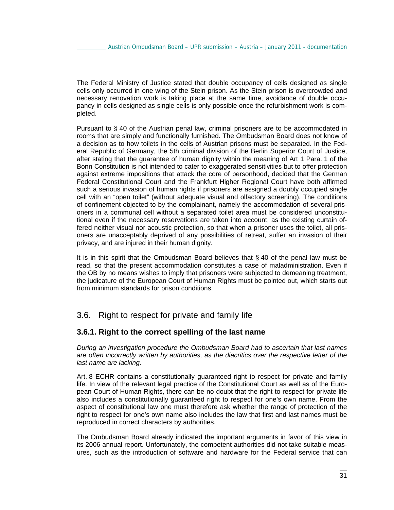The Federal Ministry of Justice stated that double occupancy of cells designed as single cells only occurred in one wing of the Stein prison. As the Stein prison is overcrowded and necessary renovation work is taking place at the same time, avoidance of double occupancy in cells designed as single cells is only possible once the refurbishment work is completed.

Pursuant to § 40 of the Austrian penal law, criminal prisoners are to be accommodated in rooms that are simply and functionally furnished. The Ombudsman Board does not know of a decision as to how toilets in the cells of Austrian prisons must be separated. In the Federal Republic of Germany, the 5th criminal division of the Berlin Superior Court of Justice, after stating that the guarantee of human dignity within the meaning of Art 1 Para. 1 of the Bonn Constitution is not intended to cater to exaggerated sensitivities but to offer protection against extreme impositions that attack the core of personhood, decided that the German Federal Constitutional Court and the Frankfurt Higher Regional Court have both affirmed such a serious invasion of human rights if prisoners are assigned a doubly occupied single cell with an "open toilet" (without adequate visual and olfactory screening). The conditions of confinement objected to by the complainant, namely the accommodation of several prisoners in a communal cell without a separated toilet area must be considered unconstitutional even if the necessary reservations are taken into account, as the existing curtain offered neither visual nor acoustic protection, so that when a prisoner uses the toilet, all prisoners are unacceptably deprived of any possibilities of retreat, suffer an invasion of their privacy, and are injured in their human dignity.

It is in this spirit that the Ombudsman Board believes that § 40 of the penal law must be read, so that the present accommodation constitutes a case of maladministration. Even if the OB by no means wishes to imply that prisoners were subjected to demeaning treatment, the judicature of the European Court of Human Rights must be pointed out, which starts out from minimum standards for prison conditions.

## 3.6. Right to respect for private and family life

## **3.6.1. Right to the correct spelling of the last name**

*During an investigation procedure the Ombudsman Board had to ascertain that last names are often incorrectly written by authorities, as the diacritics over the respective letter of the last name are lacking.* 

Art. 8 ECHR contains a constitutionally guaranteed right to respect for private and family life. In view of the relevant legal practice of the Constitutional Court as well as of the European Court of Human Rights, there can be no doubt that the right to respect for private life also includes a constitutionally guaranteed right to respect for one's own name. From the aspect of constitutional law one must therefore ask whether the range of protection of the right to respect for one's own name also includes the law that first and last names must be reproduced in correct characters by authorities.

The Ombudsman Board already indicated the important arguments in favor of this view in its 2006 annual report. Unfortunately, the competent authorities did not take suitable measures, such as the introduction of software and hardware for the Federal service that can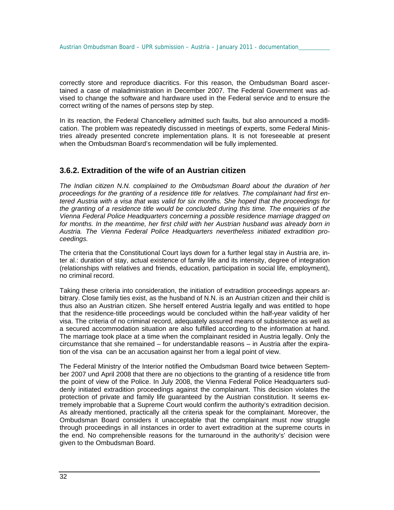correctly store and reproduce diacritics. For this reason, the Ombudsman Board ascertained a case of maladministration in December 2007. The Federal Government was advised to change the software and hardware used in the Federal service and to ensure the correct writing of the names of persons step by step.

In its reaction, the Federal Chancellery admitted such faults, but also announced a modification. The problem was repeatedly discussed in meetings of experts, some Federal Ministries already presented concrete implementation plans. It is not foreseeable at present when the Ombudsman Board's recommendation will be fully implemented.

## **3.6.2. Extradition of the wife of an Austrian citizen**

*The Indian citizen N.N. complained to the Ombudsman Board about the duration of her proceedings for the granting of a residence title for relatives. The complainant had first entered Austria with a visa that was valid for six months. She hoped that the proceedings for the granting of a residence title would be concluded during this time. The enquiries of the Vienna Federal Police Headquarters concerning a possible residence marriage dragged on*  for months. In the meantime, her first child with her Austrian husband was already born in *Austria. The Vienna Federal Police Headquarters nevertheless initiated extradition proceedings.* 

The criteria that the Constitutional Court lays down for a further legal stay in Austria are, inter al.: duration of stay, actual existence of family life and its intensity, degree of integration (relationships with relatives and friends, education, participation in social life, employment), no criminal record.

Taking these criteria into consideration, the initiation of extradition proceedings appears arbitrary. Close family ties exist, as the husband of N.N. is an Austrian citizen and their child is thus also an Austrian citizen. She herself entered Austria legally and was entitled to hope that the residence-title proceedings would be concluded within the half-year validity of her visa. The criteria of no criminal record, adequately assured means of subsistence as well as a secured accommodation situation are also fulfilled according to the information at hand. The marriage took place at a time when the complainant resided in Austria legally. Only the circumstance that she remained – for understandable reasons – in Austria after the expiration of the visa can be an accusation against her from a legal point of view.

The Federal Ministry of the Interior notified the Ombudsman Board twice between September 2007 und April 2008 that there are no objections to the granting of a residence title from the point of view of the Police. In July 2008, the Vienna Federal Police Headquarters suddenly initiated extradition proceedings against the complainant. This decision violates the protection of private and family life guaranteed by the Austrian constitution. It seems extremely improbable that a Supreme Court would confirm the authority's extradition decision. As already mentioned, practically all the criteria speak for the complainant. Moreover, the Ombudsman Board considers it unacceptable that the complainant must now struggle through proceedings in all instances in order to avert extradition at the supreme courts in the end. No comprehensible reasons for the turnaround in the authority's' decision were given to the Ombudsman Board.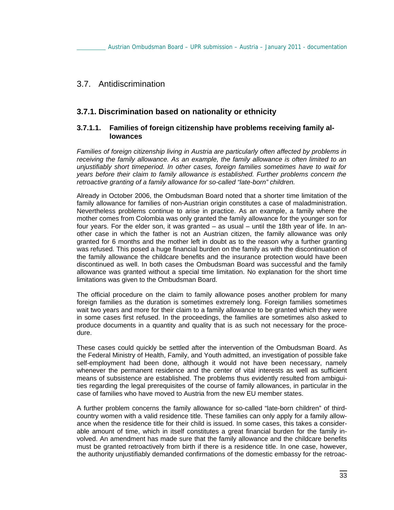## 3.7. Antidiscrimination

## **3.7.1. Discrimination based on nationality or ethnicity**

### **3.7.1.1. Families of foreign citizenship have problems receiving family allowances**

*Families of foreign citizenship living in Austria are particularly often affected by problems in receiving the family allowance. As an example, the family allowance is often limited to an unjustifiably short timeperiod. In other cases, foreign families sometimes have to wait for years before their claim to family allowance is established. Further problems concern the retroactive granting of a family allowance for so-called "late-born" children.* 

Already in October 2006, the Ombudsman Board noted that a shorter time limitation of the family allowance for families of non-Austrian origin constitutes a case of maladministration. Nevertheless problems continue to arise in practice. As an example, a family where the mother comes from Colombia was only granted the family allowance for the younger son for four years. For the elder son, it was granted – as usual – until the 18th year of life. In another case in which the father is not an Austrian citizen, the family allowance was only granted for 6 months and the mother left in doubt as to the reason why a further granting was refused. This posed a huge financial burden on the family as with the discontinuation of the family allowance the childcare benefits and the insurance protection would have been discontinued as well. In both cases the Ombudsman Board was successful and the family allowance was granted without a special time limitation. No explanation for the short time limitations was given to the Ombudsman Board.

The official procedure on the claim to family allowance poses another problem for many foreign families as the duration is sometimes extremely long. Foreign families sometimes wait two years and more for their claim to a family allowance to be granted which they were in some cases first refused. In the proceedings, the families are sometimes also asked to produce documents in a quantity and quality that is as such not necessary for the procedure.

These cases could quickly be settled after the intervention of the Ombudsman Board. As the Federal Ministry of Health, Family, and Youth admitted, an investigation of possible fake self-employment had been done, although it would not have been necessary, namely whenever the permanent residence and the center of vital interests as well as sufficient means of subsistence are established. The problems thus evidently resulted from ambiguities regarding the legal prerequisites of the course of family allowances, in particular in the case of families who have moved to Austria from the new EU member states.

A further problem concerns the family allowance for so-called "late-born children" of thirdcountry women with a valid residence title. These families can only apply for a family allowance when the residence title for their child is issued. In some cases, this takes a considerable amount of time, which in itself constitutes a great financial burden for the family involved. An amendment has made sure that the family allowance and the childcare benefits must be granted retroactively from birth if there is a residence title. In one case, however, the authority unjustifiably demanded confirmations of the domestic embassy for the retroac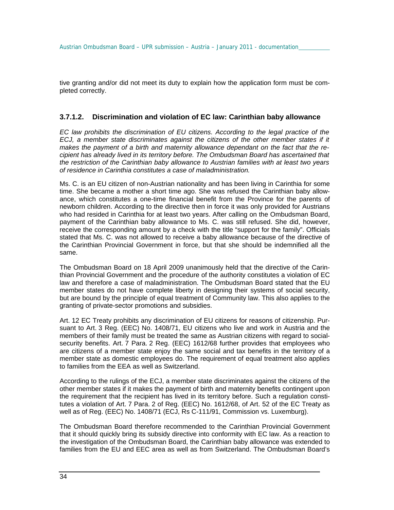tive granting and/or did not meet its duty to explain how the application form must be completed correctly.

#### **3.7.1.2. Discrimination and violation of EC law: Carinthian baby allowance**

*EC law prohibits the discrimination of EU citizens. According to the legal practice of the ECJ, a member state discriminates against the citizens of the other member states if it makes the payment of a birth and maternity allowance dependant on the fact that the recipient has already lived in its territory before. The Ombudsman Board has ascertained that the restriction of the Carinthian baby allowance to Austrian families with at least two years of residence in Carinthia constitutes a case of maladministration.* 

Ms. C. is an EU citizen of non-Austrian nationality and has been living in Carinthia for some time. She became a mother a short time ago. She was refused the Carinthian baby allowance, which constitutes a one-time financial benefit from the Province for the parents of newborn children. According to the directive then in force it was only provided for Austrians who had resided in Carinthia for at least two years. After calling on the Ombudsman Board, payment of the Carinthian baby allowance to Ms. C. was still refused. She did, however, receive the corresponding amount by a check with the title "support for the family". Officials stated that Ms. C. was not allowed to receive a baby allowance because of the directive of the Carinthian Provincial Government in force, but that she should be indemnified all the same.

The Ombudsman Board on 18 April 2009 unanimously held that the directive of the Carinthian Provincial Government and the procedure of the authority constitutes a violation of EC law and therefore a case of maladministration. The Ombudsman Board stated that the EU member states do not have complete liberty in designing their systems of social security, but are bound by the principle of equal treatment of Community law. This also applies to the granting of private-sector promotions and subsidies.

Art. 12 EC Treaty prohibits any discrimination of EU citizens for reasons of citizenship. Pursuant to Art. 3 Reg. (EEC) No. 1408/71, EU citizens who live and work in Austria and the members of their family must be treated the same as Austrian citizens with regard to socialsecurity benefits. Art. 7 Para. 2 Reg. (EEC) 1612/68 further provides that employees who are citizens of a member state enjoy the same social and tax benefits in the territory of a member state as domestic employees do. The requirement of equal treatment also applies to families from the EEA as well as Switzerland.

According to the rulings of the ECJ, a member state discriminates against the citizens of the other member states if it makes the payment of birth and maternity benefits contingent upon the requirement that the recipient has lived in its territory before. Such a regulation constitutes a violation of Art. 7 Para. 2 of Reg. (EEC) No. 1612/68, of Art. 52 of the EC Treaty as well as of Reg. (EEC) No. 1408/71 (ECJ, Rs C-111/91, Commission vs. Luxemburg).

The Ombudsman Board therefore recommended to the Carinthian Provincial Government that it should quickly bring its subsidy directive into conformity with EC law. As a reaction to the investigation of the Ombudsman Board, the Carinthian baby allowance was extended to families from the EU and EEC area as well as from Switzerland. The Ombudsman Board's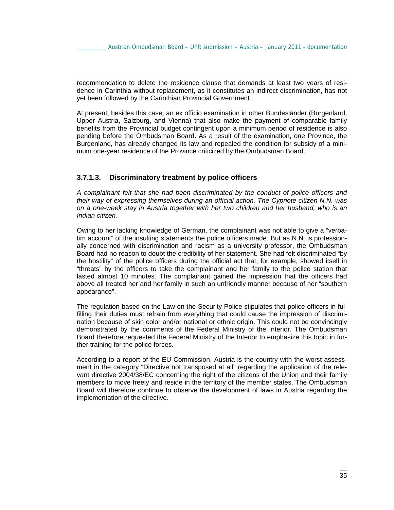recommendation to delete the residence clause that demands at least two years of residence in Carinthia without replacement, as it constitutes an indirect discrimination, has not yet been followed by the Carinthian Provincial Government.

At present, besides this case, an ex officio examination in other Bundesländer (Burgenland, Upper Austria, Salzburg, and Vienna) that also make the payment of comparable family benefits from the Provincial budget contingent upon a minimum period of residence is also pending before the Ombudsman Board. As a result of the examination, one Province, the Burgenland, has already changed its law and repealed the condition for subsidy of a minimum one-year residence of the Province criticized by the Ombudsman Board.

#### **3.7.1.3. Discriminatory treatment by police officers**

*A complainant felt that she had been discriminated by the conduct of police officers and their way of expressing themselves during an official action. The Cypriote citizen N.N. was on a one-week stay in Austria together with her two children and her husband, who is an Indian citizen.* 

Owing to her lacking knowledge of German, the complainant was not able to give a "verbatim account" of the insulting statements the police officers made. But as N.N. is professionally concerned with discrimination and racism as a university professor, the Ombudsman Board had no reason to doubt the credibility of her statement. She had felt discriminated "by the hostility" of the police officers during the official act that, for example, showed itself in "threats" by the officers to take the complainant and her family to the police station that lasted almost 10 minutes. The complainant gained the impression that the officers had above all treated her and her family in such an unfriendly manner because of her "southern appearance".

The regulation based on the Law on the Security Police stipulates that police officers in fulfilling their duties must refrain from everything that could cause the impression of discrimination because of skin color and/or national or ethnic origin. This could not be convincingly demonstrated by the comments of the Federal Ministry of the Interior. The Ombudsman Board therefore requested the Federal Ministry of the Interior to emphasize this topic in further training for the police forces.

According to a report of the EU Commission, Austria is the country with the worst assessment in the category "Directive not transposed at all" regarding the application of the relevant directive 2004/38/EC concerning the right of the citizens of the Union and their family members to move freely and reside in the territory of the member states. The Ombudsman Board will therefore continue to observe the development of laws in Austria regarding the implementation of the directive.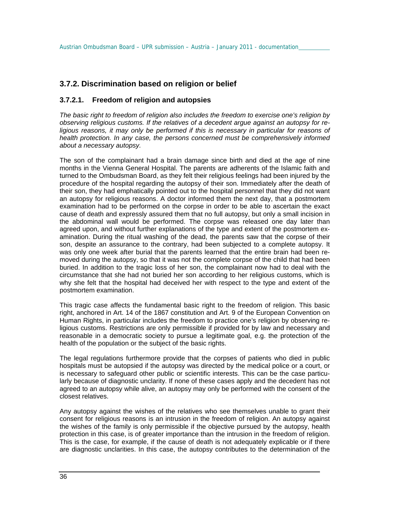## **3.7.2. Discrimination based on religion or belief**

### **3.7.2.1. Freedom of religion and autopsies**

*The basic right to freedom of religion also includes the freedom to exercise one's religion by observing religious customs. If the relatives of a decedent argue against an autopsy for religious reasons, it may only be performed if this is necessary in particular for reasons of health protection. In any case, the persons concerned must be comprehensively informed about a necessary autopsy.* 

The son of the complainant had a brain damage since birth and died at the age of nine months in the Vienna General Hospital. The parents are adherents of the Islamic faith and turned to the Ombudsman Board, as they felt their religious feelings had been injured by the procedure of the hospital regarding the autopsy of their son. Immediately after the death of their son, they had emphatically pointed out to the hospital personnel that they did not want an autopsy for religious reasons. A doctor informed them the next day, that a postmortem examination had to be performed on the corpse in order to be able to ascertain the exact cause of death and expressly assured them that no full autopsy, but only a small incision in the abdominal wall would be performed. The corpse was released one day later than agreed upon, and without further explanations of the type and extent of the postmortem examination. During the ritual washing of the dead, the parents saw that the corpse of their son, despite an assurance to the contrary, had been subjected to a complete autopsy. It was only one week after burial that the parents learned that the entire brain had been removed during the autopsy, so that it was not the complete corpse of the child that had been buried. In addition to the tragic loss of her son, the complainant now had to deal with the circumstance that she had not buried her son according to her religious customs, which is why she felt that the hospital had deceived her with respect to the type and extent of the postmortem examination.

This tragic case affects the fundamental basic right to the freedom of religion. This basic right, anchored in Art. 14 of the 1867 constitution and Art. 9 of the European Convention on Human Rights, in particular includes the freedom to practice one's religion by observing religious customs. Restrictions are only permissible if provided for by law and necessary and reasonable in a democratic society to pursue a legitimate goal, e.g. the protection of the health of the population or the subject of the basic rights.

The legal regulations furthermore provide that the corpses of patients who died in public hospitals must be autopsied if the autopsy was directed by the medical police or a court, or is necessary to safeguard other public or scientific interests. This can be the case particularly because of diagnostic unclarity. If none of these cases apply and the decedent has not agreed to an autopsy while alive, an autopsy may only be performed with the consent of the closest relatives.

Any autopsy against the wishes of the relatives who see themselves unable to grant their consent for religious reasons is an intrusion in the freedom of religion. An autopsy against the wishes of the family is only permissible if the objective pursued by the autopsy, health protection in this case, is of greater importance than the intrusion in the freedom of religion. This is the case, for example, if the cause of death is not adequately explicable or if there are diagnostic unclarities. In this case, the autopsy contributes to the determination of the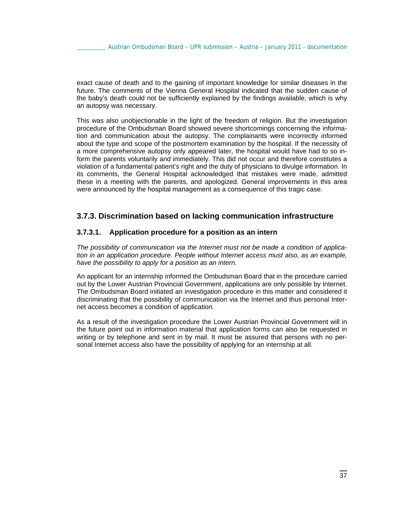exact cause of death and to the gaining of important knowledge for similar diseases in the future. The comments of the Vienna General Hospital indicated that the sudden cause of the baby's death could not be sufficiently explained by the findings available, which is why an autopsy was necessary.

This was also unobjectionable in the light of the freedom of religion. But the investigation procedure of the Ombudsman Board showed severe shortcomings concerning the information and communication about the autopsy. The complainants were incorrectly informed about the type and scope of the postmortem examination by the hospital. If the necessity of a more comprehensive autopsy only appeared later, the hospital would have had to so inform the parents voluntarily and immediately. This did not occur and therefore constitutes a violation of a fundamental patient's right and the duty of physicians to divulge information. In its comments, the General Hospital acknowledged that mistakes were made, admitted these in a meeting with the parents, and apologized. General improvements in this area were announced by the hospital management as a consequence of this tragic case.

### **3.7.3. Discrimination based on lacking communication infrastructure**

#### **3.7.3.1. Application procedure for a position as an intern**

*The possibility of communication via the Internet must not be made a condition of application in an application procedure. People without Internet access must also, as an example, have the possibility to apply for a position as an intern.*

An applicant for an internship informed the Ombudsman Board that in the procedure carried out by the Lower Austrian Provincial Government, applications are only possible by Internet. The Ombudsman Board initiated an investigation procedure in this matter and considered it discriminating that the possibility of communication via the Internet and thus personal Internet access becomes a condition of application.

As a result of the investigation procedure the Lower Austrian Provincial Government will in the future point out in information material that application forms can also be requested in writing or by telephone and sent in by mail. It must be assured that persons with no personal Internet access also have the possibility of applying for an internship at all.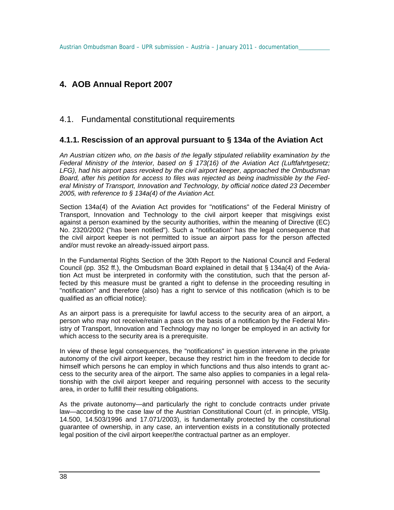# **4. AOB Annual Report 2007**

### 4.1. Fundamental constitutional requirements

### **4.1.1. Rescission of an approval pursuant to § 134a of the Aviation Act**

*An Austrian citizen who, on the basis of the legally stipulated reliability examination by the Federal Ministry of the Interior, based on § 173(16) of the Aviation Act (Luftfahrtgesetz; LFG), had his airport pass revoked by the civil airport keeper, approached the Ombudsman Board, after his petition for access to files was rejected as being inadmissible by the Federal Ministry of Transport, Innovation and Technology, by official notice dated 23 December 2005, with reference to § 134a(4) of the Aviation Act.* 

Section 134a(4) of the Aviation Act provides for "notifications" of the Federal Ministry of Transport, Innovation and Technology to the civil airport keeper that misgivings exist against a person examined by the security authorities, within the meaning of Directive (EC) No. 2320/2002 ("has been notified"). Such a "notification" has the legal consequence that the civil airport keeper is not permitted to issue an airport pass for the person affected and/or must revoke an already-issued airport pass.

In the Fundamental Rights Section of the 30th Report to the National Council and Federal Council (pp. 352 ff.), the Ombudsman Board explained in detail that § 134a(4) of the Aviation Act must be interpreted in conformity with the constitution, such that the person affected by this measure must be granted a right to defense in the proceeding resulting in "notification" and therefore (also) has a right to service of this notification (which is to be qualified as an official notice):

As an airport pass is a prerequisite for lawful access to the security area of an airport, a person who may not receive/retain a pass on the basis of a notification by the Federal Ministry of Transport, Innovation and Technology may no longer be employed in an activity for which access to the security area is a prerequisite.

In view of these legal consequences, the "notifications" in question intervene in the private autonomy of the civil airport keeper, because they restrict him in the freedom to decide for himself which persons he can employ in which functions and thus also intends to grant access to the security area of the airport. The same also applies to companies in a legal relationship with the civil airport keeper and requiring personnel with access to the security area, in order to fulfill their resulting obligations.

As the private autonomy—and particularly the right to conclude contracts under private law—according to the case law of the Austrian Constitutional Court (cf. in principle, VfSlg. 14.500, 14.503/1996 and 17.071/2003), is fundamentally protected by the constitutional guarantee of ownership, in any case, an intervention exists in a constitutionally protected legal position of the civil airport keeper/the contractual partner as an employer.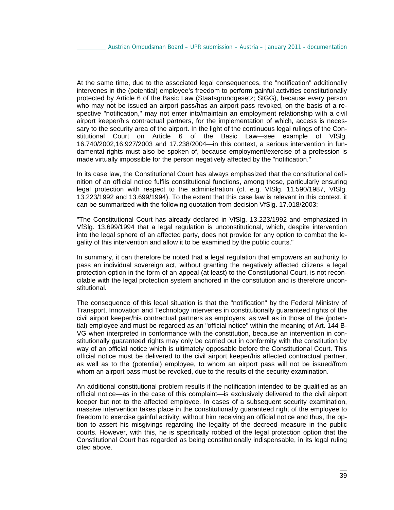At the same time, due to the associated legal consequences, the "notification" additionally intervenes in the (potential) employee's freedom to perform gainful activities constitutionally protected by Article 6 of the Basic Law (Staatsgrundgesetz; StGG), because every person who may not be issued an airport pass/has an airport pass revoked, on the basis of a respective "notification," may not enter into/maintain an employment relationship with a civil airport keeper/his contractual partners, for the implementation of which, access is necessary to the security area of the airport. In the light of the continuous legal rulings of the Constitutional Court on Article 6 of the Basic Law—see example of VfSlg. 16.740/2002,16.927/2003 and 17.238/2004—in this context, a serious intervention in fundamental rights must also be spoken of, because employment/exercise of a profession is made virtually impossible for the person negatively affected by the "notification."

In its case law, the Constitutional Court has always emphasized that the constitutional definition of an official notice fulfils constitutional functions, among these, particularly ensuring legal protection with respect to the administration (cf. e.g. VfSlg. 11.590/1987, VfSlg. 13.223/1992 and 13.699/1994). To the extent that this case law is relevant in this context, it can be summarized with the following quotation from decision VfSlg. 17.018/2003:

"The Constitutional Court has already declared in VfSlg. 13.223/1992 and emphasized in VfSlg. 13.699/1994 that a legal regulation is unconstitutional, which, despite intervention into the legal sphere of an affected party, does not provide for any option to combat the legality of this intervention and allow it to be examined by the public courts."

In summary, it can therefore be noted that a legal regulation that empowers an authority to pass an individual sovereign act, without granting the negatively affected citizens a legal protection option in the form of an appeal (at least) to the Constitutional Court, is not reconcilable with the legal protection system anchored in the constitution and is therefore unconstitutional.

The consequence of this legal situation is that the "notification" by the Federal Ministry of Transport, Innovation and Technology intervenes in constitutionally guaranteed rights of the civil airport keeper/his contractual partners as employers, as well as in those of the (potential) employee and must be regarded as an "official notice" within the meaning of Art. 144 B-VG when interpreted in conformance with the constitution, because an intervention in constitutionally guaranteed rights may only be carried out in conformity with the constitution by way of an official notice which is ultimately opposable before the Constitutional Court. This official notice must be delivered to the civil airport keeper/his affected contractual partner, as well as to the (potential) employee, to whom an airport pass will not be issued/from whom an airport pass must be revoked, due to the results of the security examination.

An additional constitutional problem results if the notification intended to be qualified as an official notice—as in the case of this complaint—is exclusively delivered to the civil airport keeper but not to the affected employee. In cases of a subsequent security examination, massive intervention takes place in the constitutionally guaranteed right of the employee to freedom to exercise gainful activity, without him receiving an official notice and thus, the option to assert his misgivings regarding the legality of the decreed measure in the public courts. However, with this, he is specifically robbed of the legal protection option that the Constitutional Court has regarded as being constitutionally indispensable, in its legal ruling cited above.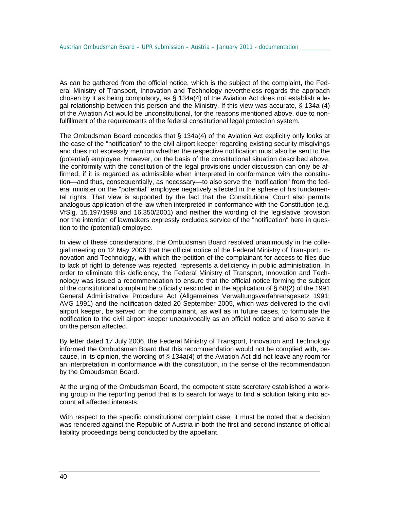As can be gathered from the official notice, which is the subject of the complaint, the Federal Ministry of Transport, Innovation and Technology nevertheless regards the approach chosen by it as being compulsory, as  $\S$  134a(4) of the Aviation Act does not establish a legal relationship between this person and the Ministry. If this view was accurate, § 134a (4) of the Aviation Act would be unconstitutional, for the reasons mentioned above, due to nonfulfillment of the requirements of the federal constitutional legal protection system.

The Ombudsman Board concedes that § 134a(4) of the Aviation Act explicitly only looks at the case of the "notification" to the civil airport keeper regarding existing security misgivings and does not expressly mention whether the respective notification must also be sent to the (potential) employee. However, on the basis of the constitutional situation described above, the conformity with the constitution of the legal provisions under discussion can only be affirmed, if it is regarded as admissible when interpreted in conformance with the constitution—and thus, consequentially, as necessary—to also serve the "notification" from the federal minister on the "potential" employee negatively affected in the sphere of his fundamental rights. That view is supported by the fact that the Constitutional Court also permits analogous application of the law when interpreted in conformance with the Constitution (e.g. VfSlg. 15.197/1998 and 16.350/2001) and neither the wording of the legislative provision nor the intention of lawmakers expressly excludes service of the "notification" here in question to the (potential) employee.

In view of these considerations, the Ombudsman Board resolved unanimously in the collegial meeting on 12 May 2006 that the official notice of the Federal Ministry of Transport, Innovation and Technology, with which the petition of the complainant for access to files due to lack of right to defense was rejected, represents a deficiency in public administration. In order to eliminate this deficiency, the Federal Ministry of Transport, Innovation and Technology was issued a recommendation to ensure that the official notice forming the subject of the constitutional complaint be officially rescinded in the application of § 68(2) of the 1991 General Administrative Procedure Act (Allgemeines Verwaltungsverfahrensgesetz 1991; AVG 1991) and the notification dated 20 September 2005, which was delivered to the civil airport keeper, be served on the complainant, as well as in future cases, to formulate the notification to the civil airport keeper unequivocally as an official notice and also to serve it on the person affected.

By letter dated 17 July 2006, the Federal Ministry of Transport, Innovation and Technology informed the Ombudsman Board that this recommendation would not be complied with, because, in its opinion, the wording of § 134a(4) of the Aviation Act did not leave any room for an interpretation in conformance with the constitution, in the sense of the recommendation by the Ombudsman Board.

At the urging of the Ombudsman Board, the competent state secretary established a working group in the reporting period that is to search for ways to find a solution taking into account all affected interests.

With respect to the specific constitutional complaint case, it must be noted that a decision was rendered against the Republic of Austria in both the first and second instance of official liability proceedings being conducted by the appellant.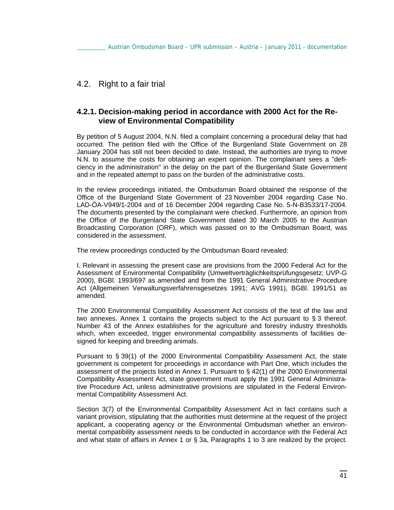## 4.2. Right to a fair trial

### **4.2.1. Decision-making period in accordance with 2000 Act for the Review of Environmental Compatibility**

By petition of 5 August 2004, N.N. filed a complaint concerning a procedural delay that had occurred. The petition filed with the Office of the Burgenland State Government on 28 January 2004 has still not been decided to date. Instead, the authorities are trying to move N.N. to assume the costs for obtaining an expert opinion. The complainant sees a "deficiency in the administration" in the delay on the part of the Burgenland State Government and in the repeated attempt to pass on the burden of the administrative costs.

In the review proceedings initiated, the Ombudsman Board obtained the response of the Office of the Burgenland State Government of 23 November 2004 regarding Case No. LAD-ÖA-V949/1-2004 and of 16 December 2004 regarding Case No. 5-N-B3533/17-2004. The documents presented by the complainant were checked. Furthermore, an opinion from the Office of the Burgenland State Government dated 30 March 2005 to the Austrian Broadcasting Corporation (ORF), which was passed on to the Ombudsman Board, was considered in the assessment.

The review proceedings conducted by the Ombudsman Board revealed:

I. Relevant in assessing the present case are provisions from the 2000 Federal Act for the Assessment of Environmental Compatibility (Umweltverträglichkeitsprüfungsgesetz; UVP-G 2000), BGBl. 1993/697 as amended and from the 1991 General Administrative Procedure Act (Allgemeinen Verwaltungsverfahrensgesetzes 1991; AVG 1991), BGBl. 1991/51 as amended.

The 2000 Environmental Compatibility Assessment Act consists of the text of the law and two annexes. Annex 1 contains the projects subject to the Act pursuant to § 3 thereof. Number 43 of the Annex establishes for the agriculture and forestry industry thresholds which, when exceeded, trigger environmental compatibility assessments of facilities designed for keeping and breeding animals.

Pursuant to § 39(1) of the 2000 Environmental Compatibility Assessment Act, the state government is competent for proceedings in accordance with Part One, which includes the assessment of the projects listed in Annex 1. Pursuant to § 42(1) of the 2000 Environmental Compatibility Assessment Act, state government must apply the 1991 General Administrative Procedure Act, unless administrative provisions are stipulated in the Federal Environmental Compatibility Assessment Act.

Section 3(7) of the Environmental Compatibility Assessment Act in fact contains such a variant provision, stipulating that the authorities must determine at the request of the project applicant, a cooperating agency or the Environmental Ombudsman whether an environmental compatibility assessment needs to be conducted in accordance with the Federal Act and what state of affairs in Annex 1 or § 3a, Paragraphs 1 to 3 are realized by the project.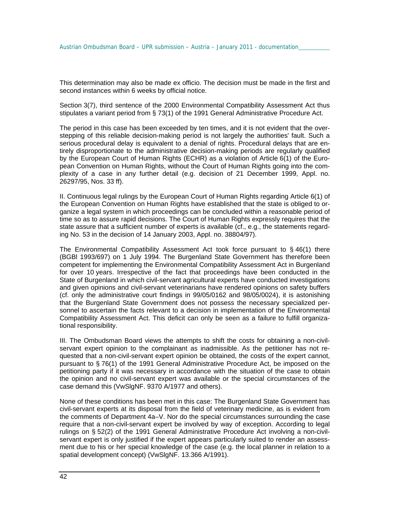This determination may also be made ex officio. The decision must be made in the first and second instances within 6 weeks by official notice.

Section 3(7), third sentence of the 2000 Environmental Compatibility Assessment Act thus stipulates a variant period from § 73(1) of the 1991 General Administrative Procedure Act.

The period in this case has been exceeded by ten times, and it is not evident that the overstepping of this reliable decision-making period is not largely the authorities' fault. Such a serious procedural delay is equivalent to a denial of rights. Procedural delays that are entirely disproportionate to the administrative decision-making periods are regularly qualified by the European Court of Human Rights (ECHR) as a violation of Article 6(1) of the European Convention on Human Rights, without the Court of Human Rights going into the complexity of a case in any further detail (e.g. decision of 21 December 1999, Appl. no. 26297/95, Nos. 33 ff).

II. Continuous legal rulings by the European Court of Human Rights regarding Article 6(1) of the European Convention on Human Rights have established that the state is obliged to organize a legal system in which proceedings can be concluded within a reasonable period of time so as to assure rapid decisions. The Court of Human Rights expressly requires that the state assure that a sufficient number of experts is available (cf., e.g., the statements regarding No. 53 in the decision of 14 January 2003, Appl. no. 38804/97).

The Environmental Compatibility Assessment Act took force pursuant to  $\S$  46(1) there (BGBl 1993/697) on 1 July 1994. The Burgenland State Government has therefore been competent for implementing the Environmental Compatibility Assessment Act in Burgenland for over 10 years. Irrespective of the fact that proceedings have been conducted in the State of Burgenland in which civil-servant agricultural experts have conducted investigations and given opinions and civil-servant veterinarians have rendered opinions on safety buffers (cf. only the administrative court findings in 99/05/0162 and 98/05/0024), it is astonishing that the Burgenland State Government does not possess the necessary specialized personnel to ascertain the facts relevant to a decision in implementation of the Environmental Compatibility Assessment Act. This deficit can only be seen as a failure to fulfill organizational responsibility.

III. The Ombudsman Board views the attempts to shift the costs for obtaining a non-civilservant expert opinion to the complainant as inadmissible. As the petitioner has not requested that a non-civil-servant expert opinion be obtained, the costs of the expert cannot, pursuant to § 76(1) of the 1991 General Administrative Procedure Act, be imposed on the petitioning party if it was necessary in accordance with the situation of the case to obtain the opinion and no civil-servant expert was available or the special circumstances of the case demand this (VwSlgNF. 9370 A/1977 and others).

None of these conditions has been met in this case: The Burgenland State Government has civil-servant experts at its disposal from the field of veterinary medicine, as is evident from the comments of Department 4a–V. Nor do the special circumstances surrounding the case require that a non-civil-servant expert be involved by way of exception. According to legal rulings on § 52(2) of the 1991 General Administrative Procedure Act involving a non-civilservant expert is only justified if the expert appears particularly suited to render an assessment due to his or her special knowledge of the case (e.g. the local planner in relation to a spatial development concept) (VwSlgNF. 13.366 A/1991).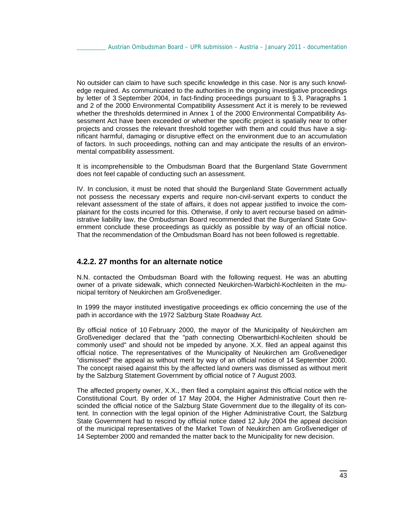No outsider can claim to have such specific knowledge in this case. Nor is any such knowledge required. As communicated to the authorities in the ongoing investigative proceedings by letter of 3 September 2004, in fact-finding proceedings pursuant to § 3, Paragraphs 1 and 2 of the 2000 Environmental Compatibility Assessment Act it is merely to be reviewed whether the thresholds determined in Annex 1 of the 2000 Environmental Compatibility Assessment Act have been exceeded or whether the specific project is spatially near to other projects and crosses the relevant threshold together with them and could thus have a significant harmful, damaging or disruptive effect on the environment due to an accumulation of factors. In such proceedings, nothing can and may anticipate the results of an environmental compatibility assessment.

It is incomprehensible to the Ombudsman Board that the Burgenland State Government does not feel capable of conducting such an assessment.

IV. In conclusion, it must be noted that should the Burgenland State Government actually not possess the necessary experts and require non-civil-servant experts to conduct the relevant assessment of the state of affairs, it does not appear justified to invoice the complainant for the costs incurred for this. Otherwise, if only to avert recourse based on administrative liability law, the Ombudsman Board recommended that the Burgenland State Government conclude these proceedings as quickly as possible by way of an official notice. That the recommendation of the Ombudsman Board has not been followed is regrettable.

#### **4.2.2. 27 months for an alternate notice**

N.N. contacted the Ombudsman Board with the following request. He was an abutting owner of a private sidewalk, which connected Neukirchen-Warbichl-Kochleiten in the municipal territory of Neukirchen am Großvenediger.

In 1999 the mayor instituted investigative proceedings ex officio concerning the use of the path in accordance with the 1972 Salzburg State Roadway Act.

By official notice of 10 February 2000, the mayor of the Municipality of Neukirchen am Großvenediger declared that the "path connecting Oberwartbichl-Kochleiten should be commonly used" and should not be impeded by anyone. X.X. filed an appeal against this official notice. The representatives of the Municipality of Neukirchen am Großvenediger "dismissed" the appeal as without merit by way of an official notice of 14 September 2000. The concept raised against this by the affected land owners was dismissed as without merit by the Salzburg Statement Government by official notice of 7 August 2003.

The affected property owner, X.X., then filed a complaint against this official notice with the Constitutional Court. By order of 17 May 2004, the Higher Administrative Court then rescinded the official notice of the Salzburg State Government due to the illegality of its content. In connection with the legal opinion of the Higher Administrative Court, the Salzburg State Government had to rescind by official notice dated 12 July 2004 the appeal decision of the municipal representatives of the Market Town of Neukirchen am Großvenediger of 14 September 2000 and remanded the matter back to the Municipality for new decision.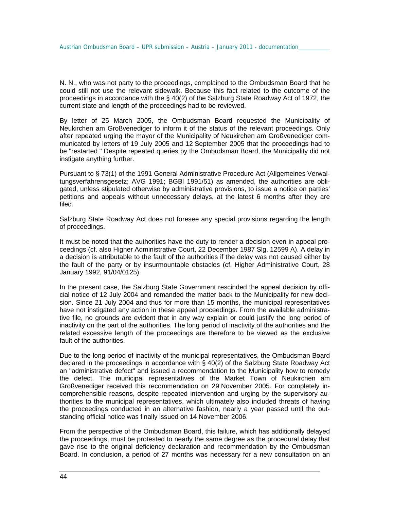N. N., who was not party to the proceedings, complained to the Ombudsman Board that he could still not use the relevant sidewalk. Because this fact related to the outcome of the proceedings in accordance with the § 40(2) of the Salzburg State Roadway Act of 1972, the current state and length of the proceedings had to be reviewed.

By letter of 25 March 2005, the Ombudsman Board requested the Municipality of Neukirchen am Großvenediger to inform it of the status of the relevant proceedings. Only after repeated urging the mayor of the Municipality of Neukirchen am Großvenediger communicated by letters of 19 July 2005 and 12 September 2005 that the proceedings had to be "restarted." Despite repeated queries by the Ombudsman Board, the Municipality did not instigate anything further.

Pursuant to § 73(1) of the 1991 General Administrative Procedure Act (Allgemeines Verwaltungsverfahrensgesetz; AVG 1991; BGBl 1991/51) as amended, the authorities are obligated, unless stipulated otherwise by administrative provisions, to issue a notice on parties' petitions and appeals without unnecessary delays, at the latest 6 months after they are filed.

Salzburg State Roadway Act does not foresee any special provisions regarding the length of proceedings.

It must be noted that the authorities have the duty to render a decision even in appeal proceedings (cf. also Higher Administrative Court, 22 December 1987 Slg. 12599 A). A delay in a decision is attributable to the fault of the authorities if the delay was not caused either by the fault of the party or by insurmountable obstacles (cf. Higher Administrative Court, 28 January 1992, 91/04/0125).

In the present case, the Salzburg State Government rescinded the appeal decision by official notice of 12 July 2004 and remanded the matter back to the Municipality for new decision. Since 21 July 2004 and thus for more than 15 months, the municipal representatives have not instigated any action in these appeal proceedings. From the available administrative file, no grounds are evident that in any way explain or could justify the long period of inactivity on the part of the authorities. The long period of inactivity of the authorities and the related excessive length of the proceedings are therefore to be viewed as the exclusive fault of the authorities.

Due to the long period of inactivity of the municipal representatives, the Ombudsman Board declared in the proceedings in accordance with § 40(2) of the Salzburg State Roadway Act an "administrative defect" and issued a recommendation to the Municipality how to remedy the defect. The municipal representatives of the Market Town of Neukirchen am Großvenediger received this recommendation on 29 November 2005. For completely incomprehensible reasons, despite repeated intervention and urging by the supervisory authorities to the municipal representatives, which ultimately also included threats of having the proceedings conducted in an alternative fashion, nearly a year passed until the outstanding official notice was finally issued on 14 November 2006.

From the perspective of the Ombudsman Board, this failure, which has additionally delayed the proceedings, must be protested to nearly the same degree as the procedural delay that gave rise to the original deficiency declaration and recommendation by the Ombudsman Board. In conclusion, a period of 27 months was necessary for a new consultation on an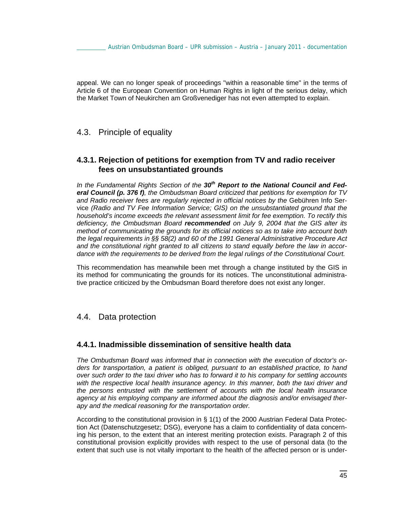appeal. We can no longer speak of proceedings "within a reasonable time" in the terms of Article 6 of the European Convention on Human Rights in light of the serious delay, which the Market Town of Neukirchen am Großvenediger has not even attempted to explain.

## 4.3. Principle of equality

### **4.3.1. Rejection of petitions for exemption from TV and radio receiver fees on unsubstantiated grounds**

*In the Fundamental Rights Section of the 30th Report to the National Council and Federal Council (p. 376 f), the Ombudsman Board criticized that petitions for exemption for TV*  and Radio receiver fees are regularly rejected in official notices by the Gebühren Info Service *(Radio and TV Fee Information Service; GIS) on the unsubstantiated ground that the household's income exceeds the relevant assessment limit for fee exemption. To rectify this deficiency, the Ombudsman Board recommended on July 9, 2004 that the GIS alter its method of communicating the grounds for its official notices so as to take into account both the legal requirements in §§ 58(2) and 60 of the 1991 General Administrative Procedure Act and the constitutional right granted to all citizens to stand equally before the law in accordance with the requirements to be derived from the legal rulings of the Constitutional Court.* 

This recommendation has meanwhile been met through a change instituted by the GIS in its method for communicating the grounds for its notices. The unconstitutional administrative practice criticized by the Ombudsman Board therefore does not exist any longer.

### 4.4. Data protection

### **4.4.1. Inadmissible dissemination of sensitive health data**

*The Ombudsman Board was informed that in connection with the execution of doctor's orders for transportation, a patient is obliged, pursuant to an established practice, to hand over such order to the taxi driver who has to forward it to his company for settling accounts*  with the respective local health insurance agency. In this manner, both the taxi driver and *the persons entrusted with the settlement of accounts with the local health insurance agency at his employing company are informed about the diagnosis and/or envisaged therapy and the medical reasoning for the transportation order.* 

According to the constitutional provision in § 1(1) of the 2000 Austrian Federal Data Protection Act (Datenschutzgesetz; DSG), everyone has a claim to confidentiality of data concerning his person, to the extent that an interest meriting protection exists. Paragraph 2 of this constitutional provision explicitly provides with respect to the use of personal data (to the extent that such use is not vitally important to the health of the affected person or is under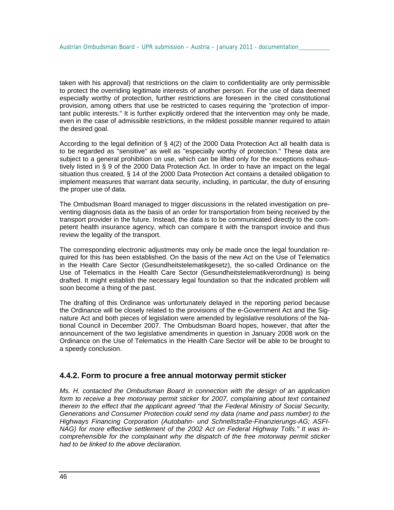taken with his approval) that restrictions on the claim to confidentiality are only permissible to protect the overriding legitimate interests of another person. For the use of data deemed especially worthy of protection, further restrictions are foreseen in the cited constitutional provision, among others that use be restricted to cases requiring the "protection of important public interests." It is further explicitly ordered that the intervention may only be made, even in the case of admissible restrictions, in the mildest possible manner required to attain the desired goal.

According to the legal definition of § 4(2) of the 2000 Data Protection Act all health data is to be regarded as "sensitive" as well as "especially worthy of protection." These data are subject to a general prohibition on use, which can be lifted only for the exceptions exhaustively listed in § 9 of the 2000 Data Protection Act. In order to have an impact on the legal situation thus created, § 14 of the 2000 Data Protection Act contains a detailed obligation to implement measures that warrant data security, including, in particular, the duty of ensuring the proper use of data.

The Ombudsman Board managed to trigger discussions in the related investigation on preventing diagnosis data as the basis of an order for transportation from being received by the transport provider in the future. Instead, the data is to be communicated directly to the competent health insurance agency, which can compare it with the transport invoice and thus review the legality of the transport.

The corresponding electronic adjustments may only be made once the legal foundation required for this has been established. On the basis of the new Act on the Use of Telematics in the Health Care Sector (Gesundheitstelematikgesetz), the so-called Ordinance on the Use of Telematics in the Health Care Sector (Gesundheitstelematikverordnung) is being drafted. It might establish the necessary legal foundation so that the indicated problem will soon become a thing of the past.

The drafting of this Ordinance was unfortunately delayed in the reporting period because the Ordinance will be closely related to the provisions of the e-Government Act and the Signature Act and both pieces of legislation were amended by legislative resolutions of the National Council in December 2007. The Ombudsman Board hopes, however, that after the announcement of the two legislative amendments in question in January 2008 work on the Ordinance on the Use of Telematics in the Health Care Sector will be able to be brought to a speedy conclusion.

#### **4.4.2. Form to procure a free annual motorway permit sticker**

*Ms. H. contacted the Ombudsman Board in connection with the design of an application form to receive a free motorway permit sticker for 2007, complaining about text contained therein to the effect that the applicant agreed "that the Federal Ministry of Social Security, Generations and Consumer Protection could send my data (name and pass number) to the Highways Financing Corporation (Autobahn- und Schnellstraße-Finanzierungs-AG; ASFI-NAG) for more effective settlement of the 2002 Act on Federal Highway Tolls." It was incomprehensible for the complainant why the dispatch of the free motorway permit sticker had to be linked to the above declaration.*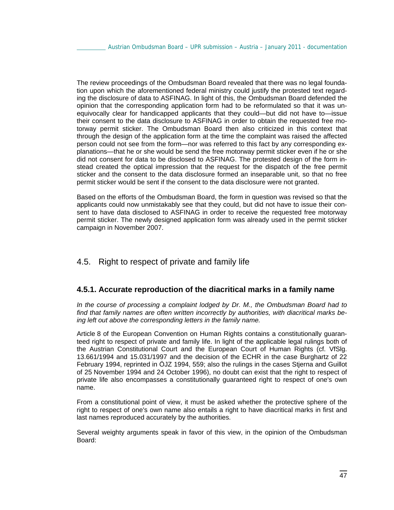The review proceedings of the Ombudsman Board revealed that there was no legal foundation upon which the aforementioned federal ministry could justify the protested text regarding the disclosure of data to ASFINAG. In light of this, the Ombudsman Board defended the opinion that the corresponding application form had to be reformulated so that it was unequivocally clear for handicapped applicants that they could—but did not have to—issue their consent to the data disclosure to ASFINAG in order to obtain the requested free motorway permit sticker. The Ombudsman Board then also criticized in this context that through the design of the application form at the time the complaint was raised the affected person could not see from the form—nor was referred to this fact by any corresponding explanations—that he or she would be send the free motorway permit sticker even if he or she did not consent for data to be disclosed to ASFINAG. The protested design of the form instead created the optical impression that the request for the dispatch of the free permit sticker and the consent to the data disclosure formed an inseparable unit, so that no free permit sticker would be sent if the consent to the data disclosure were not granted.

Based on the efforts of the Ombudsman Board, the form in question was revised so that the applicants could now unmistakably see that they could, but did not have to issue their consent to have data disclosed to ASFINAG in order to receive the requested free motorway permit sticker. The newly designed application form was already used in the permit sticker campaign in November 2007.

## 4.5. Right to respect of private and family life

#### **4.5.1. Accurate reproduction of the diacritical marks in a family name**

*In the course of processing a complaint lodged by Dr. M., the Ombudsman Board had to find that family names are often written incorrectly by authorities, with diacritical marks being left out above the corresponding letters in the family name.* 

Article 8 of the European Convention on Human Rights contains a constitutionally guaranteed right to respect of private and family life. In light of the applicable legal rulings both of the Austrian Constitutional Court and the European Court of Human Rights (cf. VfSlg. 13.661/1994 and 15.031/1997 and the decision of the ECHR in the case Burghartz of 22 February 1994, reprinted in ÖJZ 1994, 559; also the rulings in the cases Stjerna and Guillot of 25 November 1994 and 24 October 1996), no doubt can exist that the right to respect of private life also encompasses a constitutionally guaranteed right to respect of one's own name.

From a constitutional point of view, it must be asked whether the protective sphere of the right to respect of one's own name also entails a right to have diacritical marks in first and last names reproduced accurately by the authorities.

Several weighty arguments speak in favor of this view, in the opinion of the Ombudsman Board: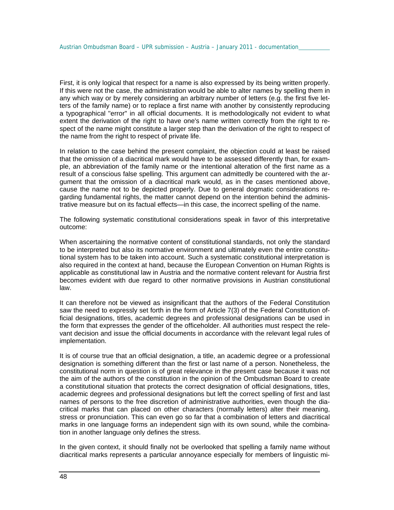First, it is only logical that respect for a name is also expressed by its being written properly. If this were not the case, the administration would be able to alter names by spelling them in any which way or by merely considering an arbitrary number of letters (e.g. the first five letters of the family name) or to replace a first name with another by consistently reproducing a typographical "error" in all official documents. It is methodologically not evident to what extent the derivation of the right to have one's name written correctly from the right to respect of the name might constitute a larger step than the derivation of the right to respect of the name from the right to respect of private life.

In relation to the case behind the present complaint, the objection could at least be raised that the omission of a diacritical mark would have to be assessed differently than, for example, an abbreviation of the family name or the intentional alteration of the first name as a result of a conscious false spelling. This argument can admittedly be countered with the argument that the omission of a diacritical mark would, as in the cases mentioned above, cause the name not to be depicted properly. Due to general dogmatic considerations regarding fundamental rights, the matter cannot depend on the intention behind the administrative measure but on its factual effects—in this case, the incorrect spelling of the name.

The following systematic constitutional considerations speak in favor of this interpretative outcome:

When ascertaining the normative content of constitutional standards, not only the standard to be interpreted but also its normative environment and ultimately even the entire constitutional system has to be taken into account. Such a systematic constitutional interpretation is also required in the context at hand, because the European Convention on Human Rights is applicable as constitutional law in Austria and the normative content relevant for Austria first becomes evident with due regard to other normative provisions in Austrian constitutional law.

It can therefore not be viewed as insignificant that the authors of the Federal Constitution saw the need to expressly set forth in the form of Article 7(3) of the Federal Constitution official designations, titles, academic degrees and professional designations can be used in the form that expresses the gender of the officeholder. All authorities must respect the relevant decision and issue the official documents in accordance with the relevant legal rules of implementation.

It is of course true that an official designation, a title, an academic degree or a professional designation is something different than the first or last name of a person. Nonetheless, the constitutional norm in question is of great relevance in the present case because it was not the aim of the authors of the constitution in the opinion of the Ombudsman Board to create a constitutional situation that protects the correct designation of official designations, titles, academic degrees and professional designations but left the correct spelling of first and last names of persons to the free discretion of administrative authorities, even though the diacritical marks that can placed on other characters (normally letters) alter their meaning, stress or pronunciation. This can even go so far that a combination of letters and diacritical marks in one language forms an independent sign with its own sound, while the combination in another language only defines the stress.

In the given context, it should finally not be overlooked that spelling a family name without diacritical marks represents a particular annoyance especially for members of linguistic mi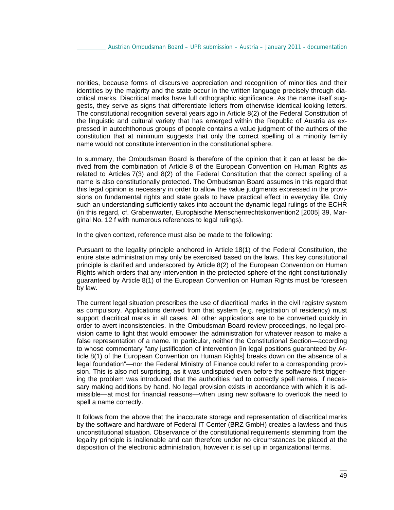norities, because forms of discursive appreciation and recognition of minorities and their identities by the majority and the state occur in the written language precisely through diacritical marks. Diacritical marks have full orthographic significance. As the name itself suggests, they serve as signs that differentiate letters from otherwise identical looking letters. The constitutional recognition several years ago in Article 8(2) of the Federal Constitution of the linguistic and cultural variety that has emerged within the Republic of Austria as expressed in autochthonous groups of people contains a value judgment of the authors of the constitution that at minimum suggests that only the correct spelling of a minority family name would not constitute intervention in the constitutional sphere.

In summary, the Ombudsman Board is therefore of the opinion that it can at least be derived from the combination of Article 8 of the European Convention on Human Rights as related to Articles 7(3) and 8(2) of the Federal Constitution that the correct spelling of a name is also constitutionally protected. The Ombudsman Board assumes in this regard that this legal opinion is necessary in order to allow the value judgments expressed in the provisions on fundamental rights and state goals to have practical effect in everyday life. Only such an understanding sufficiently takes into account the dynamic legal rulings of the ECHR (in this regard, cf. Grabenwarter, Europäische Menschenrechtskonvention2 [2005] 39, Marginal No. 12 f with numerous references to legal rulings).

In the given context, reference must also be made to the following:

Pursuant to the legality principle anchored in Article 18(1) of the Federal Constitution, the entire state administration may only be exercised based on the laws. This key constitutional principle is clarified and underscored by Article 8(2) of the European Convention on Human Rights which orders that any intervention in the protected sphere of the right constitutionally guaranteed by Article 8(1) of the European Convention on Human Rights must be foreseen by law.

The current legal situation prescribes the use of diacritical marks in the civil registry system as compulsory. Applications derived from that system (e.g. registration of residency) must support diacritical marks in all cases. All other applications are to be converted quickly in order to avert inconsistencies. In the Ombudsman Board review proceedings, no legal provision came to light that would empower the administration for whatever reason to make a false representation of a name. In particular, neither the Constitutional Section—according to whose commentary "any justification of intervention [in legal positions guaranteed by Article 8(1) of the European Convention on Human Rights] breaks down on the absence of a legal foundation"—nor the Federal Ministry of Finance could refer to a corresponding provision. This is also not surprising, as it was undisputed even before the software first triggering the problem was introduced that the authorities had to correctly spell names, if necessary making additions by hand. No legal provision exists in accordance with which it is admissible—at most for financial reasons—when using new software to overlook the need to spell a name correctly.

It follows from the above that the inaccurate storage and representation of diacritical marks by the software and hardware of Federal IT Center (BRZ GmbH) creates a lawless and thus unconstitutional situation. Observance of the constitutional requirements stemming from the legality principle is inalienable and can therefore under no circumstances be placed at the disposition of the electronic administration, however it is set up in organizational terms.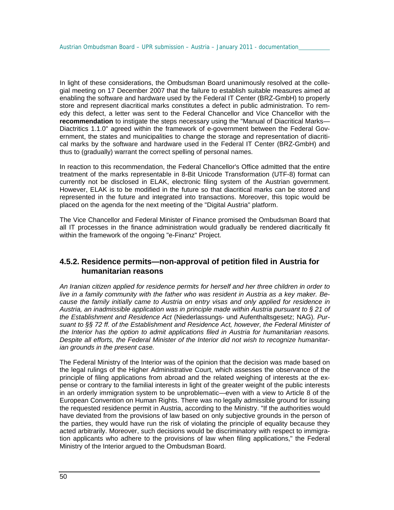In light of these considerations, the Ombudsman Board unanimously resolved at the collegial meeting on 17 December 2007 that the failure to establish suitable measures aimed at enabling the software and hardware used by the Federal IT Center (BRZ-GmbH) to properly store and represent diacritical marks constitutes a defect in public administration. To remedy this defect, a letter was sent to the Federal Chancellor and Vice Chancellor with the **recommendation** to instigate the steps necessary using the "Manual of Diacritical Marks— Diactritics 1.1.0" agreed within the framework of e-government between the Federal Government, the states and municipalities to change the storage and representation of diacritical marks by the software and hardware used in the Federal IT Center (BRZ-GmbH) and thus to (gradually) warrant the correct spelling of personal names.

In reaction to this recommendation, the Federal Chancellor's Office admitted that the entire treatment of the marks representable in 8-Bit Unicode Transformation (UTF-8) format can currently not be disclosed in ELAK, electronic filing system of the Austrian government. However, ELAK is to be modified in the future so that diacritical marks can be stored and represented in the future and integrated into transactions. Moreover, this topic would be placed on the agenda for the next meeting of the "Digital Austria" platform.

The Vice Chancellor and Federal Minister of Finance promised the Ombudsman Board that all IT processes in the finance administration would gradually be rendered diacritically fit within the framework of the ongoing "e-Finanz" Project.

### **4.5.2. Residence permits—non-approval of petition filed in Austria for humanitarian reasons**

*An Iranian citizen applied for residence permits for herself and her three children in order to live in a family community with the father who was resident in Austria as a key maker. Because the family initially came to Austria on entry visas and only applied for residence in Austria, an inadmissible application was in principle made within Austria pursuant to § 21 of the Establishment and Residence Act* (Niederlassungs- und Aufenthaltsgesetz; NAG)*. Pursuant to §§ 72 ff. of the Establishment and Residence Act, however, the Federal Minister of the Interior has the option to admit applications filed in Austria for humanitarian reasons. Despite all efforts, the Federal Minister of the Interior did not wish to recognize humanitarian grounds in the present case.*

The Federal Ministry of the Interior was of the opinion that the decision was made based on the legal rulings of the Higher Administrative Court, which assesses the observance of the principle of filing applications from abroad and the related weighing of interests at the expense or contrary to the familial interests in light of the greater weight of the public interests in an orderly immigration system to be unproblematic—even with a view to Article 8 of the European Convention on Human Rights. There was no legally admissible ground for issuing the requested residence permit in Austria, according to the Ministry. "If the authorities would have deviated from the provisions of law based on only subjective grounds in the person of the parties, they would have run the risk of violating the principle of equality because they acted arbitrarily. Moreover, such decisions would be discriminatory with respect to immigration applicants who adhere to the provisions of law when filing applications," the Federal Ministry of the Interior argued to the Ombudsman Board.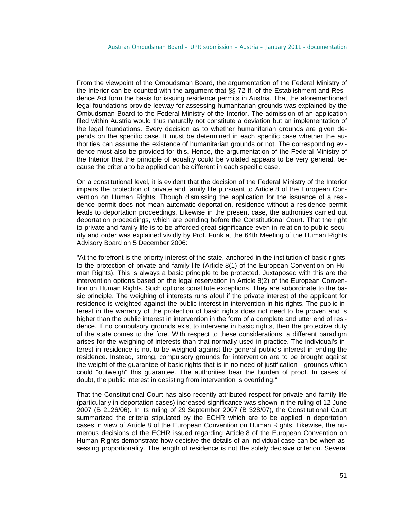From the viewpoint of the Ombudsman Board, the argumentation of the Federal Ministry of the Interior can be counted with the argument that §§ 72 ff. of the Establishment and Residence Act form the basis for issuing residence permits in Austria. That the aforementioned legal foundations provide leeway for assessing humanitarian grounds was explained by the Ombudsman Board to the Federal Ministry of the Interior. The admission of an application filed within Austria would thus naturally not constitute a deviation but an implementation of the legal foundations. Every decision as to whether humanitarian grounds are given depends on the specific case. It must be determined in each specific case whether the authorities can assume the existence of humanitarian grounds or not. The corresponding evidence must also be provided for this. Hence, the argumentation of the Federal Ministry of the Interior that the principle of equality could be violated appears to be very general, because the criteria to be applied can be different in each specific case.

On a constitutional level, it is evident that the decision of the Federal Ministry of the Interior impairs the protection of private and family life pursuant to Article 8 of the European Convention on Human Rights. Though dismissing the application for the issuance of a residence permit does not mean automatic deportation, residence without a residence permit leads to deportation proceedings. Likewise in the present case, the authorities carried out deportation proceedings, which are pending before the Constitutional Court. That the right to private and family life is to be afforded great significance even in relation to public security and order was explained vividly by Prof. Funk at the 64th Meeting of the Human Rights Advisory Board on 5 December 2006:

"At the forefront is the priority interest of the state, anchored in the institution of basic rights, to the protection of private and family life (Article 8(1) of the European Convention on Human Rights). This is always a basic principle to be protected. Juxtaposed with this are the intervention options based on the legal reservation in Article 8(2) of the European Convention on Human Rights. Such options constitute exceptions. They are subordinate to the basic principle. The weighing of interests runs afoul if the private interest of the applicant for residence is weighted against the public interest in intervention in his rights. The public interest in the warranty of the protection of basic rights does not need to be proven and is higher than the public interest in intervention in the form of a complete and utter end of residence. If no compulsory grounds exist to intervene in basic rights, then the protective duty of the state comes to the fore. With respect to these considerations, a different paradigm arises for the weighing of interests than that normally used in practice. The individual's interest in residence is not to be weighed against the general public's interest in ending the residence. Instead, strong, compulsory grounds for intervention are to be brought against the weight of the guarantee of basic rights that is in no need of justification—grounds which could "outweigh" this guarantee. The authorities bear the burden of proof. In cases of doubt, the public interest in desisting from intervention is overriding."

That the Constitutional Court has also recently attributed respect for private and family life (particularly in deportation cases) increased significance was shown in the ruling of 12 June 2007 (B 2126/06). In its ruling of 29 September 2007 (B 328/07), the Constitutional Court summarized the criteria stipulated by the ECHR which are to be applied in deportation cases in view of Article 8 of the European Convention on Human Rights. Likewise, the numerous decisions of the ECHR issued regarding Article 8 of the European Convention on Human Rights demonstrate how decisive the details of an individual case can be when assessing proportionality. The length of residence is not the solely decisive criterion. Several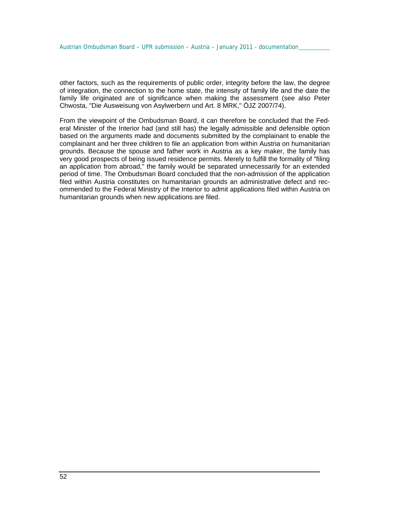other factors, such as the requirements of public order, integrity before the law, the degree of integration, the connection to the home state, the intensity of family life and the date the family life originated are of significance when making the assessment (see also Peter Chwosta, "Die Ausweisung von Asylwerbern und Art. 8 MRK," ÖJZ 2007/74).

From the viewpoint of the Ombudsman Board, it can therefore be concluded that the Federal Minister of the Interior had (and still has) the legally admissible and defensible option based on the arguments made and documents submitted by the complainant to enable the complainant and her three children to file an application from within Austria on humanitarian grounds. Because the spouse and father work in Austria as a key maker, the family has very good prospects of being issued residence permits. Merely to fulfill the formality of "filing an application from abroad," the family would be separated unnecessarily for an extended period of time. The Ombudsman Board concluded that the non-admission of the application filed within Austria constitutes on humanitarian grounds an administrative defect and recommended to the Federal Ministry of the Interior to admit applications filed within Austria on humanitarian grounds when new applications are filed.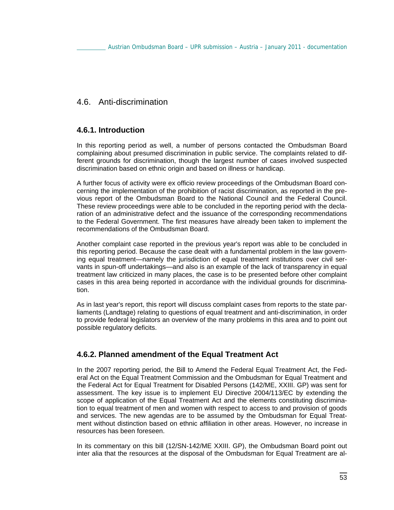## 4.6. Anti-discrimination

### **4.6.1. Introduction**

In this reporting period as well, a number of persons contacted the Ombudsman Board complaining about presumed discrimination in public service. The complaints related to different grounds for discrimination, though the largest number of cases involved suspected discrimination based on ethnic origin and based on illness or handicap.

A further focus of activity were ex officio review proceedings of the Ombudsman Board concerning the implementation of the prohibition of racist discrimination, as reported in the previous report of the Ombudsman Board to the National Council and the Federal Council. These review proceedings were able to be concluded in the reporting period with the declaration of an administrative defect and the issuance of the corresponding recommendations to the Federal Government. The first measures have already been taken to implement the recommendations of the Ombudsman Board.

Another complaint case reported in the previous year's report was able to be concluded in this reporting period. Because the case dealt with a fundamental problem in the law governing equal treatment—namely the jurisdiction of equal treatment institutions over civil servants in spun-off undertakings—and also is an example of the lack of transparency in equal treatment law criticized in many places, the case is to be presented before other complaint cases in this area being reported in accordance with the individual grounds for discrimination.

As in last year's report, this report will discuss complaint cases from reports to the state parliaments (Landtage) relating to questions of equal treatment and anti-discrimination, in order to provide federal legislators an overview of the many problems in this area and to point out possible regulatory deficits.

### **4.6.2. Planned amendment of the Equal Treatment Act**

In the 2007 reporting period, the Bill to Amend the Federal Equal Treatment Act, the Federal Act on the Equal Treatment Commission and the Ombudsman for Equal Treatment and the Federal Act for Equal Treatment for Disabled Persons (142/ME, XXIII. GP) was sent for assessment. The key issue is to implement EU Directive 2004/113/EC by extending the scope of application of the Equal Treatment Act and the elements constituting discrimination to equal treatment of men and women with respect to access to and provision of goods and services. The new agendas are to be assumed by the Ombudsman for Equal Treatment without distinction based on ethnic affiliation in other areas. However, no increase in resources has been foreseen.

In its commentary on this bill (12/SN-142/ME XXIII. GP), the Ombudsman Board point out inter alia that the resources at the disposal of the Ombudsman for Equal Treatment are al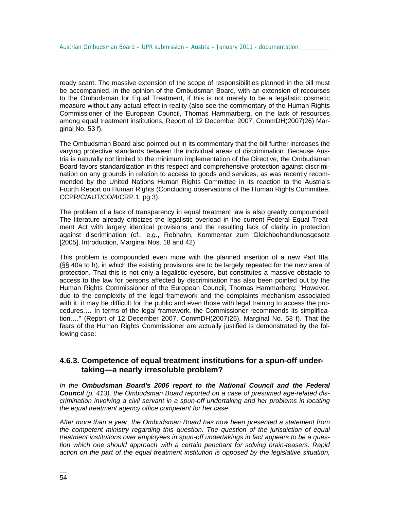ready scant. The massive extension of the scope of responsibilities planned in the bill must be accompanied, in the opinion of the Ombudsman Board, with an extension of recourses to the Ombudsman for Equal Treatment, if this is not merely to be a legalistic cosmetic measure without any actual effect in reality (also see the commentary of the Human Rights Commissioner of the European Council, Thomas Hammarberg, on the lack of resources among equal treatment institutions, Report of 12 December 2007, CommDH(2007)26) Marginal No. 53 f).

The Ombudsman Board also pointed out in its commentary that the bill further increases the varying protective standards between the individual areas of discrimination. Because Austria is naturally not limited to the minimum implementation of the Directive, the Ombudsman Board favors standardization in this respect and comprehensive protection against discrimination on any grounds in relation to access to goods and services, as was recently recommended by the United Nations Human Rights Committee in its reaction to the Austria's Fourth Report on Human Rights (Concluding observations of the Human Rights Committee, CCPR/C/AUT/CO/4/CRP.1, pg 3).

The problem of a lack of transparency in equal treatment law is also greatly compounded: The literature already criticizes the legalistic overload in the current Federal Equal Treatment Act with largely identical provisions and the resulting lack of clarity in protection against discrimination (cf., e.g., Rebhahn, Kommentar zum Gleichbehandlungsgesetz [2005], Introduction, Marginal Nos. 18 and 42).

This problem is compounded even more with the planned insertion of a new Part IIIa. (§§ 40a to h), in which the existing provisions are to be largely repeated for the new area of protection. That this is not only a legalistic eyesore, but constitutes a massive obstacle to access to the law for persons affected by discrimination has also been pointed out by the Human Rights Commissioner of the European Council, Thomas Hammarberg: "However, due to the complexity of the legal framework and the complaints mechanism associated with it, it may be difficult for the public and even those with legal training to access the procedures.… In terms of the legal framework, the Commissioner recommends its simplification.…" (Report of 12 December 2007, CommDH(2007)26), Marginal No. 53 f). That the fears of the Human Rights Commissioner are actually justified is demonstrated by the following case:

### **4.6.3. Competence of equal treatment institutions for a spun-off undertaking—a nearly irresoluble problem?**

*In the Ombudsman Board's 2006 report to the National Council and the Federal Council (p. 413), the Ombudsman Board reported on a case of presumed age-related discrimination involving a civil servant in a spun-off undertaking and her problems in locating the equal treatment agency office competent for her case.* 

*After more than a year, the Ombudsman Board has now been presented a statement from the competent ministry regarding this question. The question of the jurisdiction of equal treatment institutions over employees in spun-off undertakings in fact appears to be a question which one should approach with a certain penchant for solving brain-teasers. Rapid action on the part of the equal treatment institution is opposed by the legislative situation,*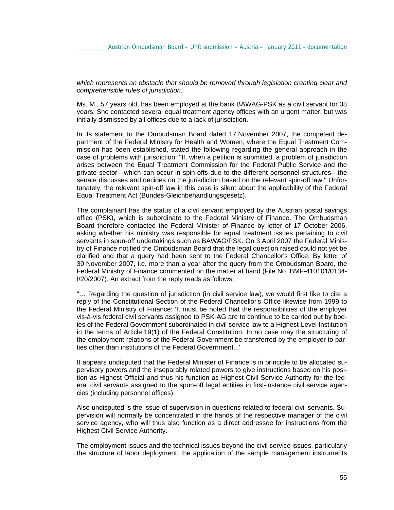*which represents an obstacle that should be removed through legislation creating clear and comprehensible rules of jurisdiction.* 

Ms. M., 57 years old, has been employed at the bank BAWAG-PSK as a civil servant for 38 years. She contacted several equal treatment agency offices with an urgent matter, but was initially dismissed by all offices due to a lack of jurisdiction.

In its statement to the Ombudsman Board dated 17 November 2007, the competent department of the Federal Ministry for Health and Women, where the Equal Treatment Commission has been established, stated the following regarding the general approach in the case of problems with jurisdiction: "If, when a petition is submitted, a problem of jurisdiction arises between the Equal Treatment Commission for the Federal Public Service and the private sector—which can occur in spin-offs due to the different personnel structures—the senate discusses and decides on the jurisdiction based on the relevant spin-off law." Unfortunately, the relevant spin-off law in this case is silent about the applicability of the Federal Equal Treatment Act (Bundes-Gleichbehandlungsgesetz).

The complainant has the status of a civil servant employed by the Austrian postal savings office (PSK), which is subordinate to the Federal Ministry of Finance. The Ombudsman Board therefore contacted the Federal Minister of Finance by letter of 17 October 2006, asking whether his ministry was responsible for equal treatment issues pertaining to civil servants in spun-off undertakings such as BAWAG/PSK. On 3 April 2007 the Federal Ministry of Finance notified the Ombudsman Board that the legal question raised could not yet be clarified and that a query had been sent to the Federal Chancellor's Office. By letter of 30 November 2007, i.e. more than a year after the query from the Ombudsman Board, the Federal Ministry of Finance commented on the matter at hand (File No. BMF-410101/0134- I/20/2007). An extract from the reply reads as follows:

"… Regarding the question of jurisdiction (in civil service law), we would first like to cite a reply of the Constitutional Section of the Federal Chancellor's Office likewise from 1999 to the Federal Ministry of Finance: 'It must be noted that the responsibilities of the employer vis-à-vis federal civil servants assigned to PSK-AG are to continue to be carried out by bodies of the Federal Government subordinated in civil service law to a Highest-Level Institution in the terms of Article 19(1) of the Federal Constitution. In no case may the structuring of the employment relations of the Federal Government be transferred by the employer to parties other than institutions of the Federal Government...'

It appears undisputed that the Federal Minister of Finance is in principle to be allocated supervisory powers and the inseparably related powers to give instructions based on his position as Highest Official and thus his function as Highest Civil Service Authority for the federal civil servants assigned to the spun-off legal entities in first-instance civil service agencies (including personnel offices).

Also undisputed is the issue of supervision in questions related to federal civil servants. Supervision will normally be concentrated in the hands of the respective manager of the civil service agency, who will thus also function as a direct addressee for instructions from the Highest Civil Service Authority.

The employment issues and the technical issues beyond the civil service issues, particularly the structure of labor deployment, the application of the sample management instruments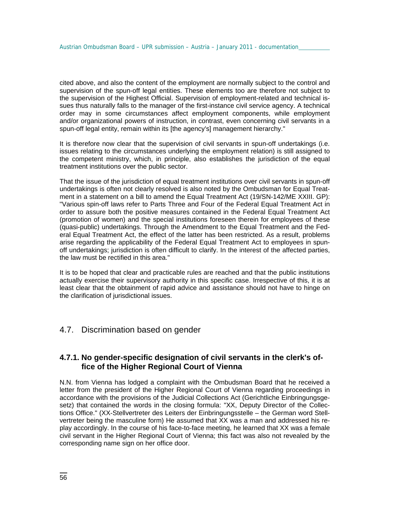cited above, and also the content of the employment are normally subject to the control and supervision of the spun-off legal entities. These elements too are therefore not subject to the supervision of the Highest Official. Supervision of employment-related and technical issues thus naturally falls to the manager of the first-instance civil service agency. A technical order may in some circumstances affect employment components, while employment and/or organizational powers of instruction, in contrast, even concerning civil servants in a spun-off legal entity, remain within its [the agency's] management hierarchy."

It is therefore now clear that the supervision of civil servants in spun-off undertakings (i.e. issues relating to the circumstances underlying the employment relation) is still assigned to the competent ministry, which, in principle, also establishes the jurisdiction of the equal treatment institutions over the public sector.

That the issue of the jurisdiction of equal treatment institutions over civil servants in spun-off undertakings is often not clearly resolved is also noted by the Ombudsman for Equal Treatment in a statement on a bill to amend the Equal Treatment Act (19/SN-142/ME XXIII. GP): "Various spin-off laws refer to Parts Three and Four of the Federal Equal Treatment Act in order to assure both the positive measures contained in the Federal Equal Treatment Act (promotion of women) and the special institutions foreseen therein for employees of these (quasi-public) undertakings. Through the Amendment to the Equal Treatment and the Federal Equal Treatment Act, the effect of the latter has been restricted. As a result, problems arise regarding the applicability of the Federal Equal Treatment Act to employees in spunoff undertakings; jurisdiction is often difficult to clarify. In the interest of the affected parties, the law must be rectified in this area."

It is to be hoped that clear and practicable rules are reached and that the public institutions actually exercise their supervisory authority in this specific case. Irrespective of this, it is at least clear that the obtainment of rapid advice and assistance should not have to hinge on the clarification of jurisdictional issues.

### 4.7. Discrimination based on gender

### **4.7.1. No gender-specific designation of civil servants in the clerk's office of the Higher Regional Court of Vienna**

N.N. from Vienna has lodged a complaint with the Ombudsman Board that he received a letter from the president of the Higher Regional Court of Vienna regarding proceedings in accordance with the provisions of the Judicial Collections Act (Gerichtliche Einbringungsgesetz) that contained the words in the closing formula: "XX, Deputy Director of the Collections Office." (XX-Stellvertreter des Leiters der Einbringungsstelle – the German word Stellvertreter being the masculine form) He assumed that XX was a man and addressed his replay accordingly. In the course of his face-to-face meeting, he learned that XX was a female civil servant in the Higher Regional Court of Vienna; this fact was also not revealed by the corresponding name sign on her office door.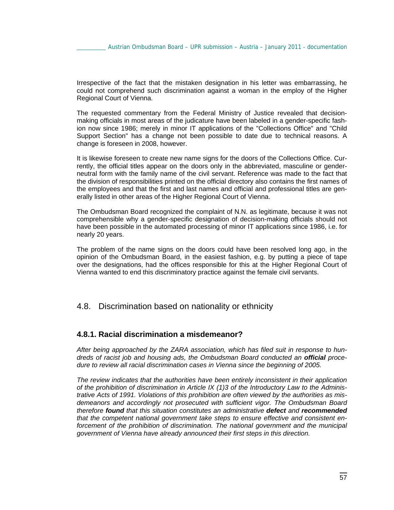Irrespective of the fact that the mistaken designation in his letter was embarrassing, he could not comprehend such discrimination against a woman in the employ of the Higher Regional Court of Vienna.

The requested commentary from the Federal Ministry of Justice revealed that decisionmaking officials in most areas of the judicature have been labeled in a gender-specific fashion now since 1986; merely in minor IT applications of the "Collections Office" and "Child Support Section" has a change not been possible to date due to technical reasons. A change is foreseen in 2008, however.

It is likewise foreseen to create new name signs for the doors of the Collections Office. Currently, the official titles appear on the doors only in the abbreviated, masculine or genderneutral form with the family name of the civil servant. Reference was made to the fact that the division of responsibilities printed on the official directory also contains the first names of the employees and that the first and last names and official and professional titles are generally listed in other areas of the Higher Regional Court of Vienna.

The Ombudsman Board recognized the complaint of N.N. as legitimate, because it was not comprehensible why a gender-specific designation of decision-making officials should not have been possible in the automated processing of minor IT applications since 1986, i.e. for nearly 20 years.

The problem of the name signs on the doors could have been resolved long ago, in the opinion of the Ombudsman Board, in the easiest fashion, e.g. by putting a piece of tape over the designations, had the offices responsible for this at the Higher Regional Court of Vienna wanted to end this discriminatory practice against the female civil servants.

### 4.8. Discrimination based on nationality or ethnicity

#### **4.8.1. Racial discrimination a misdemeanor?**

*After being approached by the ZARA association, which has filed suit in response to hundreds of racist job and housing ads, the Ombudsman Board conducted an official procedure to review all racial discrimination cases in Vienna since the beginning of 2005.* 

*The review indicates that the authorities have been entirely inconsistent in their application of the prohibition of discrimination in Article IX (1)3 of the Introductory Law to the Administrative Acts of 1991. Violations of this prohibition are often viewed by the authorities as misdemeanors and accordingly not prosecuted with sufficient vigor. The Ombudsman Board therefore found that this situation constitutes an administrative defect and recommended that the competent national government take steps to ensure effective and consistent en*forcement of the prohibition of discrimination. The national government and the municipal *government of Vienna have already announced their first steps in this direction.*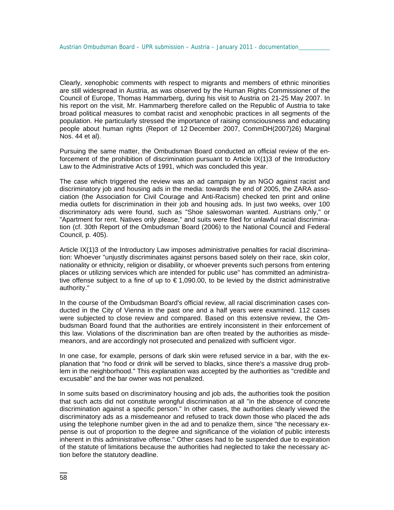Clearly, xenophobic comments with respect to migrants and members of ethnic minorities are still widespread in Austria, as was observed by the Human Rights Commissioner of the Council of Europe, Thomas Hammarberg, during his visit to Austria on 21-25 May 2007. In his report on the visit, Mr. Hammarberg therefore called on the Republic of Austria to take broad political measures to combat racist and xenophobic practices in all segments of the population. He particularly stressed the importance of raising consciousness and educating people about human rights (Report of 12 December 2007, CommDH(2007)26) Marginal Nos. 44 et al).

Pursuing the same matter, the Ombudsman Board conducted an official review of the enforcement of the prohibition of discrimination pursuant to Article IX(1)3 of the Introductory Law to the Administrative Acts of 1991, which was concluded this year.

The case which triggered the review was an ad campaign by an NGO against racist and discriminatory job and housing ads in the media: towards the end of 2005, the ZARA association (the Association for Civil Courage and Anti-Racism) checked ten print and online media outlets for discrimination in their job and housing ads. In just two weeks, over 100 discriminatory ads were found, such as "Shoe saleswoman wanted. Austrians only," or "Apartment for rent. Natives only please," and suits were filed for unlawful racial discrimination (cf. 30th Report of the Ombudsman Board (2006) to the National Council and Federal Council, p. 405).

Article IX(1)3 of the Introductory Law imposes administrative penalties for racial discrimination: Whoever "unjustly discriminates against persons based solely on their race, skin color, nationality or ethnicity, religion or disability, or whoever prevents such persons from entering places or utilizing services which are intended for public use" has committed an administrative offense subject to a fine of up to € 1,090.00, to be levied by the district administrative authority."

In the course of the Ombudsman Board's official review, all racial discrimination cases conducted in the City of Vienna in the past one and a half years were examined. 112 cases were subjected to close review and compared. Based on this extensive review, the Ombudsman Board found that the authorities are entirely inconsistent in their enforcement of this law. Violations of the discrimination ban are often treated by the authorities as misdemeanors, and are accordingly not prosecuted and penalized with sufficient vigor.

In one case, for example, persons of dark skin were refused service in a bar, with the explanation that "no food or drink will be served to blacks, since there's a massive drug problem in the neighborhood." This explanation was accepted by the authorities as "credible and excusable" and the bar owner was not penalized.

In some suits based on discriminatory housing and job ads, the authorities took the position that such acts did not constitute wrongful discrimination at all "in the absence of concrete discrimination against a specific person." In other cases, the authorities clearly viewed the discriminatory ads as a misdemeanor and refused to track down those who placed the ads using the telephone number given in the ad and to penalize them, since "the necessary expense is out of proportion to the degree and significance of the violation of public interests inherent in this administrative offense." Other cases had to be suspended due to expiration of the statute of limitations because the authorities had neglected to take the necessary action before the statutory deadline.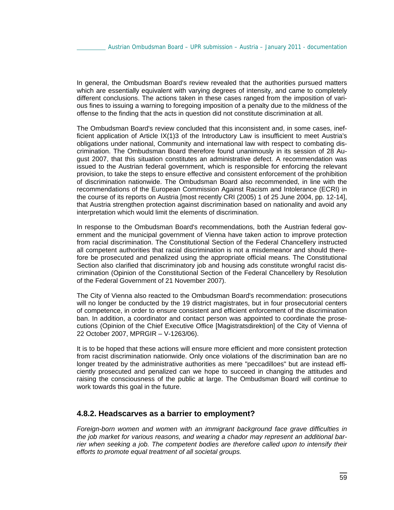In general, the Ombudsman Board's review revealed that the authorities pursued matters which are essentially equivalent with varying degrees of intensity, and came to completely different conclusions. The actions taken in these cases ranged from the imposition of various fines to issuing a warning to foregoing imposition of a penalty due to the mildness of the offense to the finding that the acts in question did not constitute discrimination at all.

The Ombudsman Board's review concluded that this inconsistent and, in some cases, inefficient application of Article IX(1)3 of the Introductory Law is insufficient to meet Austria's obligations under national, Community and international law with respect to combating discrimination. The Ombudsman Board therefore found unanimously in its session of 28 August 2007, that this situation constitutes an administrative defect. A recommendation was issued to the Austrian federal government, which is responsible for enforcing the relevant provision, to take the steps to ensure effective and consistent enforcement of the prohibition of discrimination nationwide. The Ombudsman Board also recommended, in line with the recommendations of the European Commission Against Racism and Intolerance (ECRI) in the course of its reports on Austria [most recently CRI (2005) 1 of 25 June 2004, pp. 12-14], that Austria strengthen protection against discrimination based on nationality and avoid any interpretation which would limit the elements of discrimination.

In response to the Ombudsman Board's recommendations, both the Austrian federal government and the municipal government of Vienna have taken action to improve protection from racial discrimination. The Constitutional Section of the Federal Chancellery instructed all competent authorities that racial discrimination is not a misdemeanor and should therefore be prosecuted and penalized using the appropriate official means. The Constitutional Section also clarified that discriminatory job and housing ads constitute wrongful racist discrimination (Opinion of the Constitutional Section of the Federal Chancellery by Resolution of the Federal Government of 21 November 2007).

The City of Vienna also reacted to the Ombudsman Board's recommendation: prosecutions will no longer be conducted by the 19 district magistrates, but in four prosecutorial centers of competence, in order to ensure consistent and efficient enforcement of the discrimination ban. In addition, a coordinator and contact person was appointed to coordinate the prosecutions (Opinion of the Chief Executive Office [Magistratsdirektion] of the City of Vienna of 22 October 2007, MPRGIR – V-1263/06).

It is to be hoped that these actions will ensure more efficient and more consistent protection from racist discrimination nationwide. Only once violations of the discrimination ban are no longer treated by the administrative authorities as mere "peccadilloes" but are instead efficiently prosecuted and penalized can we hope to succeed in changing the attitudes and raising the consciousness of the public at large. The Ombudsman Board will continue to work towards this goal in the future.

#### **4.8.2. Headscarves as a barrier to employment?**

*Foreign-born women and women with an immigrant background face grave difficulties in the job market for various reasons, and wearing a chador may represent an additional barrier when seeking a job. The competent bodies are therefore called upon to intensify their efforts to promote equal treatment of all societal groups.*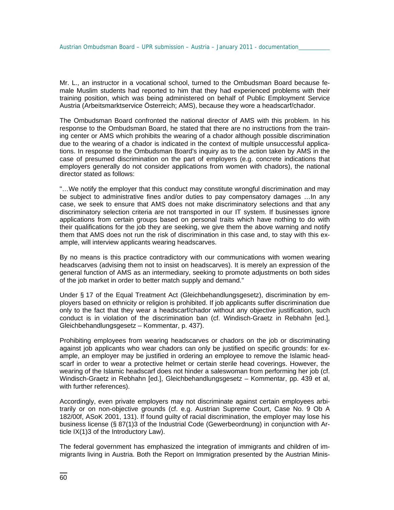Mr. L., an instructor in a vocational school, turned to the Ombudsman Board because female Muslim students had reported to him that they had experienced problems with their training position, which was being administered on behalf of Public Employment Service Austria (Arbeitsmarktservice Österreich; AMS), because they wore a headscarf/chador.

The Ombudsman Board confronted the national director of AMS with this problem. In his response to the Ombudsman Board, he stated that there are no instructions from the training center or AMS which prohibits the wearing of a chador although possible discrimination due to the wearing of a chador is indicated in the context of multiple unsuccessful applications. In response to the Ombudsman Board's inquiry as to the action taken by AMS in the case of presumed discrimination on the part of employers (e.g. concrete indications that employers generally do not consider applications from women with chadors), the national director stated as follows:

"…We notify the employer that this conduct may constitute wrongful discrimination and may be subject to administrative fines and/or duties to pay compensatory damages …In any case, we seek to ensure that AMS does not make discriminatory selections and that any discriminatory selection criteria are not transported in our IT system. If businesses ignore applications from certain groups based on personal traits which have nothing to do with their qualifications for the job they are seeking, we give them the above warning and notify them that AMS does not run the risk of discrimination in this case and, to stay with this example, will interview applicants wearing headscarves.

By no means is this practice contradictory with our communications with women wearing headscarves (advising them not to insist on headscarves). It is merely an expression of the general function of AMS as an intermediary, seeking to promote adjustments on both sides of the job market in order to better match supply and demand."

Under § 17 of the Equal Treatment Act (Gleichbehandlungsgesetz), discrimination by employers based on ethnicity or religion is prohibited. If job applicants suffer discrimination due only to the fact that they wear a headscarf/chador without any objective justification, such conduct is in violation of the discrimination ban (cf. Windisch-Graetz in Rebhahn [ed.], Gleichbehandlungsgesetz – Kommentar, p. 437).

Prohibiting employees from wearing headscarves or chadors on the job or discriminating against job applicants who wear chadors can only be justified on specific grounds: for example, an employer may be justified in ordering an employee to remove the Islamic headscarf in order to wear a protective helmet or certain sterile head coverings. However, the wearing of the Islamic headscarf does not hinder a saleswoman from performing her job (cf. Windisch-Graetz in Rebhahn [ed.], Gleichbehandlungsgesetz – Kommentar, pp. 439 et al, with further references).

Accordingly, even private employers may not discriminate against certain employees arbitrarily or on non-objective grounds (cf. e.g. Austrian Supreme Court, Case No. 9 Ob A 182/00f, ASoK 2001, 131). If found guilty of racial discrimination, the employer may lose his business license (§ 87(1)3 of the Industrial Code (Gewerbeordnung) in conjunction with Article IX(1)3 of the Introductory Law).

The federal government has emphasized the integration of immigrants and children of immigrants living in Austria. Both the Report on Immigration presented by the Austrian Minis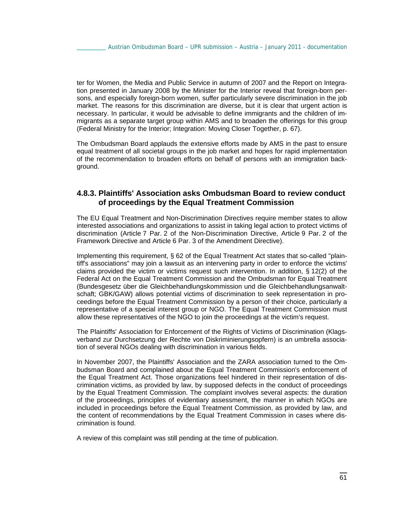ter for Women, the Media and Public Service in autumn of 2007 and the Report on Integration presented in January 2008 by the Minister for the Interior reveal that foreign-born persons, and especially foreign-born women, suffer particularly severe discrimination in the job market. The reasons for this discrimination are diverse, but it is clear that urgent action is necessary. In particular, it would be advisable to define immigrants and the children of immigrants as a separate target group within AMS and to broaden the offerings for this group (Federal Ministry for the Interior; Integration: Moving Closer Together, p. 67).

The Ombudsman Board applauds the extensive efforts made by AMS in the past to ensure equal treatment of all societal groups in the job market and hopes for rapid implementation of the recommendation to broaden efforts on behalf of persons with an immigration background.

### **4.8.3. Plaintiffs' Association asks Ombudsman Board to review conduct of proceedings by the Equal Treatment Commission**

The EU Equal Treatment and Non-Discrimination Directives require member states to allow interested associations and organizations to assist in taking legal action to protect victims of discrimination (Article 7 Par. 2 of the Non-Discrimination Directive, Article 9 Par. 2 of the Framework Directive and Article 6 Par. 3 of the Amendment Directive).

Implementing this requirement, § 62 of the Equal Treatment Act states that so-called "plaintiff's associations" may join a lawsuit as an intervening party in order to enforce the victims' claims provided the victim or victims request such intervention. In addition, § 12(2) of the Federal Act on the Equal Treatment Commission and the Ombudsman for Equal Treatment (Bundesgesetz über die Gleichbehandlungskommission und die Gleichbehandlungsanwaltschaft; GBK/GAW) allows potential victims of discrimination to seek representation in proceedings before the Equal Treatment Commission by a person of their choice, particularly a representative of a special interest group or NGO. The Equal Treatment Commission must allow these representatives of the NGO to join the proceedings at the victim's request.

The Plaintiffs' Association for Enforcement of the Rights of Victims of Discrimination (Klagsverband zur Durchsetzung der Rechte von Diskriminierungsopfern) is an umbrella association of several NGOs dealing with discrimination in various fields.

In November 2007, the Plaintiffs' Association and the ZARA association turned to the Ombudsman Board and complained about the Equal Treatment Commission's enforcement of the Equal Treatment Act. Those organizations feel hindered in their representation of discrimination victims, as provided by law, by supposed defects in the conduct of proceedings by the Equal Treatment Commission. The complaint involves several aspects: the duration of the proceedings, principles of evidentiary assessment, the manner in which NGOs are included in proceedings before the Equal Treatment Commission, as provided by law, and the content of recommendations by the Equal Treatment Commission in cases where discrimination is found.

A review of this complaint was still pending at the time of publication.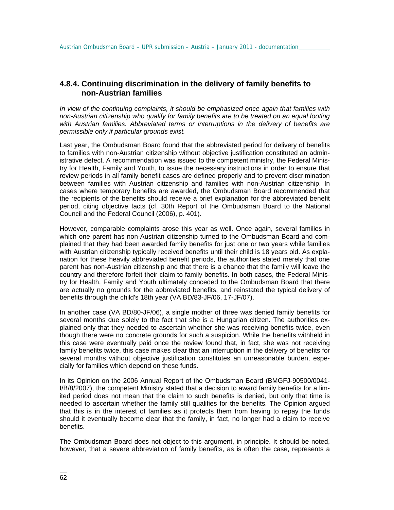### **4.8.4. Continuing discrimination in the delivery of family benefits to non-Austrian families**

*In view of the continuing complaints, it should be emphasized once again that families with non-Austrian citizenship who qualify for family benefits are to be treated on an equal footing with Austrian families. Abbreviated terms or interruptions in the delivery of benefits are permissible only if particular grounds exist.* 

Last year, the Ombudsman Board found that the abbreviated period for delivery of benefits to families with non-Austrian citizenship without objective justification constituted an administrative defect. A recommendation was issued to the competent ministry, the Federal Ministry for Health, Family and Youth, to issue the necessary instructions in order to ensure that review periods in all family benefit cases are defined properly and to prevent discrimination between families with Austrian citizenship and families with non-Austrian citizenship. In cases where temporary benefits are awarded, the Ombudsman Board recommended that the recipients of the benefits should receive a brief explanation for the abbreviated benefit period, citing objective facts (cf. 30th Report of the Ombudsman Board to the National Council and the Federal Council (2006), p. 401).

However, comparable complaints arose this year as well. Once again, several families in which one parent has non-Austrian citizenship turned to the Ombudsman Board and complained that they had been awarded family benefits for just one or two years while families with Austrian citizenship typically received benefits until their child is 18 years old. As explanation for these heavily abbreviated benefit periods, the authorities stated merely that one parent has non-Austrian citizenship and that there is a chance that the family will leave the country and therefore forfeit their claim to family benefits. In both cases, the Federal Ministry for Health, Family and Youth ultimately conceded to the Ombudsman Board that there are actually no grounds for the abbreviated benefits, and reinstated the typical delivery of benefits through the child's 18th year (VA BD/83-JF/06, 17-JF/07).

In another case (VA BD/80-JF/06), a single mother of three was denied family benefits for several months due solely to the fact that she is a Hungarian citizen. The authorities explained only that they needed to ascertain whether she was receiving benefits twice, even though there were no concrete grounds for such a suspicion. While the benefits withheld in this case were eventually paid once the review found that, in fact, she was not receiving family benefits twice, this case makes clear that an interruption in the delivery of benefits for several months without objective justification constitutes an unreasonable burden, especially for families which depend on these funds.

In its Opinion on the 2006 Annual Report of the Ombudsman Board (BMGFJ-90500/0041- I/B/8/2007), the competent Ministry stated that a decision to award family benefits for a limited period does not mean that the claim to such benefits is denied, but only that time is needed to ascertain whether the family still qualifies for the benefits. The Opinion argued that this is in the interest of families as it protects them from having to repay the funds should it eventually become clear that the family, in fact, no longer had a claim to receive benefits.

The Ombudsman Board does not object to this argument, in principle. It should be noted, however, that a severe abbreviation of family benefits, as is often the case, represents a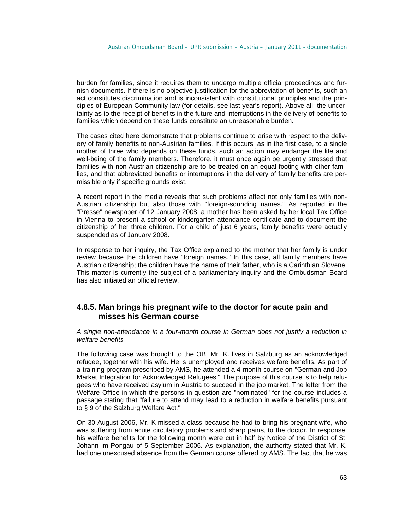burden for families, since it requires them to undergo multiple official proceedings and furnish documents. If there is no objective justification for the abbreviation of benefits, such an act constitutes discrimination and is inconsistent with constitutional principles and the principles of European Community law (for details, see last year's report). Above all, the uncertainty as to the receipt of benefits in the future and interruptions in the delivery of benefits to families which depend on these funds constitute an unreasonable burden.

The cases cited here demonstrate that problems continue to arise with respect to the delivery of family benefits to non-Austrian families. If this occurs, as in the first case, to a single mother of three who depends on these funds, such an action may endanger the life and well-being of the family members. Therefore, it must once again be urgently stressed that families with non-Austrian citizenship are to be treated on an equal footing with other families, and that abbreviated benefits or interruptions in the delivery of family benefits are permissible only if specific grounds exist.

A recent report in the media reveals that such problems affect not only families with non-Austrian citizenship but also those with "foreign-sounding names." As reported in the "Presse" newspaper of 12 January 2008, a mother has been asked by her local Tax Office in Vienna to present a school or kindergarten attendance certificate and to document the citizenship of her three children. For a child of just 6 years, family benefits were actually suspended as of January 2008.

In response to her inquiry, the Tax Office explained to the mother that her family is under review because the children have "foreign names." In this case, all family members have Austrian citizenship; the children have the name of their father, who is a Carinthian Slovene. This matter is currently the subject of a parliamentary inquiry and the Ombudsman Board has also initiated an official review.

### **4.8.5. Man brings his pregnant wife to the doctor for acute pain and misses his German course**

*A single non-attendance in a four-month course in German does not justify a reduction in welfare benefits.* 

The following case was brought to the OB: Mr. K. lives in Salzburg as an acknowledged refugee, together with his wife. He is unemployed and receives welfare benefits. As part of a training program prescribed by AMS, he attended a 4-month course on "German and Job Market Integration for Acknowledged Refugees." The purpose of this course is to help refugees who have received asylum in Austria to succeed in the job market. The letter from the Welfare Office in which the persons in question are "nominated" for the course includes a passage stating that "failure to attend may lead to a reduction in welfare benefits pursuant to § 9 of the Salzburg Welfare Act."

On 30 August 2006, Mr. K missed a class because he had to bring his pregnant wife, who was suffering from acute circulatory problems and sharp pains, to the doctor. In response, his welfare benefits for the following month were cut in half by Notice of the District of St. Johann im Pongau of 5 September 2006. As explanation, the authority stated that Mr. K. had one unexcused absence from the German course offered by AMS. The fact that he was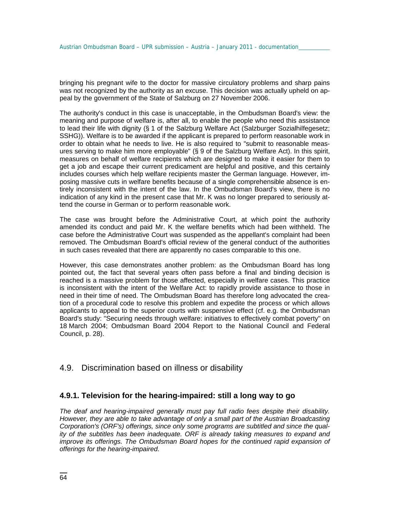bringing his pregnant wife to the doctor for massive circulatory problems and sharp pains was not recognized by the authority as an excuse. This decision was actually upheld on appeal by the government of the State of Salzburg on 27 November 2006.

The authority's conduct in this case is unacceptable, in the Ombudsman Board's view: the meaning and purpose of welfare is, after all, to enable the people who need this assistance to lead their life with dignity (§ 1 of the Salzburg Welfare Act (Salzburger Sozialhilfegesetz; SSHG)). Welfare is to be awarded if the applicant is prepared to perform reasonable work in order to obtain what he needs to live. He is also required to "submit to reasonable measures serving to make him more employable" (§ 9 of the Salzburg Welfare Act). In this spirit, measures on behalf of welfare recipients which are designed to make it easier for them to get a job and escape their current predicament are helpful and positive, and this certainly includes courses which help welfare recipients master the German language. However, imposing massive cuts in welfare benefits because of a single comprehensible absence is entirely inconsistent with the intent of the law. In the Ombudsman Board's view, there is no indication of any kind in the present case that Mr. K was no longer prepared to seriously attend the course in German or to perform reasonable work.

The case was brought before the Administrative Court, at which point the authority amended its conduct and paid Mr. K the welfare benefits which had been withheld. The case before the Administrative Court was suspended as the appellant's complaint had been removed. The Ombudsman Board's official review of the general conduct of the authorities in such cases revealed that there are apparently no cases comparable to this one.

However, this case demonstrates another problem: as the Ombudsman Board has long pointed out, the fact that several years often pass before a final and binding decision is reached is a massive problem for those affected, especially in welfare cases. This practice is inconsistent with the intent of the Welfare Act: to rapidly provide assistance to those in need in their time of need. The Ombudsman Board has therefore long advocated the creation of a procedural code to resolve this problem and expedite the process or which allows applicants to appeal to the superior courts with suspensive effect (cf. e.g. the Ombudsman Board's study: "Securing needs through welfare: initiatives to effectively combat poverty" on 18 March 2004; Ombudsman Board 2004 Report to the National Council and Federal Council, p. 28).

### 4.9. Discrimination based on illness or disability

### **4.9.1. Television for the hearing-impaired: still a long way to go**

*The deaf and hearing-impaired generally must pay full radio fees despite their disability. However, they are able to take advantage of only a small part of the Austrian Broadcasting Corporation's (ORF's) offerings, since only some programs are subtitled and since the quality of the subtitles has been inadequate. ORF is already taking measures to expand and improve its offerings. The Ombudsman Board hopes for the continued rapid expansion of offerings for the hearing-impaired.*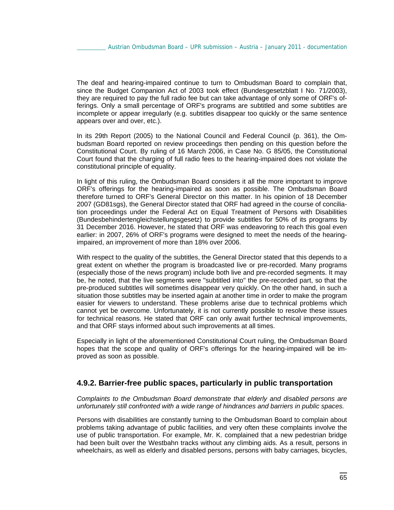The deaf and hearing-impaired continue to turn to Ombudsman Board to complain that, since the Budget Companion Act of 2003 took effect (Bundesgesetzblatt I No. 71/2003), they are required to pay the full radio fee but can take advantage of only some of ORF's offerings. Only a small percentage of ORF's programs are subtitled and some subtitles are incomplete or appear irregularly (e.g. subtitles disappear too quickly or the same sentence appears over and over, etc.).

In its 29th Report (2005) to the National Council and Federal Council (p. 361), the Ombudsman Board reported on review proceedings then pending on this question before the Constitutional Court. By ruling of 16 March 2006, in Case No. G 85/05, the Constitutional Court found that the charging of full radio fees to the hearing-impaired does not violate the constitutional principle of equality.

In light of this ruling, the Ombudsman Board considers it all the more important to improve ORF's offerings for the hearing-impaired as soon as possible. The Ombudsman Board therefore turned to ORF's General Director on this matter. In his opinion of 18 December 2007 (GD81sgs), the General Director stated that ORF had agreed in the course of conciliation proceedings under the Federal Act on Equal Treatment of Persons with Disabilities (Bundesbehindertengleichstellungsgesetz) to provide subtitles for 50% of its programs by 31 December 2016. However, he stated that ORF was endeavoring to reach this goal even earlier: in 2007, 26% of ORF's programs were designed to meet the needs of the hearingimpaired, an improvement of more than 18% over 2006.

With respect to the quality of the subtitles, the General Director stated that this depends to a great extent on whether the program is broadcasted live or pre-recorded. Many programs (especially those of the news program) include both live and pre-recorded segments. It may be, he noted, that the live segments were "subtitled into" the pre-recorded part, so that the pre-produced subtitles will sometimes disappear very quickly. On the other hand, in such a situation those subtitles may be inserted again at another time in order to make the program easier for viewers to understand. These problems arise due to technical problems which cannot yet be overcome. Unfortunately, it is not currently possible to resolve these issues for technical reasons. He stated that ORF can only await further technical improvements, and that ORF stays informed about such improvements at all times.

Especially in light of the aforementioned Constitutional Court ruling, the Ombudsman Board hopes that the scope and quality of ORF's offerings for the hearing-impaired will be improved as soon as possible.

#### **4.9.2. Barrier-free public spaces, particularly in public transportation**

*Complaints to the Ombudsman Board demonstrate that elderly and disabled persons are unfortunately still confronted with a wide range of hindrances and barriers in public spaces.* 

Persons with disabilities are constantly turning to the Ombudsman Board to complain about problems taking advantage of public facilities, and very often these complaints involve the use of public transportation. For example, Mr. K. complained that a new pedestrian bridge had been built over the Westbahn tracks without any climbing aids. As a result, persons in wheelchairs, as well as elderly and disabled persons, persons with baby carriages, bicycles,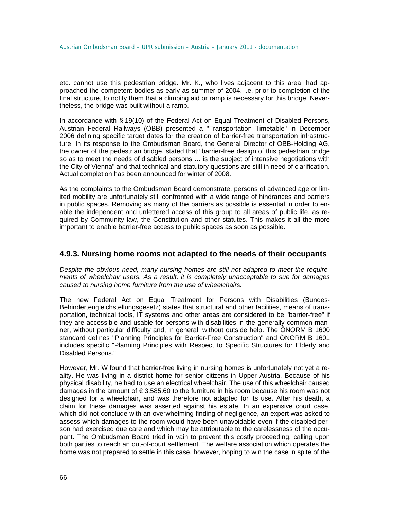etc. cannot use this pedestrian bridge. Mr. K., who lives adjacent to this area, had approached the competent bodies as early as summer of 2004, i.e. prior to completion of the final structure, to notify them that a climbing aid or ramp is necessary for this bridge. Nevertheless, the bridge was built without a ramp.

In accordance with § 19(10) of the Federal Act on Equal Treatment of Disabled Persons, Austrian Federal Railways (ÖBB) presented a "Transportation Timetable" in December 2006 defining specific target dates for the creation of barrier-free transportation infrastructure. In its response to the Ombudsman Board, the General Director of OBB-Holding AG, the owner of the pedestrian bridge, stated that "barrier-free design of this pedestrian bridge so as to meet the needs of disabled persons … is the subject of intensive negotiations with the City of Vienna" and that technical and statutory questions are still in need of clarification. Actual completion has been announced for winter of 2008.

As the complaints to the Ombudsman Board demonstrate, persons of advanced age or limited mobility are unfortunately still confronted with a wide range of hindrances and barriers in public spaces. Removing as many of the barriers as possible is essential in order to enable the independent and unfettered access of this group to all areas of public life, as required by Community law, the Constitution and other statutes. This makes it all the more important to enable barrier-free access to public spaces as soon as possible.

#### **4.9.3. Nursing home rooms not adapted to the needs of their occupants**

*Despite the obvious need, many nursing homes are still not adapted to meet the requirements of wheelchair users. As a result, it is completely unacceptable to sue for damages caused to nursing home furniture from the use of wheelchairs.* 

The new Federal Act on Equal Treatment for Persons with Disabilities (Bundes-Behindertengleichstellungsgesetz) states that structural and other facilities, means of transportation, technical tools, IT systems and other areas are considered to be "barrier-free" if they are accessible and usable for persons with disabilities in the generally common manner, without particular difficulty and, in general, without outside help. The ÖNORM B 1600 standard defines "Planning Principles for Barrier-Free Construction" and ÖNORM B 1601 includes specific "Planning Principles with Respect to Specific Structures for Elderly and Disabled Persons."

However, Mr. W found that barrier-free living in nursing homes is unfortunately not yet a reality. He was living in a district home for senior citizens in Upper Austria. Because of his physical disability, he had to use an electrical wheelchair. The use of this wheelchair caused damages in the amount of € 3,585.60 to the furniture in his room because his room was not designed for a wheelchair, and was therefore not adapted for its use. After his death, a claim for these damages was asserted against his estate. In an expensive court case, which did not conclude with an overwhelming finding of negligence, an expert was asked to assess which damages to the room would have been unavoidable even if the disabled person had exercised due care and which may be attributable to the carelessness of the occupant. The Ombudsman Board tried in vain to prevent this costly proceeding, calling upon both parties to reach an out-of-court settlement. The welfare association which operates the home was not prepared to settle in this case, however, hoping to win the case in spite of the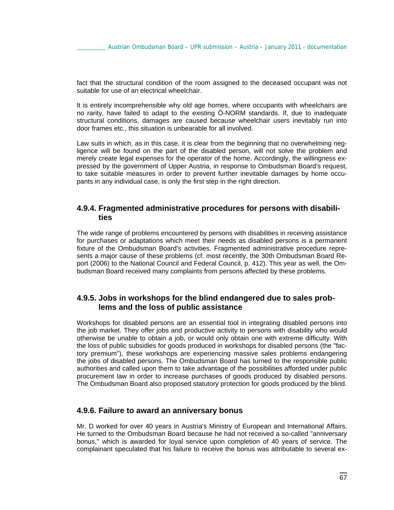fact that the structural condition of the room assigned to the deceased occupant was not suitable for use of an electrical wheelchair.

It is entirely incomprehensible why old age homes, where occupants with wheelchairs are no rarity, have failed to adapt to the existing Ö-NORM standards. If, due to inadequate structural conditions, damages are caused because wheelchair users inevitably run into door frames etc., this situation is unbearable for all involved.

Law suits in which, as in this case, it is clear from the beginning that no overwhelming negligence will be found on the part of the disabled person, will not solve the problem and merely create legal expenses for the operator of the home. Accordingly, the willingness expressed by the government of Upper Austria, in response to Ombudsman Board's request, to take suitable measures in order to prevent further inevitable damages by home occupants in any individual case, is only the first step in the right direction.

#### **4.9.4. Fragmented administrative procedures for persons with disabilities**

The wide range of problems encountered by persons with disabilities in receiving assistance for purchases or adaptations which meet their needs as disabled persons is a permanent fixture of the Ombudsman Board's activities. Fragmented administrative procedure represents a major cause of these problems (cf. most recently, the 30th Ombudsman Board Report (2006) to the National Council and Federal Council, p. 412). This year as well, the Ombudsman Board received many complaints from persons affected by these problems.

### **4.9.5. Jobs in workshops for the blind endangered due to sales problems and the loss of public assistance**

Workshops for disabled persons are an essential tool in integrating disabled persons into the job market. They offer jobs and productive activity to persons with disability who would otherwise be unable to obtain a job, or would only obtain one with extreme difficulty. With the loss of public subsidies for goods produced in workshops for disabled persons (the "factory premium"), these workshops are experiencing massive sales problems endangering the jobs of disabled persons. The Ombudsman Board has turned to the responsible public authorities and called upon them to take advantage of the possibilities afforded under public procurement law in order to increase purchases of goods produced by disabled persons. The Ombudsman Board also proposed statutory protection for goods produced by the blind.

#### **4.9.6. Failure to award an anniversary bonus**

Mr. D worked for over 40 years in Austria's Ministry of European and International Affairs. He turned to the Ombudsman Board because he had not received a so-called "anniversary bonus," which is awarded for loyal service upon completion of 40 years of service. The complainant speculated that his failure to receive the bonus was attributable to several ex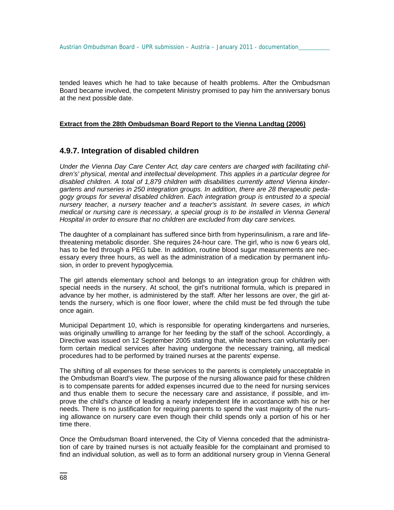tended leaves which he had to take because of health problems. After the Ombudsman Board became involved, the competent Ministry promised to pay him the anniversary bonus at the next possible date.

#### **Extract from the 28th Ombudsman Board Report to the Vienna Landtag (2006)**

#### **4.9.7. Integration of disabled children**

*Under the Vienna Day Care Center Act, day care centers are charged with facilitating children's' physical, mental and intellectual development. This applies in a particular degree for disabled children. A total of 1,879 children with disabilities currently attend Vienna kindergartens and nurseries in 250 integration groups. In addition, there are 28 therapeutic pedagogy groups for several disabled children. Each integration group is entrusted to a special nursery teacher, a nursery teacher and a teacher's assistant. In severe cases, in which medical or nursing care is necessary, a special group is to be installed in Vienna General Hospital in order to ensure that no children are excluded from day care services.* 

The daughter of a complainant has suffered since birth from hyperinsulinism, a rare and lifethreatening metabolic disorder. She requires 24-hour care. The girl, who is now 6 years old, has to be fed through a PEG tube. In addition, routine blood sugar measurements are necessary every three hours, as well as the administration of a medication by permanent infusion, in order to prevent hypoglycemia.

The girl attends elementary school and belongs to an integration group for children with special needs in the nursery. At school, the girl's nutritional formula, which is prepared in advance by her mother, is administered by the staff. After her lessons are over, the girl attends the nursery, which is one floor lower, where the child must be fed through the tube once again.

Municipal Department 10, which is responsible for operating kindergartens and nurseries, was originally unwilling to arrange for her feeding by the staff of the school. Accordingly, a Directive was issued on 12 September 2005 stating that, while teachers can voluntarily perform certain medical services after having undergone the necessary training, all medical procedures had to be performed by trained nurses at the parents' expense.

The shifting of all expenses for these services to the parents is completely unacceptable in the Ombudsman Board's view. The purpose of the nursing allowance paid for these children is to compensate parents for added expenses incurred due to the need for nursing services and thus enable them to secure the necessary care and assistance, if possible, and improve the child's chance of leading a nearly independent life in accordance with his or her needs. There is no justification for requiring parents to spend the vast majority of the nursing allowance on nursery care even though their child spends only a portion of his or her time there.

Once the Ombudsman Board intervened, the City of Vienna conceded that the administration of care by trained nurses is not actually feasible for the complainant and promised to find an individual solution, as well as to form an additional nursery group in Vienna General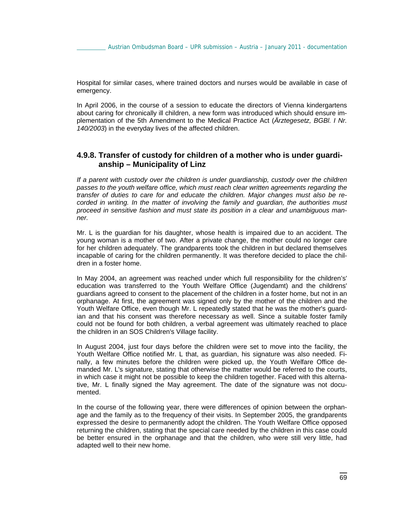Hospital for similar cases, where trained doctors and nurses would be available in case of emergency.

In April 2006, in the course of a session to educate the directors of Vienna kindergartens about caring for chronically ill children, a new form was introduced which should ensure implementation of the 5th Amendment to the Medical Practice Act (*Ärztegesetz, BGBl. I Nr. 140/2003*) in the everyday lives of the affected children.

### **4.9.8. Transfer of custody for children of a mother who is under guardianship – Municipality of Linz**

*If a parent with custody over the children is under guardianship, custody over the children passes to the youth welfare office, which must reach clear written agreements regarding the transfer of duties to care for and educate the children. Major changes must also be recorded in writing. In the matter of involving the family and guardian, the authorities must proceed in sensitive fashion and must state its position in a clear and unambiguous manner.* 

Mr. L is the guardian for his daughter, whose health is impaired due to an accident. The young woman is a mother of two. After a private change, the mother could no longer care for her children adequately. The grandparents took the children in but declared themselves incapable of caring for the children permanently. It was therefore decided to place the children in a foster home.

In May 2004, an agreement was reached under which full responsibility for the children's' education was transferred to the Youth Welfare Office (Jugendamt) and the childrens' guardians agreed to consent to the placement of the children in a foster home, but not in an orphanage. At first, the agreement was signed only by the mother of the children and the Youth Welfare Office, even though Mr. L repeatedly stated that he was the mother's guardian and that his consent was therefore necessary as well. Since a suitable foster family could not be found for both children, a verbal agreement was ultimately reached to place the children in an SOS Children's Village facility.

In August 2004, just four days before the children were set to move into the facility, the Youth Welfare Office notified Mr. L that, as guardian, his signature was also needed. Finally, a few minutes before the children were picked up, the Youth Welfare Office demanded Mr. L's signature, stating that otherwise the matter would be referred to the courts, in which case it might not be possible to keep the children together. Faced with this alternative, Mr. L finally signed the May agreement. The date of the signature was not documented.

In the course of the following year, there were differences of opinion between the orphanage and the family as to the frequency of their visits. In September 2005, the grandparents expressed the desire to permanently adopt the children. The Youth Welfare Office opposed returning the children, stating that the special care needed by the children in this case could be better ensured in the orphanage and that the children, who were still very little, had adapted well to their new home.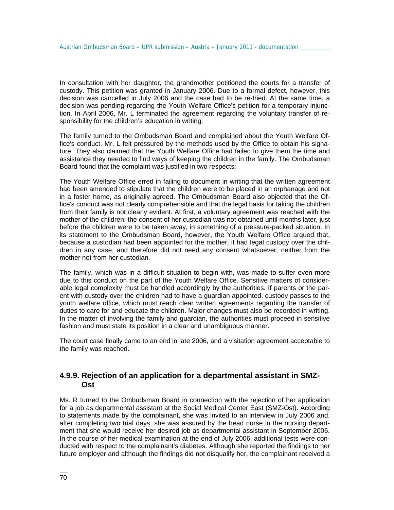In consultation with her daughter, the grandmother petitioned the courts for a transfer of custody. This petition was granted in January 2006. Due to a formal defect, however, this decision was cancelled in July 2006 and the case had to be re-tried. At the same time, a decision was pending regarding the Youth Welfare Office's petition for a temporary injunction. In April 2006, Mr. L terminated the agreement regarding the voluntary transfer of responsibility for the children's education in writing.

The family turned to the Ombudsman Board and complained about the Youth Welfare Office's conduct. Mr. L felt pressured by the methods used by the Office to obtain his signature. They also claimed that the Youth Welfare Office had failed to give them the time and assistance they needed to find ways of keeping the children in the family. The Ombudsman Board found that the complaint was justified in two respects:

The Youth Welfare Office erred in failing to document in writing that the written agreement had been amended to stipulate that the children were to be placed in an orphanage and not in a foster home, as originally agreed. The Ombudsman Board also objected that the Office's conduct was not clearly comprehensible and that the legal basis for taking the children from their family is not clearly evident. At first, a voluntary agreement was reached with the mother of the children: the consent of her custodian was not obtained until months later, just before the children were to be taken away, in something of a pressure-packed situation. In its statement to the Ombudsman Board, however, the Youth Welfare Office argued that, because a custodian had been appointed for the mother, it had legal custody over the children in any case, and therefore did not need any consent whatsoever, neither from the mother not from her custodian.

The family, which was in a difficult situation to begin with, was made to suffer even more due to this conduct on the part of the Youth Welfare Office. Sensitive matters of considerable legal complexity must be handled accordingly by the authorities. If parents or the parent with custody over the children had to have a guardian appointed, custody passes to the youth welfare office, which must reach clear written agreements regarding the transfer of duties to care for and educate the children. Major changes must also be recorded in writing. In the matter of involving the family and guardian, the authorities must proceed in sensitive fashion and must state its position in a clear and unambiguous manner.

The court case finally came to an end in late 2006, and a visitation agreement acceptable to the family was reached.

### **4.9.9. Rejection of an application for a departmental assistant in SMZ-Ost**

Ms. R turned to the Ombudsman Board in connection with the rejection of her application for a job as departmental assistant at the Social Medical Center East (SMZ-Ost). According to statements made by the complainant, she was invited to an interview in July 2006 and, after completing two trial days, she was assured by the head nurse in the nursing department that she would receive her desired job as departmental assistant in September 2006. In the course of her medical examination at the end of July 2006, additional tests were conducted with respect to the complainant's diabetes. Although she reported the findings to her future employer and although the findings did not disqualify her, the complainant received a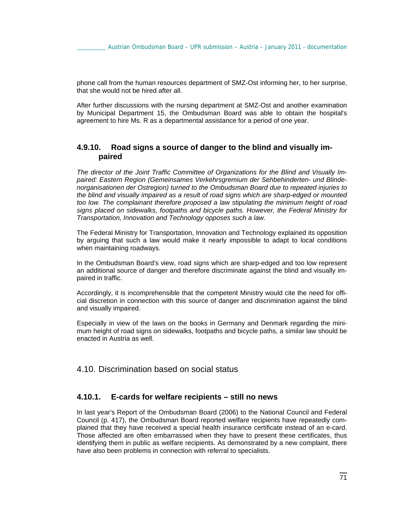phone call from the human resources department of SMZ-Ost informing her, to her surprise, that she would not be hired after all.

After further discussions with the nursing department at SMZ-Ost and another examination by Municipal Department 15, the Ombudsman Board was able to obtain the hospital's agreement to hire Ms. R as a departmental assistance for a period of one year.

#### **4.9.10. Road signs a source of danger to the blind and visually impaired**

*The director of the Joint Traffic Committee of Organizations for the Blind and Visually Impaired: Eastern Region (Gemeinsames Verkehrsgremium der Sehbehinderten- und Blindenorganisationen der Ostregion) turned to the Ombudsman Board due to repeated injuries to the blind and visually impaired as a result of road signs which are sharp-edged or mounted too low. The complainant therefore proposed a law stipulating the minimum height of road signs placed on sidewalks, footpaths and bicycle paths. However, the Federal Ministry for Transportation, Innovation and Technology opposes such a law.* 

The Federal Ministry for Transportation, Innovation and Technology explained its opposition by arguing that such a law would make it nearly impossible to adapt to local conditions when maintaining roadways.

In the Ombudsman Board's view, road signs which are sharp-edged and too low represent an additional source of danger and therefore discriminate against the blind and visually impaired in traffic.

Accordingly, it is incomprehensible that the competent Ministry would cite the need for official discretion in connection with this source of danger and discrimination against the blind and visually impaired.

Especially in view of the laws on the books in Germany and Denmark regarding the minimum height of road signs on sidewalks, footpaths and bicycle paths, a similar law should be enacted in Austria as well.

### 4.10. Discrimination based on social status

#### **4.10.1. E-cards for welfare recipients – still no news**

In last year's Report of the Ombudsman Board (2006) to the National Council and Federal Council (p. 417), the Ombudsman Board reported welfare recipients have repeatedly complained that they have received a special health insurance certificate instead of an e-card. Those affected are often embarrassed when they have to present these certificates, thus identifying them in public as welfare recipients. As demonstrated by a new complaint, there have also been problems in connection with referral to specialists.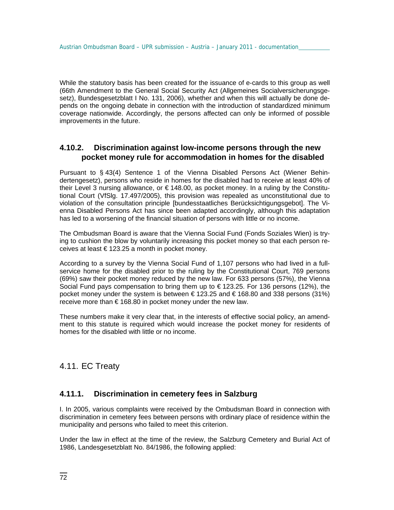While the statutory basis has been created for the issuance of e-cards to this group as well (66th Amendment to the General Social Security Act (Allgemeines Socialversicherungsgesetz), Bundesgesetzblatt I No. 131, 2006), whether and when this will actually be done depends on the ongoing debate in connection with the introduction of standardized minimum coverage nationwide. Accordingly, the persons affected can only be informed of possible improvements in the future.

### **4.10.2. Discrimination against low-income persons through the new pocket money rule for accommodation in homes for the disabled**

Pursuant to § 43(4) Sentence 1 of the Vienna Disabled Persons Act (Wiener Behindertengesetz), persons who reside in homes for the disabled had to receive at least 40% of their Level 3 nursing allowance, or € 148.00, as pocket money. In a ruling by the Constitutional Court (VfSlg. 17.497/2005), this provision was repealed as unconstitutional due to violation of the consultation principle [bundesstaatliches Berücksichtigungsgebot]. The Vienna Disabled Persons Act has since been adapted accordingly, although this adaptation has led to a worsening of the financial situation of persons with little or no income.

The Ombudsman Board is aware that the Vienna Social Fund (Fonds Soziales Wien) is trying to cushion the blow by voluntarily increasing this pocket money so that each person receives at least  $\in$  123.25 a month in pocket money.

According to a survey by the Vienna Social Fund of 1,107 persons who had lived in a fullservice home for the disabled prior to the ruling by the Constitutional Court, 769 persons (69%) saw their pocket money reduced by the new law. For 633 persons (57%), the Vienna Social Fund pays compensation to bring them up to € 123.25. For 136 persons (12%), the pocket money under the system is between  $\in$  123.25 and  $\in$  168.80 and 338 persons (31%) receive more than € 168.80 in pocket money under the new law.

These numbers make it very clear that, in the interests of effective social policy, an amendment to this statute is required which would increase the pocket money for residents of homes for the disabled with little or no income.

# 4.11. EC Treaty

### **4.11.1. Discrimination in cemetery fees in Salzburg**

I. In 2005, various complaints were received by the Ombudsman Board in connection with discrimination in cemetery fees between persons with ordinary place of residence within the municipality and persons who failed to meet this criterion.

Under the law in effect at the time of the review, the Salzburg Cemetery and Burial Act of 1986, Landesgesetzblatt No. 84/1986, the following applied: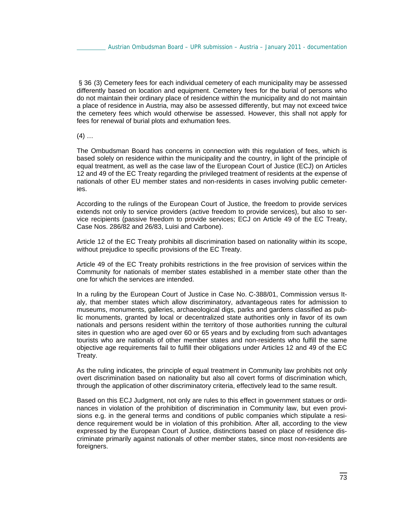§ 36 (3) Cemetery fees for each individual cemetery of each municipality may be assessed differently based on location and equipment. Cemetery fees for the burial of persons who do not maintain their ordinary place of residence within the municipality and do not maintain a place of residence in Austria, may also be assessed differently, but may not exceed twice the cemetery fees which would otherwise be assessed. However, this shall not apply for fees for renewal of burial plots and exhumation fees.

 $(4)$  ...

The Ombudsman Board has concerns in connection with this regulation of fees, which is based solely on residence within the municipality and the country, in light of the principle of equal treatment, as well as the case law of the European Court of Justice (ECJ) on Articles 12 and 49 of the EC Treaty regarding the privileged treatment of residents at the expense of nationals of other EU member states and non-residents in cases involving public cemeteries.

According to the rulings of the European Court of Justice, the freedom to provide services extends not only to service providers (active freedom to provide services), but also to service recipients (passive freedom to provide services; ECJ on Article 49 of the EC Treaty, Case Nos. 286/82 and 26/83, Luisi and Carbone).

Article 12 of the EC Treaty prohibits all discrimination based on nationality within its scope, without prejudice to specific provisions of the EC Treaty.

Article 49 of the EC Treaty prohibits restrictions in the free provision of services within the Community for nationals of member states established in a member state other than the one for which the services are intended.

In a ruling by the European Court of Justice in Case No. C-388/01, Commission versus Italy, that member states which allow discriminatory, advantageous rates for admission to museums, monuments, galleries, archaeological digs, parks and gardens classified as public monuments, granted by local or decentralized state authorities only in favor of its own nationals and persons resident within the territory of those authorities running the cultural sites in question who are aged over 60 or 65 years and by excluding from such advantages tourists who are nationals of other member states and non-residents who fulfill the same objective age requirements fail to fulfill their obligations under Articles 12 and 49 of the EC Treaty.

As the ruling indicates, the principle of equal treatment in Community law prohibits not only overt discrimination based on nationality but also all covert forms of discrimination which, through the application of other discriminatory criteria, effectively lead to the same result.

Based on this ECJ Judgment, not only are rules to this effect in government statues or ordinances in violation of the prohibition of discrimination in Community law, but even provisions e.g. in the general terms and conditions of public companies which stipulate a residence requirement would be in violation of this prohibition. After all, according to the view expressed by the European Court of Justice, distinctions based on place of residence discriminate primarily against nationals of other member states, since most non-residents are foreigners.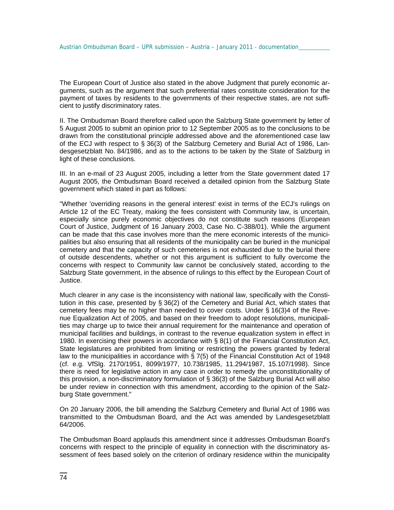The European Court of Justice also stated in the above Judgment that purely economic arguments, such as the argument that such preferential rates constitute consideration for the payment of taxes by residents to the governments of their respective states, are not sufficient to justify discriminatory rates.

II. The Ombudsman Board therefore called upon the Salzburg State government by letter of 5 August 2005 to submit an opinion prior to 12 September 2005 as to the conclusions to be drawn from the constitutional principle addressed above and the aforementioned case law of the ECJ with respect to § 36(3) of the Salzburg Cemetery and Burial Act of 1986, Landesgesetzblatt No. 84/1986, and as to the actions to be taken by the State of Salzburg in light of these conclusions.

III. In an e-mail of 23 August 2005, including a letter from the State government dated 17 August 2005, the Ombudsman Board received a detailed opinion from the Salzburg State government which stated in part as follows:

"Whether 'overriding reasons in the general interest' exist in terms of the ECJ's rulings on Article 12 of the EC Treaty, making the fees consistent with Community law, is uncertain, especially since purely economic objectives do not constitute such reasons (European Court of Justice, Judgment of 16 January 2003, Case No. C-388/01). While the argument can be made that this case involves more than the mere economic interests of the municipalities but also ensuring that all residents of the municipality can be buried in the municipal cemetery and that the capacity of such cemeteries is not exhausted due to the burial there of outside descendents, whether or not this argument is sufficient to fully overcome the concerns with respect to Community law cannot be conclusively stated, according to the Salzburg State government, in the absence of rulings to this effect by the European Court of Justice.

Much clearer in any case is the inconsistency with national law, specifically with the Constitution in this case, presented by § 36(2) of the Cemetery and Burial Act, which states that cemetery fees may be no higher than needed to cover costs. Under § 16(3)4 of the Revenue Equalization Act of 2005, and based on their freedom to adopt resolutions, municipalities may charge up to twice their annual requirement for the maintenance and operation of municipal facilities and buildings, in contrast to the revenue equalization system in effect in 1980. In exercising their powers in accordance with § 8(1) of the Financial Constitution Act, State legislatures are prohibited from limiting or restricting the powers granted by federal law to the municipalities in accordance with § 7(5) of the Financial Constitution Act of 1948 (cf. e.g. VfSlg. 2170/1951, 8099/1977, 10.738/1985, 11.294/1987, 15.107/1998). Since there is need for legislative action in any case in order to remedy the unconstitutionality of this provision, a non-discriminatory formulation of § 36(3) of the Salzburg Burial Act will also be under review in connection with this amendment, according to the opinion of the Salzburg State government."

On 20 January 2006, the bill amending the Salzburg Cemetery and Burial Act of 1986 was transmitted to the Ombudsman Board, and the Act was amended by Landesgesetzblatt 64/2006.

The Ombudsman Board applauds this amendment since it addresses Ombudsman Board's concerns with respect to the principle of equality in connection with the discriminatory assessment of fees based solely on the criterion of ordinary residence within the municipality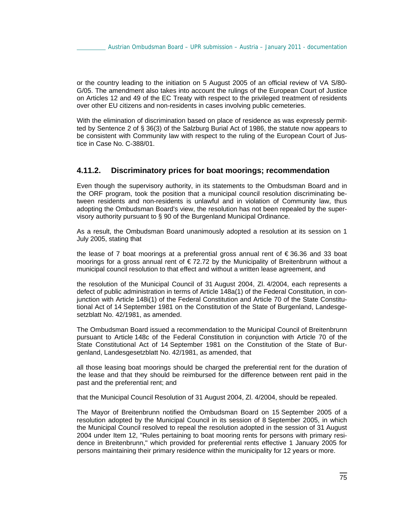or the country leading to the initiation on 5 August 2005 of an official review of VA S/80- G/05. The amendment also takes into account the rulings of the European Court of Justice on Articles 12 and 49 of the EC Treaty with respect to the privileged treatment of residents over other EU citizens and non-residents in cases involving public cemeteries.

With the elimination of discrimination based on place of residence as was expressly permitted by Sentence 2 of § 36(3) of the Salzburg Burial Act of 1986, the statute now appears to be consistent with Community law with respect to the ruling of the European Court of Justice in Case No. C-388/01.

### **4.11.2. Discriminatory prices for boat moorings; recommendation**

Even though the supervisory authority, in its statements to the Ombudsman Board and in the ORF program, took the position that a municipal council resolution discriminating between residents and non-residents is unlawful and in violation of Community law, thus adopting the Ombudsman Board's view, the resolution has not been repealed by the supervisory authority pursuant to § 90 of the Burgenland Municipal Ordinance.

As a result, the Ombudsman Board unanimously adopted a resolution at its session on 1 July 2005, stating that

the lease of 7 boat moorings at a preferential gross annual rent of € 36.36 and 33 boat moorings for a gross annual rent of  $\epsilon$ 72.72 by the Municipality of Breitenbrunn without a municipal council resolution to that effect and without a written lease agreement, and

the resolution of the Municipal Council of 31 August 2004, Zl. 4/2004, each represents a defect of public administration in terms of Article 148a(1) of the Federal Constitution, in conjunction with Article 148i(1) of the Federal Constitution and Article 70 of the State Constitutional Act of 14 September 1981 on the Constitution of the State of Burgenland, Landesgesetzblatt No. 42/1981, as amended.

The Ombudsman Board issued a recommendation to the Municipal Council of Breitenbrunn pursuant to Article 148c of the Federal Constitution in conjunction with Article 70 of the State Constitutional Act of 14 September 1981 on the Constitution of the State of Burgenland, Landesgesetzblatt No. 42/1981, as amended, that

all those leasing boat moorings should be charged the preferential rent for the duration of the lease and that they should be reimbursed for the difference between rent paid in the past and the preferential rent; and

that the Municipal Council Resolution of 31 August 2004, Zl. 4/2004, should be repealed.

The Mayor of Breitenbrunn notified the Ombudsman Board on 15 September 2005 of a resolution adopted by the Municipal Council in its session of 8 September 2005, in which the Municipal Council resolved to repeal the resolution adopted in the session of 31 August 2004 under Item 12, "Rules pertaining to boat mooring rents for persons with primary residence in Breitenbrunn," which provided for preferential rents effective 1 January 2005 for persons maintaining their primary residence within the municipality for 12 years or more.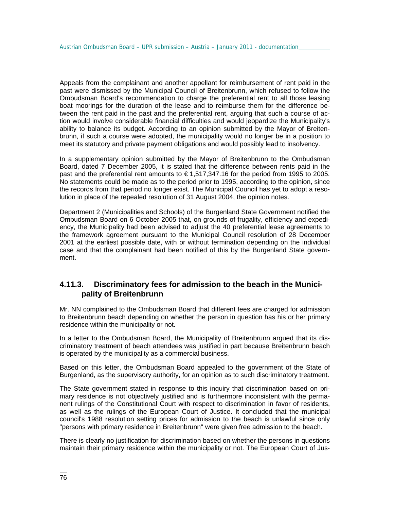Appeals from the complainant and another appellant for reimbursement of rent paid in the past were dismissed by the Municipal Council of Breitenbrunn, which refused to follow the Ombudsman Board's recommendation to charge the preferential rent to all those leasing boat moorings for the duration of the lease and to reimburse them for the difference between the rent paid in the past and the preferential rent, arguing that such a course of action would involve considerable financial difficulties and would jeopardize the Municipality's ability to balance its budget. According to an opinion submitted by the Mayor of Breitenbrunn, if such a course were adopted, the municipality would no longer be in a position to meet its statutory and private payment obligations and would possibly lead to insolvency.

In a supplementary opinion submitted by the Mayor of Breitenbrunn to the Ombudsman Board, dated 7 December 2005, it is stated that the difference between rents paid in the past and the preferential rent amounts to € 1,517,347.16 for the period from 1995 to 2005. No statements could be made as to the period prior to 1995, according to the opinion, since the records from that period no longer exist. The Municipal Council has yet to adopt a resolution in place of the repealed resolution of 31 August 2004, the opinion notes.

Department 2 (Municipalities and Schools) of the Burgenland State Government notified the Ombudsman Board on 6 October 2005 that, on grounds of frugality, efficiency and expediency, the Municipality had been advised to adjust the 40 preferential lease agreements to the framework agreement pursuant to the Municipal Council resolution of 28 December 2001 at the earliest possible date, with or without termination depending on the individual case and that the complainant had been notified of this by the Burgenland State government.

# **4.11.3. Discriminatory fees for admission to the beach in the Municipality of Breitenbrunn**

Mr. NN complained to the Ombudsman Board that different fees are charged for admission to Breitenbrunn beach depending on whether the person in question has his or her primary residence within the municipality or not.

In a letter to the Ombudsman Board, the Municipality of Breitenbrunn argued that its discriminatory treatment of beach attendees was justified in part because Breitenbrunn beach is operated by the municipality as a commercial business.

Based on this letter, the Ombudsman Board appealed to the government of the State of Burgenland, as the supervisory authority, for an opinion as to such discriminatory treatment.

The State government stated in response to this inquiry that discrimination based on primary residence is not objectively justified and is furthermore inconsistent with the permanent rulings of the Constitutional Court with respect to discrimination in favor of residents, as well as the rulings of the European Court of Justice. It concluded that the municipal council's 1988 resolution setting prices for admission to the beach is unlawful since only "persons with primary residence in Breitenbrunn" were given free admission to the beach.

There is clearly no justification for discrimination based on whether the persons in questions maintain their primary residence within the municipality or not. The European Court of Jus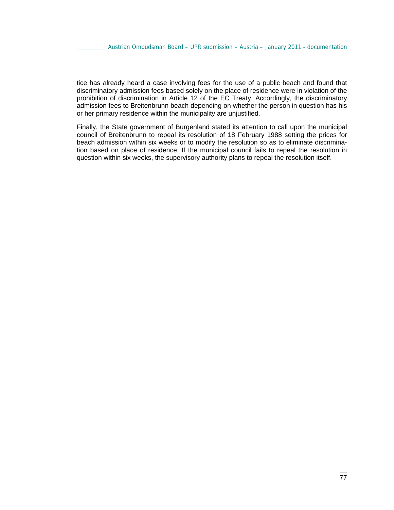tice has already heard a case involving fees for the use of a public beach and found that discriminatory admission fees based solely on the place of residence were in violation of the prohibition of discrimination in Article 12 of the EC Treaty. Accordingly, the discriminatory admission fees to Breitenbrunn beach depending on whether the person in question has his or her primary residence within the municipality are unjustified.

Finally, the State government of Burgenland stated its attention to call upon the municipal council of Breitenbrunn to repeal its resolution of 18 February 1988 setting the prices for beach admission within six weeks or to modify the resolution so as to eliminate discrimination based on place of residence. If the municipal council fails to repeal the resolution in question within six weeks, the supervisory authority plans to repeal the resolution itself.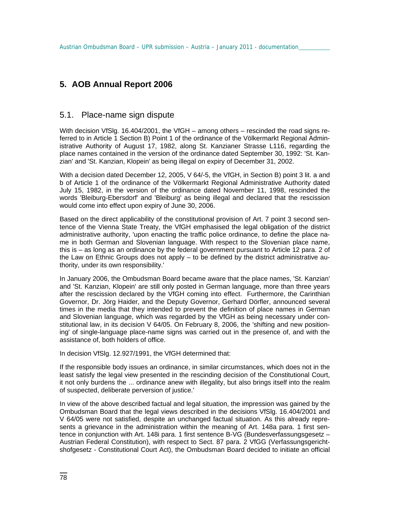# **5. AOB Annual Report 2006**

# 5.1. Place-name sign dispute

With decision VfSlg. 16.404/2001, the VfGH – among others – rescinded the road signs referred to in Article 1 Section B) Point 1 of the ordinance of the Völkermarkt Regional Administrative Authority of August 17, 1982, along St. Kanzianer Strasse L116, regarding the place names contained in the version of the ordinance dated September 30, 1992: 'St. Kanzian' and 'St. Kanzian, Klopein' as being illegal on expiry of December 31, 2002.

With a decision dated December 12, 2005, V 64/-5, the VfGH, in Section B) point 3 lit. a and b of Article 1 of the ordinance of the Völkermarkt Regional Administrative Authority dated July 15, 1982, in the version of the ordinance dated November 11, 1998, rescinded the words 'Bleiburg-Ebersdorf' and 'Bleiburg' as being illegal and declared that the rescission would come into effect upon expiry of June 30, 2006.

Based on the direct applicability of the constitutional provision of Art. 7 point 3 second sentence of the Vienna State Treaty, the VfGH emphasised the legal obligation of the district administrative authority, 'upon enacting the traffic police ordinance, to define the place name in both German and Slovenian language. With respect to the Slovenian place name, this is – as long as an ordinance by the federal government pursuant to Article 12 para. 2 of the Law on Ethnic Groups does not apply – to be defined by the district administrative authority, under its own responsibility.'

In January 2006, the Ombudsman Board became aware that the place names, 'St. Kanzian' and 'St. Kanzian, Klopein' are still only posted in German language, more than three years after the rescission declared by the VfGH coming into effect. Furthermore, the Carinthian Governor, Dr. Jörg Haider, and the Deputy Governor, Gerhard Dörfler, announced several times in the media that they intended to prevent the definition of place names in German and Slovenian language, which was regarded by the VfGH as being necessary under constitutional law, in its decision V 64/05. On February 8, 2006, the 'shifting and new positioning' of single-language place-name signs was carried out in the presence of, and with the assistance of, both holders of office.

In decision VfSlg. 12.927/1991, the VfGH determined that:

If the responsible body issues an ordinance, in similar circumstances, which does not in the least satisfy the legal view presented in the rescinding decision of the Constitutional Court, it not only burdens the ... ordinance anew with illegality, but also brings itself into the realm of suspected, deliberate perversion of justice.'

In view of the above described factual and legal situation, the impression was gained by the Ombudsman Board that the legal views described in the decisions VfSlg. 16.404/2001 and V 64/05 were not satisfied, despite an unchanged factual situation. As this already represents a grievance in the administration within the meaning of Art. 148a para. 1 first sentence in conjunction with Art. 148i para. 1 first sentence B-VG (Bundesverfassungsgesetz – Austrian Federal Constitution), with respect to Sect. 87 para. 2 VfGG (Verfassungsgerichtshofgesetz - Constitutional Court Act), the Ombudsman Board decided to initiate an official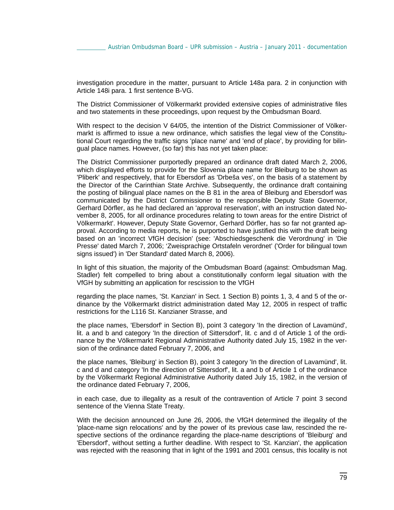investigation procedure in the matter, pursuant to Article 148a para. 2 in conjunction with Article 148i para. 1 first sentence B-VG.

The District Commissioner of Völkermarkt provided extensive copies of administrative files and two statements in these proceedings, upon request by the Ombudsman Board.

With respect to the decision V 64/05, the intention of the District Commissioner of Völkermarkt is affirmed to issue a new ordinance, which satisfies the legal view of the Constitutional Court regarding the traffic signs 'place name' and 'end of place', by providing for bilingual place names. However, (so far) this has not yet taken place:

The District Commissioner purportedly prepared an ordinance draft dated March 2, 2006, which displayed efforts to provide for the Slovenia place name for Bleiburg to be shown as 'Pliberk' and respectively, that for Ebersdorf as 'Drbeša ves', on the basis of a statement by the Director of the Carinthian State Archive. Subsequently, the ordinance draft containing the posting of bilingual place names on the B 81 in the area of Bleiburg and Ebersdorf was communicated by the District Commissioner to the responsible Deputy State Governor, Gerhard Dörfler, as he had declared an 'approval reservation', with an instruction dated November 8, 2005, for all ordinance procedures relating to town areas for the entire District of Völkermarkt'. However, Deputy State Governor, Gerhard Dörfler, has so far not granted approval. According to media reports, he is purported to have justified this with the draft being based on an 'incorrect VfGH decision' (see: 'Abschiedsgeschenk die Verordnung' in 'Die Presse' dated March 7, 2006; 'Zweisprachige Ortstafeln verordnet' ('Order for bilingual town signs issued') in 'Der Standard' dated March 8, 2006).

In light of this situation, the majority of the Ombudsman Board (against: Ombudsman Mag. Stadler) felt compelled to bring about a constitutionally conform legal situation with the VfGH by submitting an application for rescission to the VfGH

regarding the place names, 'St. Kanzian' in Sect. 1 Section B) points 1, 3, 4 and 5 of the ordinance by the Völkermarkt district administration dated May 12, 2005 in respect of traffic restrictions for the L116 St. Kanzianer Strasse, and

the place names, 'Ebersdorf' in Section B), point 3 category 'In the direction of Lavamünd', lit. a and b and category 'In the direction of Sittersdorf', lit. c and d of Article 1 of the ordinance by the Völkermarkt Regional Administrative Authority dated July 15, 1982 in the version of the ordinance dated February 7, 2006, and

the place names, 'Bleiburg' in Section B), point 3 category 'In the direction of Lavamünd', lit. c and d and category 'In the direction of Sittersdorf', lit. a and b of Article 1 of the ordinance by the Völkermarkt Regional Administrative Authority dated July 15, 1982, in the version of the ordinance dated February 7, 2006,

in each case, due to illegality as a result of the contravention of Article 7 point 3 second sentence of the Vienna State Treaty.

With the decision announced on June 26, 2006, the VfGH determined the illegality of the 'place-name sign relocations' and by the power of its previous case law, rescinded the respective sections of the ordinance regarding the place-name descriptions of 'Bleiburg' and 'Ebersdorf', without setting a further deadline. With respect to 'St. Kanzian', the application was rejected with the reasoning that in light of the 1991 and 2001 census, this locality is not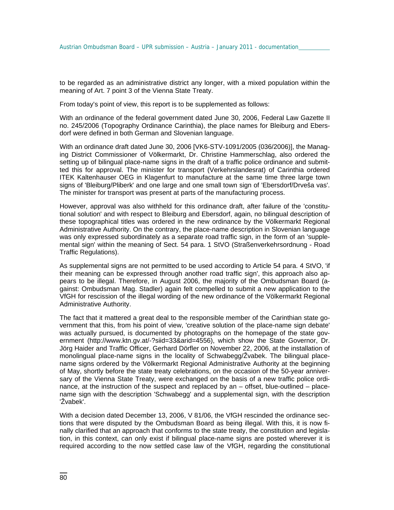to be regarded as an administrative district any longer, with a mixed population within the meaning of Art. 7 point 3 of the Vienna State Treaty.

From today's point of view, this report is to be supplemented as follows:

With an ordinance of the federal government dated June 30, 2006, Federal Law Gazette II no. 245/2006 (Topography Ordinance Carinthia), the place names for Bleiburg and Ebersdorf were defined in both German and Slovenian language.

With an ordinance draft dated June 30, 2006 [VK6-STV-1091/2005 (036/2006)], the Managing District Commissioner of Völkermarkt, Dr. Christine Hammerschlag, also ordered the setting up of bilingual place-name signs in the draft of a traffic police ordinance and submitted this for approval. The minister for transport (Verkehrslandesrat) of Carinthia ordered ITEK Kaltenhauser OEG in Klagenfurt to manufacture at the same time three large town signs of 'Bleiburg/Pliberk' and one large and one small town sign of 'Ebersdorf/Drveša vas'. The minister for transport was present at parts of the manufacturing process.

However, approval was also withheld for this ordinance draft, after failure of the 'constitutional solution' and with respect to Bleiburg and Ebersdorf, again, no bilingual description of these topographical titles was ordered in the new ordinance by the Völkermarkt Regional Administrative Authority. On the contrary, the place-name description in Slovenian language was only expressed subordinately as a separate road traffic sign, in the form of an 'supplemental sign' within the meaning of Sect. 54 para. 1 StVO (Straßenverkehrsordnung - Road Traffic Regulations).

As supplemental signs are not permitted to be used according to Article 54 para. 4 StVO, 'if their meaning can be expressed through another road traffic sign', this approach also appears to be illegal. Therefore, in August 2006, the majority of the Ombudsman Board (against: Ombudsman Mag. Stadler) again felt compelled to submit a new application to the VfGH for rescission of the illegal wording of the new ordinance of the Völkermarkt Regional Administrative Authority.

The fact that it mattered a great deal to the responsible member of the Carinthian state government that this, from his point of view, 'creative solution of the place-name sign debate' was actually pursued, is documented by photographs on the homepage of the state government (http://www.ktn.gv.at/-?siid=33&arid=4556), which show the State Governor, Dr. Jörg Haider and Traffic Officer, Gerhard Dörfler on November 22, 2006, at the installation of monolingual place-name signs in the locality of Schwabegg/Žvabek. The bilingual placename signs ordered by the Völkermarkt Regional Administrative Authority at the beginning of May, shortly before the state treaty celebrations, on the occasion of the 50-year anniversary of the Vienna State Treaty, were exchanged on the basis of a new traffic police ordinance, at the instruction of the suspect and replaced by an – offset, blue-outlined – placename sign with the description 'Schwabegg' and a supplemental sign, with the description 'Žvabek'.

With a decision dated December 13, 2006, V 81/06, the VfGH rescinded the ordinance sections that were disputed by the Ombudsman Board as being illegal. With this, it is now finally clarified that an approach that conforms to the state treaty, the constitution and legislation, in this context, can only exist if bilingual place-name signs are posted wherever it is required according to the now settled case law of the VfGH, regarding the constitutional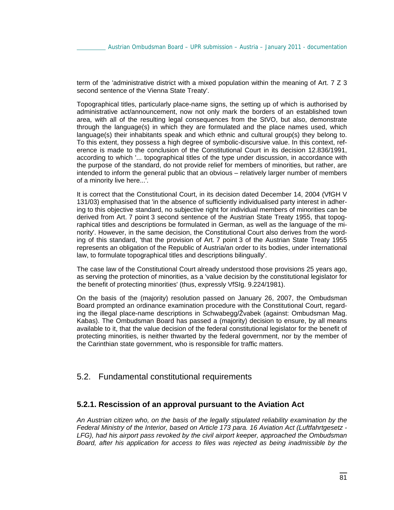term of the 'administrative district with a mixed population within the meaning of Art. 7 Z 3 second sentence of the Vienna State Treaty'.

Topographical titles, particularly place-name signs, the setting up of which is authorised by administrative act/announcement, now not only mark the borders of an established town area, with all of the resulting legal consequences from the StVO, but also, demonstrate through the language(s) in which they are formulated and the place names used, which language(s) their inhabitants speak and which ethnic and cultural group(s) they belong to. To this extent, they possess a high degree of symbolic-discursive value. In this context, reference is made to the conclusion of the Constitutional Court in its decision 12.836/1991, according to which '... topographical titles of the type under discussion, in accordance with the purpose of the standard, do not provide relief for members of minorities, but rather, are intended to inform the general public that an obvious – relatively larger number of members of a minority live here...'.

It is correct that the Constitutional Court, in its decision dated December 14, 2004 (VfGH V 131/03) emphasised that 'in the absence of sufficiently individualised party interest in adhering to this objective standard, no subjective right for individual members of minorities can be derived from Art. 7 point 3 second sentence of the Austrian State Treaty 1955, that topographical titles and descriptions be formulated in German, as well as the language of the minority'. However, in the same decision, the Constitutional Court also derives from the wording of this standard, 'that the provision of Art. 7 point 3 of the Austrian State Treaty 1955 represents an obligation of the Republic of Austria/an order to its bodies, under international law, to formulate topographical titles and descriptions bilingually'.

The case law of the Constitutional Court already understood those provisions 25 years ago, as serving the protection of minorities, as a 'value decision by the constitutional legislator for the benefit of protecting minorities' (thus, expressly VfSIg. 9.224/1981).

On the basis of the (majority) resolution passed on January 26, 2007, the Ombudsman Board prompted an ordinance examination procedure with the Constitutional Court, regarding the illegal place-name descriptions in Schwabegg/Žvabek (against: Ombudsman Mag. Kabas). The Ombudsman Board has passed a (majority) decision to ensure, by all means available to it, that the value decision of the federal constitutional legislator for the benefit of protecting minorities, is neither thwarted by the federal government, nor by the member of the Carinthian state government, who is responsible for traffic matters.

# 5.2. Fundamental constitutional requirements

#### **5.2.1. Rescission of an approval pursuant to the Aviation Act**

*An Austrian citizen who, on the basis of the legally stipulated reliability examination by the Federal Ministry of the Interior, based on Article 173 para. 16 Aviation Act (Luftfahrtgesetz - LFG), had his airport pass revoked by the civil airport keeper, approached the Ombudsman Board, after his application for access to files was rejected as being inadmissible by the*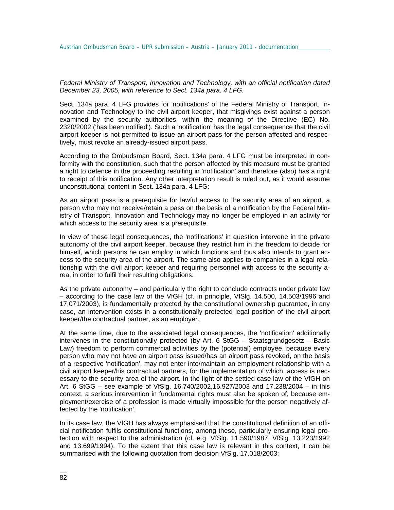*Federal Ministry of Transport, Innovation and Technology, with an official notification dated December 23, 2005, with reference to Sect. 134a para. 4 LFG.* 

Sect. 134a para. 4 LFG provides for 'notifications' of the Federal Ministry of Transport, Innovation and Technology to the civil airport keeper, that misgivings exist against a person examined by the security authorities, within the meaning of the Directive (EC) No. 2320/2002 ('has been notified'). Such a 'notification' has the legal consequence that the civil airport keeper is not permitted to issue an airport pass for the person affected and respectively, must revoke an already-issued airport pass.

According to the Ombudsman Board, Sect. 134a para. 4 LFG must be interpreted in conformity with the constitution, such that the person affected by this measure must be granted a right to defence in the proceeding resulting in 'notification' and therefore (also) has a right to receipt of this notification. Any other interpretation result is ruled out, as it would assume unconstitutional content in Sect. 134a para. 4 LFG:

As an airport pass is a prerequisite for lawful access to the security area of an airport, a person who may not receive/retain a pass on the basis of a notification by the Federal Ministry of Transport, Innovation and Technology may no longer be employed in an activity for which access to the security area is a prerequisite.

In view of these legal consequences, the 'notifications' in question intervene in the private autonomy of the civil airport keeper, because they restrict him in the freedom to decide for himself, which persons he can employ in which functions and thus also intends to grant access to the security area of the airport. The same also applies to companies in a legal relationship with the civil airport keeper and requiring personnel with access to the security area, in order to fulfil their resulting obligations.

As the private autonomy – and particularly the right to conclude contracts under private law – according to the case law of the VfGH (cf. in principle, VfSlg. 14.500, 14.503/1996 and 17.071/2003), is fundamentally protected by the constitutional ownership guarantee, in any case, an intervention exists in a constitutionally protected legal position of the civil airport keeper/the contractual partner, as an employer.

At the same time, due to the associated legal consequences, the 'notification' additionally intervenes in the constitutionally protected (by Art. 6 StGG – Staatsgrundgesetz – Basic Law) freedom to perform commercial activities by the (potential) employee, because every person who may not have an airport pass issued/has an airport pass revoked, on the basis of a respective 'notification', may not enter into/maintain an employment relationship with a civil airport keeper/his contractual partners, for the implementation of which, access is necessary to the security area of the airport. In the light of the settled case law of the VfGH on Art. 6 StGG – see example of VfSlg. 16.740/2002,16.927/2003 and 17.238/2004 – in this context, a serious intervention in fundamental rights must also be spoken of, because employment/exercise of a profession is made virtually impossible for the person negatively affected by the 'notification'.

In its case law, the VfGH has always emphasised that the constitutional definition of an official notification fulfils constitutional functions, among these, particularly ensuring legal protection with respect to the administration (cf. e.g. VfSlg. 11.590/1987, VfSlg. 13.223/1992 and 13.699/1994). To the extent that this case law is relevant in this context, it can be summarised with the following quotation from decision VfSlg. 17.018/2003: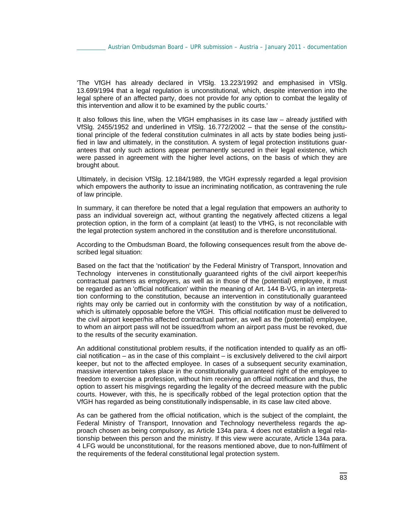'The VfGH has already declared in VfSlg. 13.223/1992 and emphasised in VfSlg. 13.699/1994 that a legal regulation is unconstitutional, which, despite intervention into the legal sphere of an affected party, does not provide for any option to combat the legality of this intervention and allow it to be examined by the public courts.'

It also follows this line, when the VfGH emphasises in its case law – already justified with VfSlg. 2455/1952 and underlined in VfSlg. 16.772/2002 – that the sense of the constitutional principle of the federal constitution culminates in all acts by state bodies being justified in law and ultimately, in the constitution. A system of legal protection institutions guarantees that only such actions appear permanently secured in their legal existence, which were passed in agreement with the higher level actions, on the basis of which they are brought about.

Ultimately, in decision VfSlg. 12.184/1989, the VfGH expressly regarded a legal provision which empowers the authority to issue an incriminating notification, as contravening the rule of law principle.

In summary, it can therefore be noted that a legal regulation that empowers an authority to pass an individual sovereign act, without granting the negatively affected citizens a legal protection option, in the form of a complaint (at least) to the VfHG, is not reconcilable with the legal protection system anchored in the constitution and is therefore unconstitutional.

According to the Ombudsman Board, the following consequences result from the above described legal situation:

Based on the fact that the 'notification' by the Federal Ministry of Transport, Innovation and Technology intervenes in constitutionally guaranteed rights of the civil airport keeper/his contractual partners as employers, as well as in those of the (potential) employee, it must be regarded as an 'official notification' within the meaning of Art. 144 B-VG, in an interpretation conforming to the constitution, because an intervention in constitutionally guaranteed rights may only be carried out in conformity with the constitution by way of a notification, which is ultimately opposable before the VfGH. This official notification must be delivered to the civil airport keeper/his affected contractual partner, as well as the (potential) employee, to whom an airport pass will not be issued/from whom an airport pass must be revoked, due to the results of the security examination.

An additional constitutional problem results, if the notification intended to qualify as an official notification – as in the case of this complaint – is exclusively delivered to the civil airport keeper, but not to the affected employee. In cases of a subsequent security examination, massive intervention takes place in the constitutionally guaranteed right of the employee to freedom to exercise a profession, without him receiving an official notification and thus, the option to assert his misgivings regarding the legality of the decreed measure with the public courts. However, with this, he is specifically robbed of the legal protection option that the VfGH has regarded as being constitutionally indispensable, in its case law cited above.

As can be gathered from the official notification, which is the subject of the complaint, the Federal Ministry of Transport, Innovation and Technology nevertheless regards the approach chosen as being compulsory, as Article 134a para. 4 does not establish a legal relationship between this person and the ministry. If this view were accurate, Article 134a para. 4 LFG would be unconstitutional, for the reasons mentioned above, due to non-fulfilment of the requirements of the federal constitutional legal protection system.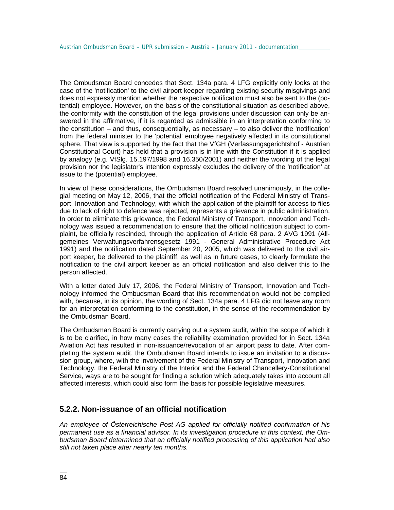The Ombudsman Board concedes that Sect. 134a para. 4 LFG explicitly only looks at the case of the 'notification' to the civil airport keeper regarding existing security misgivings and does not expressly mention whether the respective notification must also be sent to the (potential) employee. However, on the basis of the constitutional situation as described above, the conformity with the constitution of the legal provisions under discussion can only be answered in the affirmative, if it is regarded as admissible in an interpretation conforming to the constitution – and thus, consequentially, as necessary – to also deliver the 'notification' from the federal minister to the 'potential' employee negatively affected in its constitutional sphere. That view is supported by the fact that the VfGH (Verfassungsgerichtshof - Austrian Constitutional Court) has held that a provision is in line with the Constitution if it is applied by analogy (e.g. VfSlg. 15.197/1998 and 16.350/2001) and neither the wording of the legal provision nor the legislator's intention expressly excludes the delivery of the 'notification' at issue to the (potential) employee.

In view of these considerations, the Ombudsman Board resolved unanimously, in the collegial meeting on May 12, 2006, that the official notification of the Federal Ministry of Transport, Innovation and Technology, with which the application of the plaintiff for access to files due to lack of right to defence was rejected, represents a grievance in public administration. In order to eliminate this grievance, the Federal Ministry of Transport, Innovation and Technology was issued a recommendation to ensure that the official notification subject to complaint, be officially rescinded, through the application of Article 68 para. 2 AVG 1991 (Allgemeines Verwaltungsverfahrensgesetz 1991 - General Administrative Procedure Act 1991) and the notification dated September 20, 2005, which was delivered to the civil airport keeper, be delivered to the plaintiff, as well as in future cases, to clearly formulate the notification to the civil airport keeper as an official notification and also deliver this to the person affected.

With a letter dated July 17, 2006, the Federal Ministry of Transport, Innovation and Technology informed the Ombudsman Board that this recommendation would not be complied with, because, in its opinion, the wording of Sect. 134a para. 4 LFG did not leave any room for an interpretation conforming to the constitution, in the sense of the recommendation by the Ombudsman Board.

The Ombudsman Board is currently carrying out a system audit, within the scope of which it is to be clarified, in how many cases the reliability examination provided for in Sect. 134a Aviation Act has resulted in non-issuance/revocation of an airport pass to date. After completing the system audit, the Ombudsman Board intends to issue an invitation to a discussion group, where, with the involvement of the Federal Ministry of Transport, Innovation and Technology, the Federal Ministry of the Interior and the Federal Chancellery-Constitutional Service, ways are to be sought for finding a solution which adequately takes into account all affected interests, which could also form the basis for possible legislative measures.

#### **5.2.2. Non-issuance of an official notification**

*An employee of Österreichische Post AG applied for officially notified confirmation of his permanent use as a financial advisor. In its investigation procedure in this context, the Ombudsman Board determined that an officially notified processing of this application had also still not taken place after nearly ten months.*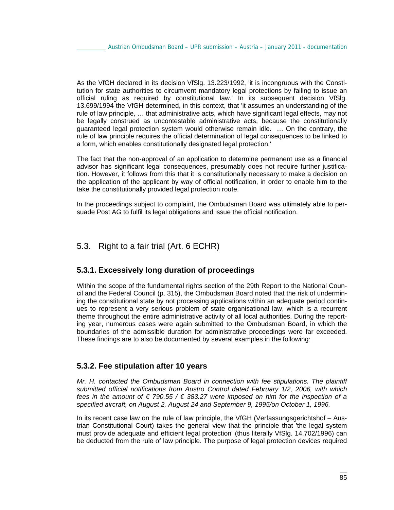As the VfGH declared in its decision VfSlg. 13.223/1992, 'it is incongruous with the Constitution for state authorities to circumvent mandatory legal protections by failing to issue an official ruling as required by constitutional law.' In its subsequent decision VfSlg. 13.699/1994 the VfGH determined, in this context, that 'it assumes an understanding of the rule of law principle, … that administrative acts, which have significant legal effects, may not be legally construed as uncontestable administrative acts, because the constitutionally guaranteed legal protection system would otherwise remain idle. … On the contrary, the rule of law principle requires the official determination of legal consequences to be linked to a form, which enables constitutionally designated legal protection.'

The fact that the non-approval of an application to determine permanent use as a financial advisor has significant legal consequences, presumably does not require further justification. However, it follows from this that it is constitutionally necessary to make a decision on the application of the applicant by way of official notification, in order to enable him to the take the constitutionally provided legal protection route.

In the proceedings subject to complaint, the Ombudsman Board was ultimately able to persuade Post AG to fulfil its legal obligations and issue the official notification.

# 5.3. Right to a fair trial (Art. 6 ECHR)

# **5.3.1. Excessively long duration of proceedings**

Within the scope of the fundamental rights section of the 29th Report to the National Council and the Federal Council (p. 315), the Ombudsman Board noted that the risk of undermining the constitutional state by not processing applications within an adequate period continues to represent a very serious problem of state organisational law, which is a recurrent theme throughout the entire administrative activity of all local authorities. During the reporting year, numerous cases were again submitted to the Ombudsman Board, in which the boundaries of the admissible duration for administrative proceedings were far exceeded. These findings are to also be documented by several examples in the following:

#### **5.3.2. Fee stipulation after 10 years**

*Mr. H. contacted the Ombudsman Board in connection with fee stipulations. The plaintiff submitted official notifications from Austro Control dated February 1/2, 2006, with which fees in the amount of € 790.55 / € 383.27 were imposed on him for the inspection of a specified aircraft, on August 2, August 24 and September 9, 1995/on October 1, 1996.*

In its recent case law on the rule of law principle, the VfGH (Verfassungsgerichtshof – Austrian Constitutional Court) takes the general view that the principle that 'the legal system must provide adequate and efficient legal protection' (thus literally VfSlg. 14.702/1996) can be deducted from the rule of law principle. The purpose of legal protection devices required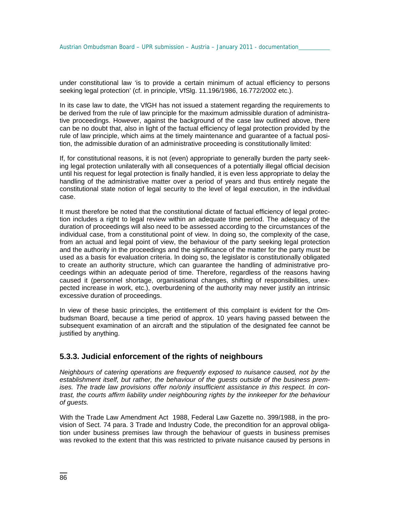under constitutional law 'is to provide a certain minimum of actual efficiency to persons seeking legal protection' (cf. in principle, VfSlg. 11.196/1986, 16.772/2002 etc.).

In its case law to date, the VfGH has not issued a statement regarding the requirements to be derived from the rule of law principle for the maximum admissible duration of administrative proceedings. However, against the background of the case law outlined above, there can be no doubt that, also in light of the factual efficiency of legal protection provided by the rule of law principle, which aims at the timely maintenance and guarantee of a factual position, the admissible duration of an administrative proceeding is constitutionally limited:

If, for constitutional reasons, it is not (even) appropriate to generally burden the party seeking legal protection unilaterally with all consequences of a potentially illegal official decision until his request for legal protection is finally handled, it is even less appropriate to delay the handling of the administrative matter over a period of years and thus entirely negate the constitutional state notion of legal security to the level of legal execution, in the individual case.

It must therefore be noted that the constitutional dictate of factual efficiency of legal protection includes a right to legal review within an adequate time period. The adequacy of the duration of proceedings will also need to be assessed according to the circumstances of the individual case, from a constitutional point of view. In doing so, the complexity of the case, from an actual and legal point of view, the behaviour of the party seeking legal protection and the authority in the proceedings and the significance of the matter for the party must be used as a basis for evaluation criteria. In doing so, the legislator is constitutionally obligated to create an authority structure, which can guarantee the handling of administrative proceedings within an adequate period of time. Therefore, regardless of the reasons having caused it (personnel shortage, organisational changes, shifting of responsibilities, unexpected increase in work, etc.), overburdening of the authority may never justify an intrinsic excessive duration of proceedings.

In view of these basic principles, the entitlement of this complaint is evident for the Ombudsman Board, because a time period of approx. 10 years having passed between the subsequent examination of an aircraft and the stipulation of the designated fee cannot be justified by anything.

#### **5.3.3. Judicial enforcement of the rights of neighbours**

*Neighbours of catering operations are frequently exposed to nuisance caused, not by the establishment itself, but rather, the behaviour of the guests outside of the business premises. The trade law provisions offer no/only insufficient assistance in this respect. In contrast, the courts affirm liability under neighbouring rights by the innkeeper for the behaviour of guests.* 

With the Trade Law Amendment Act 1988, Federal Law Gazette no. 399/1988, in the provision of Sect. 74 para. 3 Trade and Industry Code, the precondition for an approval obligation under business premises law through the behaviour of guests in business premises was revoked to the extent that this was restricted to private nuisance caused by persons in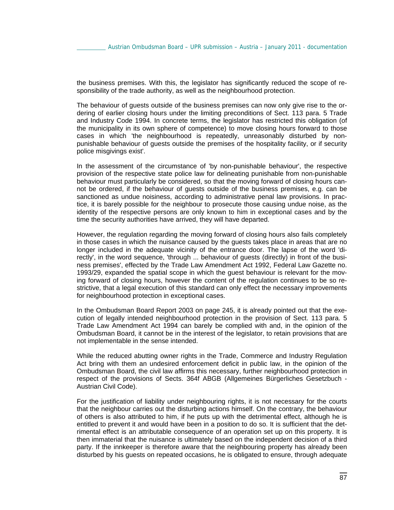the business premises. With this, the legislator has significantly reduced the scope of responsibility of the trade authority, as well as the neighbourhood protection.

The behaviour of guests outside of the business premises can now only give rise to the ordering of earlier closing hours under the limiting preconditions of Sect. 113 para. 5 Trade and Industry Code 1994. In concrete terms, the legislator has restricted this obligation (of the municipality in its own sphere of competence) to move closing hours forward to those cases in which 'the neighbourhood is repeatedly, unreasonably disturbed by nonpunishable behaviour of guests outside the premises of the hospitality facility, or if security police misgivings exist'.

In the assessment of the circumstance of 'by non-punishable behaviour', the respective provision of the respective state police law for delineating punishable from non-punishable behaviour must particularly be considered, so that the moving forward of closing hours cannot be ordered, if the behaviour of guests outside of the business premises, e.g. can be sanctioned as undue noisiness, according to administrative penal law provisions. In practice, it is barely possible for the neighbour to prosecute those causing undue noise, as the identity of the respective persons are only known to him in exceptional cases and by the time the security authorities have arrived, they will have departed.

However, the regulation regarding the moving forward of closing hours also fails completely in those cases in which the nuisance caused by the guests takes place in areas that are no longer included in the adequate vicinity of the entrance door. The lapse of the word 'directly', in the word sequence, 'through ... behaviour of guests (directly) in front of the business premises', effected by the Trade Law Amendment Act 1992, Federal Law Gazette no. 1993/29, expanded the spatial scope in which the guest behaviour is relevant for the moving forward of closing hours, however the content of the regulation continues to be so restrictive, that a legal execution of this standard can only effect the necessary improvements for neighbourhood protection in exceptional cases.

In the Ombudsman Board Report 2003 on page 245, it is already pointed out that the execution of legally intended neighbourhood protection in the provision of Sect. 113 para. 5 Trade Law Amendment Act 1994 can barely be complied with and, in the opinion of the Ombudsman Board, it cannot be in the interest of the legislator, to retain provisions that are not implementable in the sense intended.

While the reduced abutting owner rights in the Trade, Commerce and Industry Regulation Act bring with them an undesired enforcement deficit in public law, in the opinion of the Ombudsman Board, the civil law affirms this necessary, further neighbourhood protection in respect of the provisions of Sects. 364f ABGB (Allgemeines Bürgerliches Gesetzbuch - Austrian Civil Code).

For the justification of liability under neighbouring rights, it is not necessary for the courts that the neighbour carries out the disturbing actions himself. On the contrary, the behaviour of others is also attributed to him, if he puts up with the detrimental effect, although he is entitled to prevent it and would have been in a position to do so. It is sufficient that the detrimental effect is an attributable consequence of an operation set up on this property. It is then immaterial that the nuisance is ultimately based on the independent decision of a third party. If the innkeeper is therefore aware that the neighbouring property has already been disturbed by his guests on repeated occasions, he is obligated to ensure, through adequate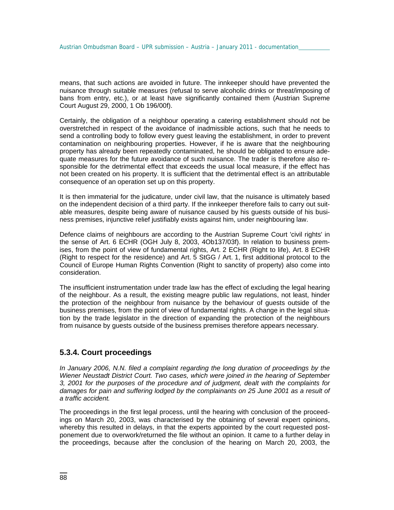means, that such actions are avoided in future. The innkeeper should have prevented the nuisance through suitable measures (refusal to serve alcoholic drinks or threat/imposing of bans from entry, etc.), or at least have significantly contained them (Austrian Supreme Court August 29, 2000, 1 Ob 196/00f).

Certainly, the obligation of a neighbour operating a catering establishment should not be overstretched in respect of the avoidance of inadmissible actions, such that he needs to send a controlling body to follow every guest leaving the establishment, in order to prevent contamination on neighbouring properties. However, if he is aware that the neighbouring property has already been repeatedly contaminated, he should be obligated to ensure adequate measures for the future avoidance of such nuisance. The trader is therefore also responsible for the detrimental effect that exceeds the usual local measure, if the effect has not been created on his property. It is sufficient that the detrimental effect is an attributable consequence of an operation set up on this property.

It is then immaterial for the judicature, under civil law, that the nuisance is ultimately based on the independent decision of a third party. If the innkeeper therefore fails to carry out suitable measures, despite being aware of nuisance caused by his guests outside of his business premises, injunctive relief justifiably exists against him, under neighbouring law.

Defence claims of neighbours are according to the Austrian Supreme Court 'civil rights' in the sense of Art. 6 ECHR (OGH July 8, 2003, 4Ob137/03f). In relation to business premises, from the point of view of fundamental rights, Art. 2 ECHR (Right to life), Art. 8 ECHR (Right to respect for the residence) and Art. 5 StGG / Art. 1, first additional protocol to the Council of Europe Human Rights Convention (Right to sanctity of property) also come into consideration.

The insufficient instrumentation under trade law has the effect of excluding the legal hearing of the neighbour. As a result, the existing meagre public law regulations, not least, hinder the protection of the neighbour from nuisance by the behaviour of guests outside of the business premises, from the point of view of fundamental rights. A change in the legal situation by the trade legislator in the direction of expanding the protection of the neighbours from nuisance by guests outside of the business premises therefore appears necessary.

# **5.3.4. Court proceedings**

*In January 2006, N.N. filed a complaint regarding the long duration of proceedings by the Wiener Neustadt District Court. Two cases, which were joined in the hearing of September 3, 2001 for the purposes of the procedure and of judgment, dealt with the complaints for*  damages for pain and suffering lodged by the complainants on 25 June 2001 as a result of *a traffic accident.*

The proceedings in the first legal process, until the hearing with conclusion of the proceedings on March 20, 2003, was characterised by the obtaining of several expert opinions, whereby this resulted in delays, in that the experts appointed by the court requested postponement due to overwork/returned the file without an opinion. It came to a further delay in the proceedings, because after the conclusion of the hearing on March 20, 2003, the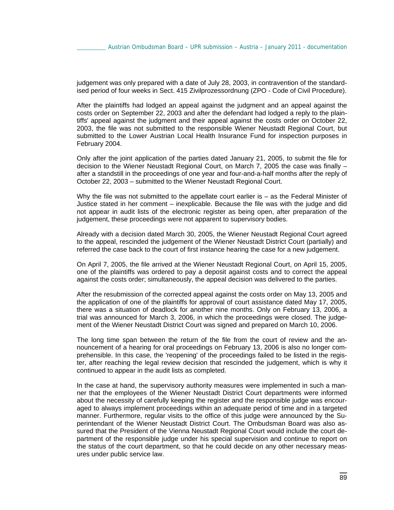judgement was only prepared with a date of July 28, 2003, in contravention of the standardised period of four weeks in Sect. 415 Zivilprozessordnung (ZPO - Code of Civil Procedure).

After the plaintiffs had lodged an appeal against the judgment and an appeal against the costs order on September 22, 2003 and after the defendant had lodged a reply to the plaintiffs' appeal against the judgment and their appeal against the costs order on October 22, 2003, the file was not submitted to the responsible Wiener Neustadt Regional Court, but submitted to the Lower Austrian Local Health Insurance Fund for inspection purposes in February 2004.

Only after the joint application of the parties dated January 21, 2005, to submit the file for decision to the Wiener Neustadt Regional Court, on March 7, 2005 the case was finally – after a standstill in the proceedings of one year and four-and-a-half months after the reply of October 22, 2003 – submitted to the Wiener Neustadt Regional Court.

Why the file was not submitted to the appellate court earlier is – as the Federal Minister of Justice stated in her comment – inexplicable. Because the file was with the judge and did not appear in audit lists of the electronic register as being open, after preparation of the judgement, these proceedings were not apparent to supervisory bodies.

Already with a decision dated March 30, 2005, the Wiener Neustadt Regional Court agreed to the appeal, rescinded the judgement of the Wiener Neustadt District Court (partially) and referred the case back to the court of first instance hearing the case for a new judgement.

On April 7, 2005, the file arrived at the Wiener Neustadt Regional Court, on April 15, 2005, one of the plaintiffs was ordered to pay a deposit against costs and to correct the appeal against the costs order; simultaneously, the appeal decision was delivered to the parties.

After the resubmission of the corrected appeal against the costs order on May 13, 2005 and the application of one of the plaintiffs for approval of court assistance dated May 17, 2005, there was a situation of deadlock for another nine months. Only on February 13, 2006, a trial was announced for March 3, 2006, in which the proceedings were closed. The judgement of the Wiener Neustadt District Court was signed and prepared on March 10, 2006.

The long time span between the return of the file from the court of review and the announcement of a hearing for oral proceedings on February 13, 2006 is also no longer comprehensible. In this case, the 'reopening' of the proceedings failed to be listed in the register, after reaching the legal review decision that rescinded the judgement, which is why it continued to appear in the audit lists as completed.

In the case at hand, the supervisory authority measures were implemented in such a manner that the employees of the Wiener Neustadt District Court departments were informed about the necessity of carefully keeping the register and the responsible judge was encouraged to always implement proceedings within an adequate period of time and in a targeted manner. Furthermore, regular visits to the office of this judge were announced by the Superintendant of the Wiener Neustadt District Court. The Ombudsman Board was also assured that the President of the Vienna Neustadt Regional Court would include the court department of the responsible judge under his special supervision and continue to report on the status of the court department, so that he could decide on any other necessary measures under public service law.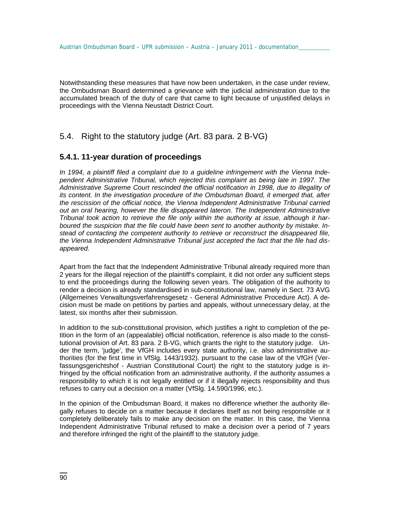Notwithstanding these measures that have now been undertaken, in the case under review, the Ombudsman Board determined a grievance with the judicial administration due to the accumulated breach of the duty of care that came to light because of unjustified delays in proceedings with the Vienna Neustadt District Court.

# 5.4. Right to the statutory judge (Art. 83 para. 2 B-VG)

# **5.4.1. 11-year duration of proceedings**

*In 1994, a plaintiff filed a complaint due to a guideline infringement with the Vienna Independent Administrative Tribunal, which rejected this complaint as being late in 1997. The Administrative Supreme Court rescinded the official notification in 1998, due to illegality of its content. In the investigation procedure of the Ombudsman Board, it emerged that, after the rescission of the official notice, the Vienna Independent Administrative Tribunal carried out an oral hearing, however the file disappeared lateron. The Independent Administrative Tribunal took action to retrieve the file only within the authority at issue, although it harboured the suspicion that the file could have been sent to another authority by mistake. Instead of contacting the competent authority to retrieve or reconstruct the disappeared file, the Vienna Independent Administrative Tribunal just accepted the fact that the file had disappeared.* 

Apart from the fact that the Independent Administrative Tribunal already required more than 2 years for the illegal rejection of the plaintiff's complaint, it did not order any sufficient steps to end the proceedings during the following seven years. The obligation of the authority to render a decision is already standardised in sub-constitutional law, namely in Sect. 73 AVG (Allgemeines Verwaltungsverfahrensgesetz - General Administrative Procedure Act). A decision must be made on petitions by parties and appeals, without unnecessary delay, at the latest, six months after their submission.

In addition to the sub-constitutional provision, which justifies a right to completion of the petition in the form of an (appealable) official notification, reference is also made to the constitutional provision of Art. 83 para. 2 B-VG, which grants the right to the statutory judge. Under the term, 'judge', the VfGH includes every state authority, i.e. also administrative authorities (for the first time in VfSlg. 1443/1932). pursuant to the case law of the VfGH (Verfassungsgerichtshof - Austrian Constitutional Court) the right to the statutory judge is infringed by the official notification from an administrative authority, if the authority assumes a responsibility to which it is not legally entitled or if it illegally rejects responsibility and thus refuses to carry out a decision on a matter (VfSlg. 14.590/1996, etc.).

In the opinion of the Ombudsman Board, it makes no difference whether the authority illegally refuses to decide on a matter because it declares itself as not being responsible or it completely deliberately fails to make any decision on the matter. In this case, the Vienna Independent Administrative Tribunal refused to make a decision over a period of 7 years and therefore infringed the right of the plaintiff to the statutory judge.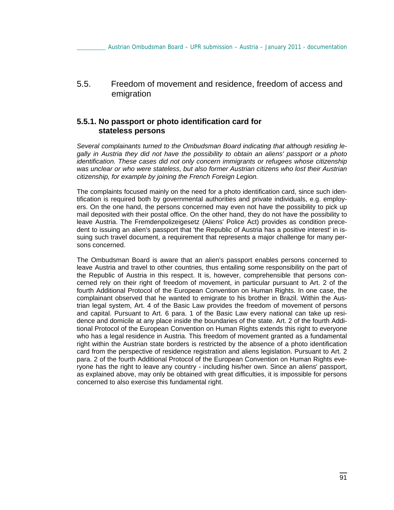5.5. Freedom of movement and residence, freedom of access and emigration

#### **5.5.1. No passport or photo identification card for stateless persons**

*Several complainants turned to the Ombudsman Board indicating that although residing legally in Austria they did not have the possibility to obtain an aliens' passport or a photo identification. These cases did not only concern immigrants or refugees whose citizenship was unclear or who were stateless, but also former Austrian citizens who lost their Austrian citizenship, for example by joining the French Foreign Legion.* 

The complaints focused mainly on the need for a photo identification card, since such identification is required both by governmental authorities and private individuals, e.g. employers. On the one hand, the persons concerned may even not have the possibility to pick up mail deposited with their postal office. On the other hand, they do not have the possibility to leave Austria. The Fremdenpolizeigesetz (Aliens' Police Act) provides as condition precedent to issuing an alien's passport that 'the Republic of Austria has a positive interest' in issuing such travel document, a requirement that represents a major challenge for many persons concerned.

The Ombudsman Board is aware that an alien's passport enables persons concerned to leave Austria and travel to other countries, thus entailing some responsibility on the part of the Republic of Austria in this respect. It is, however, comprehensible that persons concerned rely on their right of freedom of movement, in particular pursuant to Art. 2 of the fourth Additional Protocol of the European Convention on Human Rights. In one case, the complainant observed that he wanted to emigrate to his brother in Brazil. Within the Austrian legal system, Art. 4 of the Basic Law provides the freedom of movement of persons and capital. Pursuant to Art. 6 para. 1 of the Basic Law every national can take up residence and domicile at any place inside the boundaries of the state. Art. 2 of the fourth Additional Protocol of the European Convention on Human Rights extends this right to everyone who has a legal residence in Austria. This freedom of movement granted as a fundamental right within the Austrian state borders is restricted by the absence of a photo identification card from the perspective of residence registration and aliens legislation. Pursuant to Art. 2 para. 2 of the fourth Additional Protocol of the European Convention on Human Rights everyone has the right to leave any country - including his/her own. Since an aliens' passport, as explained above, may only be obtained with great difficulties, it is impossible for persons concerned to also exercise this fundamental right.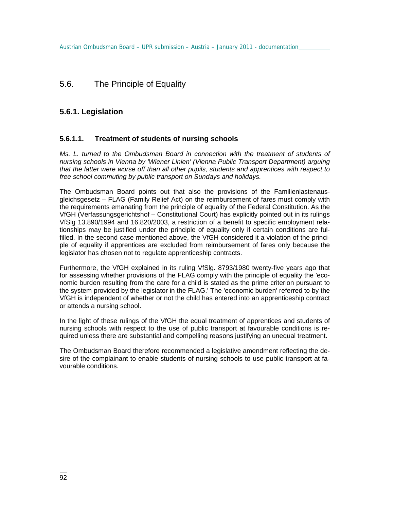# 5.6. The Principle of Equality

# **5.6.1. Legislation**

#### **5.6.1.1. Treatment of students of nursing schools**

*Ms. L. turned to the Ombudsman Board in connection with the treatment of students of nursing schools in Vienna by 'Wiener Linien' (Vienna Public Transport Department) arguing that the latter were worse off than all other pupils, students and apprentices with respect to free school commuting by public transport on Sundays and holidays.* 

The Ombudsman Board points out that also the provisions of the Familienlastenausgleichsgesetz – FLAG (Family Relief Act) on the reimbursement of fares must comply with the requirements emanating from the principle of equality of the Federal Constitution. As the VfGH (Verfassungsgerichtshof – Constitutional Court) has explicitly pointed out in its rulings VfSlg 13.890/1994 and 16.820/2003, a restriction of a benefit to specific employment relationships may be justified under the principle of equality only if certain conditions are fulfilled. In the second case mentioned above, the VfGH considered it a violation of the principle of equality if apprentices are excluded from reimbursement of fares only because the legislator has chosen not to regulate apprenticeship contracts.

Furthermore, the VfGH explained in its ruling VfSlg. 8793/1980 twenty-five years ago that for assessing whether provisions of the FLAG comply with the principle of equality the 'economic burden resulting from the care for a child is stated as the prime criterion pursuant to the system provided by the legislator in the FLAG.' The 'economic burden' referred to by the VfGH is independent of whether or not the child has entered into an apprenticeship contract or attends a nursing school.

In the light of these rulings of the VfGH the equal treatment of apprentices and students of nursing schools with respect to the use of public transport at favourable conditions is required unless there are substantial and compelling reasons justifying an unequal treatment.

The Ombudsman Board therefore recommended a legislative amendment reflecting the desire of the complainant to enable students of nursing schools to use public transport at favourable conditions.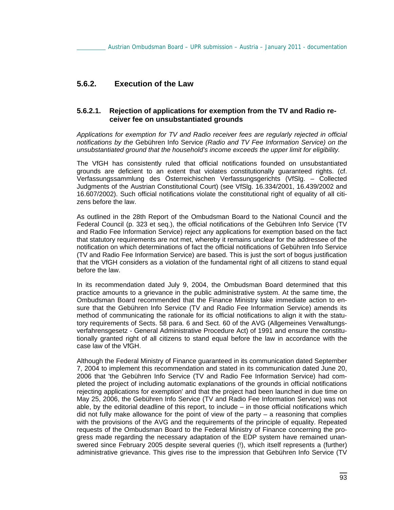### **5.6.2. Execution of the Law**

#### **5.6.2.1. Rejection of applications for exemption from the TV and Radio receiver fee on unsubstantiated grounds**

*Applications for exemption for TV and Radio receiver fees are regularly rejected in official notifications by the* Gebühren Info Service *(Radio and TV Fee Information Service) on the unsubstantiated ground that the household's income exceeds the upper limit for eligibility.* 

The VfGH has consistently ruled that official notifications founded on unsubstantiated grounds are deficient to an extent that violates constitutionally guaranteed rights. (cf. Verfassungssammlung des Österreichischen Verfassungsgerichts (VfSlg. – Collected Judgments of the Austrian Constitutional Court) (see VfSlg. 16.334/2001, 16.439/2002 and 16.607/2002). Such official notifications violate the constitutional right of equality of all citizens before the law.

As outlined in the 28th Report of the Ombudsman Board to the National Council and the Federal Council (p. 323 et seq.), the official notifications of the Gebühren Info Service (TV and Radio Fee Information Service) reject any applications for exemption based on the fact that statutory requirements are not met, whereby it remains unclear for the addressee of the notification on which determinations of fact the official notifications of Gebühren Info Service (TV and Radio Fee Information Service) are based. This is just the sort of bogus justification that the VfGH considers as a violation of the fundamental right of all citizens to stand equal before the law.

In its recommendation dated July 9, 2004, the Ombudsman Board determined that this practice amounts to a grievance in the public administrative system. At the same time, the Ombudsman Board recommended that the Finance Ministry take immediate action to ensure that the Gebühren Info Service (TV and Radio Fee Information Service) amends its method of communicating the rationale for its official notifications to align it with the statutory requirements of Sects. 58 para. 6 and Sect. 60 of the AVG (Allgemeines Verwaltungsverfahrensgesetz - General Administrative Procedure Act) of 1991 and ensure the constitutionally granted right of all citizens to stand equal before the law in accordance with the case law of the VfGH.

Although the Federal Ministry of Finance guaranteed in its communication dated September 7, 2004 to implement this recommendation and stated in its communication dated June 20, 2006 that 'the Gebühren Info Service (TV and Radio Fee Information Service) had completed the project of including automatic explanations of the grounds in official notifications rejecting applications for exemption' and that the project had been launched in due time on May 25, 2006, the Gebühren Info Service (TV and Radio Fee Information Service) was not able, by the editorial deadline of this report, to include – in those official notifications which did not fully make allowance for the point of view of the party  $-$  a reasoning that complies with the provisions of the AVG and the requirements of the principle of equality. Repeated requests of the Ombudsman Board to the Federal Ministry of Finance concerning the progress made regarding the necessary adaptation of the EDP system have remained unanswered since February 2005 despite several queries (!), which itself represents a (further) administrative grievance. This gives rise to the impression that Gebühren Info Service (TV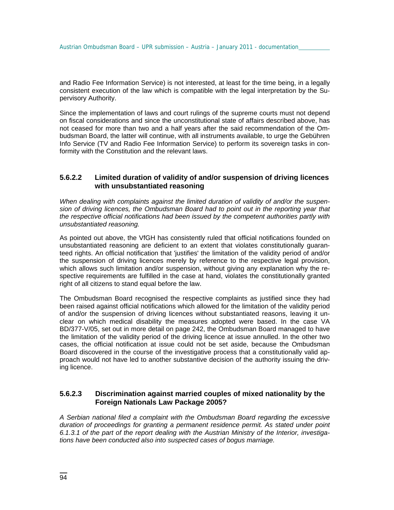and Radio Fee Information Service) is not interested, at least for the time being, in a legally consistent execution of the law which is compatible with the legal interpretation by the Supervisory Authority.

Since the implementation of laws and court rulings of the supreme courts must not depend on fiscal considerations and since the unconstitutional state of affairs described above, has not ceased for more than two and a half years after the said recommendation of the Ombudsman Board, the latter will continue, with all instruments available, to urge the Gebühren Info Service (TV and Radio Fee Information Service) to perform its sovereign tasks in conformity with the Constitution and the relevant laws.

#### **5.6.2.2 Limited duration of validity of and/or suspension of driving licences with unsubstantiated reasoning**

*When dealing with complaints against the limited duration of validity of and/or the suspension of driving licences, the Ombudsman Board had to point out in the reporting year that the respective official notifications had been issued by the competent authorities partly with unsubstantiated reasoning.* 

As pointed out above, the VfGH has consistently ruled that official notifications founded on unsubstantiated reasoning are deficient to an extent that violates constitutionally guaranteed rights. An official notification that 'justifies' the limitation of the validity period of and/or the suspension of driving licences merely by reference to the respective legal provision, which allows such limitation and/or suspension, without giving any explanation why the respective requirements are fulfilled in the case at hand, violates the constitutionally granted right of all citizens to stand equal before the law.

The Ombudsman Board recognised the respective complaints as justified since they had been raised against official notifications which allowed for the limitation of the validity period of and/or the suspension of driving licences without substantiated reasons, leaving it unclear on which medical disability the measures adopted were based. In the case VA BD/377-V/05, set out in more detail on page 242, the Ombudsman Board managed to have the limitation of the validity period of the driving licence at issue annulled. In the other two cases, the official notification at issue could not be set aside, because the Ombudsman Board discovered in the course of the investigative process that a constitutionally valid approach would not have led to another substantive decision of the authority issuing the driving licence.

#### **5.6.2.3 Discrimination against married couples of mixed nationality by the Foreign Nationals Law Package 2005?**

*A Serbian national filed a complaint with the Ombudsman Board regarding the excessive duration of proceedings for granting a permanent residence permit. As stated under point 6.1.3.1 of the part of the report dealing with the Austrian Ministry of the Interior, investigations have been conducted also into suspected cases of bogus marriage.*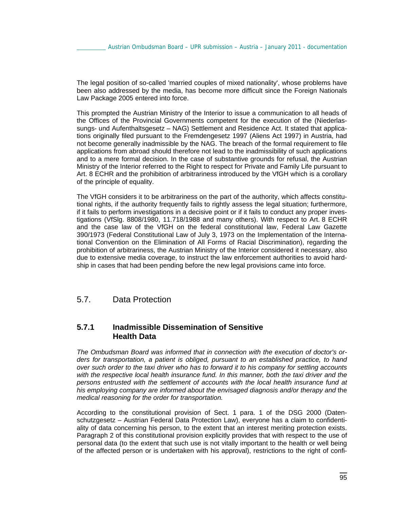The legal position of so-called 'married couples of mixed nationality', whose problems have been also addressed by the media, has become more difficult since the Foreign Nationals Law Package 2005 entered into force.

This prompted the Austrian Ministry of the Interior to issue a communication to all heads of the Offices of the Provincial Governments competent for the execution of the (Niederlassungs- und Aufenthaltsgesetz – NAG) Settlement and Residence Act. It stated that applications originally filed pursuant to the Fremdengesetz 1997 (Aliens Act 1997) in Austria, had not become generally inadmissible by the NAG. The breach of the formal requirement to file applications from abroad should therefore not lead to the inadmissibility of such applications and to a mere formal decision. In the case of substantive grounds for refusal, the Austrian Ministry of the Interior referred to the Right to respect for Private and Family Life pursuant to Art. 8 ECHR and the prohibition of arbitrariness introduced by the VfGH which is a corollary of the principle of equality.

The VfGH considers it to be arbitrariness on the part of the authority, which affects constitutional rights, if the authority frequently fails to rightly assess the legal situation; furthermore, if it fails to perform investigations in a decisive point or if it fails to conduct any proper investigations (VfSlg. 8808/1980, 11.718/1988 and many others). With respect to Art. 8 ECHR and the case law of the VfGH on the federal constitutional law, Federal Law Gazette 390/1973 (Federal Constitutional Law of July 3, 1973 on the Implementation of the International Convention on the Elimination of All Forms of Racial Discrimination), regarding the prohibition of arbitrariness, the Austrian Ministry of the Interior considered it necessary, also due to extensive media coverage, to instruct the law enforcement authorities to avoid hardship in cases that had been pending before the new legal provisions came into force.

# 5.7. Data Protection

# **5.7.1 Inadmissible Dissemination of Sensitive Health Data**

*The Ombudsman Board was informed that in connection with the execution of doctor's or*ders for transportation, a patient is obliged, pursuant to an established practice, to hand *over such order to the taxi driver who has to forward it to his company for settling accounts with the respective local health insurance fund. In this manner, both the taxi driver and the persons entrusted with the settlement of accounts with the local health insurance fund at his employing company are informed about the envisaged diagnosis and/or therapy and* the *medical reasoning for the order for transportation.* 

According to the constitutional provision of Sect. 1 para. 1 of the DSG 2000 (Datenschutzgesetz – Austrian Federal Data Protection Law), everyone has a claim to confidentiality of data concerning his person, to the extent that an interest meriting protection exists. Paragraph 2 of this constitutional provision explicitly provides that with respect to the use of personal data (to the extent that such use is not vitally important to the health or well being of the affected person or is undertaken with his approval), restrictions to the right of confi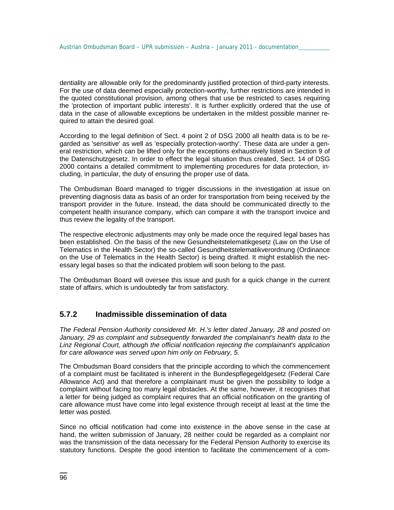dentiality are allowable only for the predominantly justified protection of third-party interests. For the use of data deemed especially protection-worthy, further restrictions are intended in the quoted constitutional provision, among others that use be restricted to cases requiring the 'protection of important public interests'. It is further explicitly ordered that the use of data in the case of allowable exceptions be undertaken in the mildest possible manner required to attain the desired goal.

According to the legal definition of Sect. 4 point 2 of DSG 2000 all health data is to be regarded as 'sensitive' as well as 'especially protection-worthy'. These data are under a general restriction, which can be lifted only for the exceptions exhaustively listed in Section 9 of the Datenschutzgesetz. In order to effect the legal situation thus created, Sect. 14 of DSG 2000 contains a detailed commitment to implementing procedures for data protection, including, in particular, the duty of ensuring the proper use of data.

The Ombudsman Board managed to trigger discussions in the investigation at issue on preventing diagnosis data as basis of an order for transportation from being received by the transport provider in the future. Instead, the data should be communicated directly to the competent health insurance company, which can compare it with the transport invoice and thus review the legality of the transport.

The respective electronic adjustments may only be made once the required legal bases has been established. On the basis of the new Gesundheitstelematikgesetz (Law on the Use of Telematics in the Health Sector) the so-called Gesundheitstelematikverordnung (Ordinance on the Use of Telematics in the Health Sector) is being drafted. It might establish the necessary legal bases so that the indicated problem will soon belong to the past.

The Ombudsman Board will oversee this issue and push for a quick change in the current state of affairs, which is undoubtedly far from satisfactory.

# **5.7.2 Inadmissible dissemination of data**

*The Federal Pension Authority considered Mr. H.'s letter dated January, 28 and posted on January, 29 as complaint and subsequently forwarded the complainant's health data to the Linz Regional Court, although the official notification rejecting the complainant's application for care allowance was served upon him only on February, 5.* 

The Ombudsman Board considers that the principle according to which the commencement of a complaint must be facilitated is inherent in the Bundespflegegeldgesetz (Federal Care Allowance Act) and that therefore a complainant must be given the possibility to lodge a complaint without facing too many legal obstacles. At the same, however, it recognises that a letter for being judged as complaint requires that an official notification on the granting of care allowance must have come into legal existence through receipt at least at the time the letter was posted.

Since no official notification had come into existence in the above sense in the case at hand, the written submission of January, 28 neither could be regarded as a complaint nor was the transmission of the data necessary for the Federal Pension Authority to exercise its statutory functions. Despite the good intention to facilitate the commencement of a com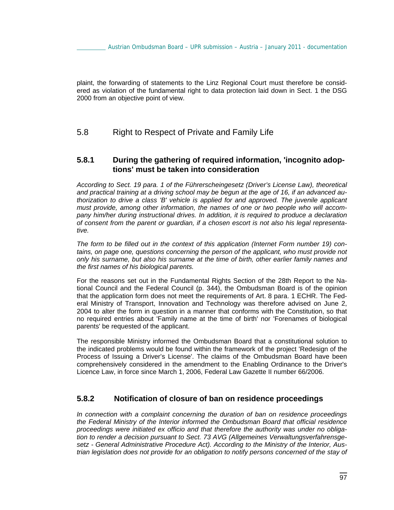plaint, the forwarding of statements to the Linz Regional Court must therefore be considered as violation of the fundamental right to data protection laid down in Sect. 1 the DSG 2000 from an objective point of view.

# 5.8 Right to Respect of Private and Family Life

### **5.8.1 During the gathering of required information, 'incognito adoptions' must be taken into consideration**

*According to Sect. 19 para. 1 of the Führerscheingesetz (Driver's License Law), theoretical and practical training at a driving school may be begun at the age of 16, if an advanced authorization to drive a class 'B' vehicle is applied for and approved. The juvenile applicant must provide, among other information, the names of one or two people who will accompany him/her during instructional drives. In addition, it is required to produce a declaration of consent from the parent or guardian, if a chosen escort is not also his legal representative.* 

*The form to be filled out in the context of this application (Internet Form number 19) con*tains, on page one, questions concerning the person of the applicant, who must provide not *only his surname, but also his surname at the time of birth, other earlier family names and the first names of his biological parents.*

For the reasons set out in the Fundamental Rights Section of the 28th Report to the National Council and the Federal Council (p. 344), the Ombudsman Board is of the opinion that the application form does not meet the requirements of Art. 8 para. 1 ECHR. The Federal Ministry of Transport, Innovation and Technology was therefore advised on June 2, 2004 to alter the form in question in a manner that conforms with the Constitution, so that no required entries about 'Family name at the time of birth' nor 'Forenames of biological parents' be requested of the applicant.

The responsible Ministry informed the Ombudsman Board that a constitutional solution to the indicated problems would be found within the framework of the project 'Redesign of the Process of Issuing a Driver's License'. The claims of the Ombudsman Board have been comprehensively considered in the amendment to the Enabling Ordinance to the Driver's Licence Law, in force since March 1, 2006, Federal Law Gazette II number 66/2006.

# **5.8.2 Notification of closure of ban on residence proceedings**

*In connection with a complaint concerning the duration of ban on residence proceedings the Federal Ministry of the Interior informed the Ombudsman Board that official residence proceedings were initiated ex officio and that therefore the authority was under no obligation to render a decision pursuant to Sect. 73 AVG (Allgemeines Verwaltungsverfahrensgesetz - General Administrative Procedure Act). According to the Ministry of the Interior, Austrian legislation does not provide for an obligation to notify persons concerned of the stay of*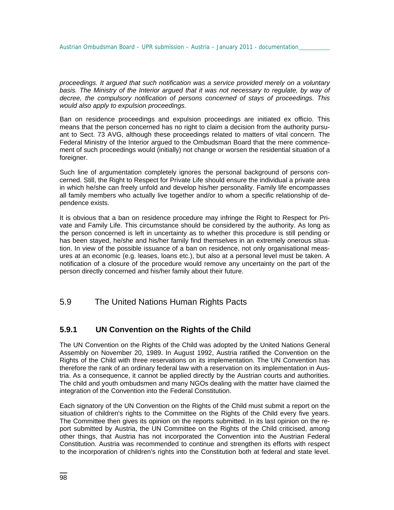*proceedings. It argued that such notification was a service provided merely on a voluntary*  basis. The Ministry of the Interior argued that it was not necessary to regulate, by way of *decree, the compulsory notification of persons concerned of stays of proceedings. This would also apply to expulsion proceedings.* 

Ban on residence proceedings and expulsion proceedings are initiated ex officio. This means that the person concerned has no right to claim a decision from the authority pursuant to Sect. 73 AVG, although these proceedings related to matters of vital concern. The Federal Ministry of the Interior argued to the Ombudsman Board that the mere commencement of such proceedings would (initially) not change or worsen the residential situation of a foreigner.

Such line of argumentation completely ignores the personal background of persons concerned. Still, the Right to Respect for Private Life should ensure the individual a private area in which he/she can freely unfold and develop his/her personality. Family life encompasses all family members who actually live together and/or to whom a specific relationship of dependence exists.

It is obvious that a ban on residence procedure may infringe the Right to Respect for Private and Family Life. This circumstance should be considered by the authority. As long as the person concerned is left in uncertainty as to whether this procedure is still pending or has been stayed, he/she and his/her family find themselves in an extremely onerous situation. In view of the possible issuance of a ban on residence, not only organisational measures at an economic (e.g. leases, loans etc.), but also at a personal level must be taken. A notification of a closure of the procedure would remove any uncertainty on the part of the person directly concerned and his/her family about their future.

5.9 The United Nations Human Rights Pacts

# **5.9.1 UN Convention on the Rights of the Child**

The UN Convention on the Rights of the Child was adopted by the United Nations General Assembly on November 20, 1989. In August 1992, Austria ratified the Convention on the Rights of the Child with three reservations on its implementation. The UN Convention has therefore the rank of an ordinary federal law with a reservation on its implementation in Austria. As a consequence, it cannot be applied directly by the Austrian courts and authorities. The child and youth ombudsmen and many NGOs dealing with the matter have claimed the integration of the Convention into the Federal Constitution.

Each signatory of the UN Convention on the Rights of the Child must submit a report on the situation of children's rights to the Committee on the Rights of the Child every five years. The Committee then gives its opinion on the reports submitted. In its last opinion on the report submitted by Austria, the UN Committee on the Rights of the Child criticised, among other things, that Austria has not incorporated the Convention into the Austrian Federal Constitution. Austria was recommended to continue and strengthen its efforts with respect to the incorporation of children's rights into the Constitution both at federal and state level.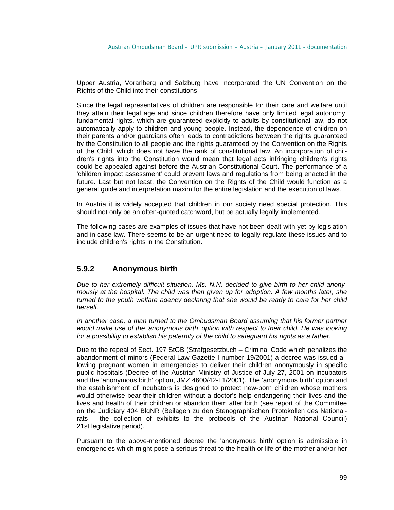Upper Austria, Vorarlberg and Salzburg have incorporated the UN Convention on the Rights of the Child into their constitutions.

Since the legal representatives of children are responsible for their care and welfare until they attain their legal age and since children therefore have only limited legal autonomy, fundamental rights, which are guaranteed explicitly to adults by constitutional law, do not automatically apply to children and young people. Instead, the dependence of children on their parents and/or guardians often leads to contradictions between the rights guaranteed by the Constitution to all people and the rights guaranteed by the Convention on the Rights of the Child, which does not have the rank of constitutional law. An incorporation of children's rights into the Constitution would mean that legal acts infringing children's rights could be appealed against before the Austrian Constitutional Court. The performance of a 'children impact assessment' could prevent laws and regulations from being enacted in the future. Last but not least, the Convention on the Rights of the Child would function as a general guide and interpretation maxim for the entire legislation and the execution of laws.

In Austria it is widely accepted that children in our society need special protection. This should not only be an often-quoted catchword, but be actually legally implemented.

The following cases are examples of issues that have not been dealt with yet by legislation and in case law. There seems to be an urgent need to legally regulate these issues and to include children's rights in the Constitution.

#### **5.9.2 Anonymous birth**

*Due to her extremely difficult situation, Ms. N.N. decided to give birth to her child anonymously at the hospital. The child was then given up for adoption. A few months later, she turned to the youth welfare agency declaring that she would be ready to care for her child herself.* 

*In another case, a man turned to the Ombudsman Board assuming that his former partner would make use of the 'anonymous birth' option with respect to their child. He was looking for a possibility to establish his paternity of the child to safeguard his rights as a father.* 

Due to the repeal of Sect. 197 StGB (Strafgesetzbuch – Criminal Code which penalizes the abandonment of minors (Federal Law Gazette I number 19/2001) a decree was issued allowing pregnant women in emergencies to deliver their children anonymously in specific public hospitals (Decree of the Austrian Ministry of Justice of July 27, 2001 on incubators and the 'anonymous birth' option, JMZ 4600/42-I 1/2001). The 'anonymous birth' option and the establishment of incubators is designed to protect new-born children whose mothers would otherwise bear their children without a doctor's help endangering their lives and the lives and health of their children or abandon them after birth (see report of the Committee on the Judiciary 404 BlgNR (Beilagen zu den Stenographischen Protokollen des Nationalrats - the collection of exhibits to the protocols of the Austrian National Council) 21st legislative period).

Pursuant to the above-mentioned decree the 'anonymous birth' option is admissible in emergencies which might pose a serious threat to the health or life of the mother and/or her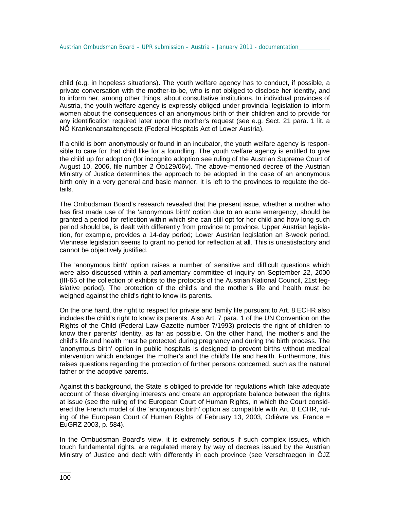child (e.g. in hopeless situations). The youth welfare agency has to conduct, if possible, a private conversation with the mother-to-be, who is not obliged to disclose her identity, and to inform her, among other things, about consultative institutions. In individual provinces of Austria, the youth welfare agency is expressly obliged under provincial legislation to inform women about the consequences of an anonymous birth of their children and to provide for any identification required later upon the mother's request (see e.g. Sect. 21 para. 1 lit. a NÖ Krankenanstaltengesetz (Federal Hospitals Act of Lower Austria).

If a child is born anonymously or found in an incubator, the youth welfare agency is responsible to care for that child like for a foundling. The youth welfare agency is entitled to give the child up for adoption (for incognito adoption see ruling of the Austrian Supreme Court of August 10, 2006, file number 2 Ob129/06v). The above-mentioned decree of the Austrian Ministry of Justice determines the approach to be adopted in the case of an anonymous birth only in a very general and basic manner. It is left to the provinces to regulate the details.

The Ombudsman Board's research revealed that the present issue, whether a mother who has first made use of the 'anonymous birth' option due to an acute emergency, should be granted a period for reflection within which she can still opt for her child and how long such period should be, is dealt with differently from province to province. Upper Austrian legislation, for example, provides a 14-day period; Lower Austrian legislation an 8-week period. Viennese legislation seems to grant no period for reflection at all. This is unsatisfactory and cannot be objectively justified.

The 'anonymous birth' option raises a number of sensitive and difficult questions which were also discussed within a parliamentary committee of inquiry on September 22, 2000 (III-65 of the collection of exhibits to the protocols of the Austrian National Council, 21st legislative period). The protection of the child's and the mother's life and health must be weighed against the child's right to know its parents.

On the one hand, the right to respect for private and family life pursuant to Art. 8 ECHR also includes the child's right to know its parents. Also Art. 7 para. 1 of the UN Convention on the Rights of the Child (Federal Law Gazette number 7/1993) protects the right of children to know their parents' identity, as far as possible. On the other hand, the mother's and the child's life and health must be protected during pregnancy and during the birth process. The 'anonymous birth' option in public hospitals is designed to prevent births without medical intervention which endanger the mother's and the child's life and health. Furthermore, this raises questions regarding the protection of further persons concerned, such as the natural father or the adoptive parents.

Against this background, the State is obliged to provide for regulations which take adequate account of these diverging interests and create an appropriate balance between the rights at issue (see the ruling of the European Court of Human Rights, in which the Court considered the French model of the 'anonymous birth' option as compatible with Art. 8 ECHR, ruling of the European Court of Human Rights of February 13, 2003, Odièvre vs. France = EuGRZ 2003, p. 584).

In the Ombudsman Board's view, it is extremely serious if such complex issues, which touch fundamental rights, are regulated merely by way of decrees issued by the Austrian Ministry of Justice and dealt with differently in each province (see Verschraegen in ÖJZ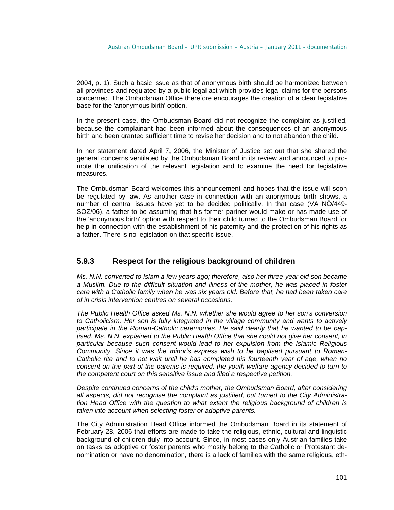2004, p. 1). Such a basic issue as that of anonymous birth should be harmonized between all provinces and regulated by a public legal act which provides legal claims for the persons concerned. The Ombudsman Office therefore encourages the creation of a clear legislative base for the 'anonymous birth' option.

In the present case, the Ombudsman Board did not recognize the complaint as justified, because the complainant had been informed about the consequences of an anonymous birth and been granted sufficient time to revise her decision and to not abandon the child.

In her statement dated April 7, 2006, the Minister of Justice set out that she shared the general concerns ventilated by the Ombudsman Board in its review and announced to promote the unification of the relevant legislation and to examine the need for legislative measures.

The Ombudsman Board welcomes this announcement and hopes that the issue will soon be regulated by law. As another case in connection with an anonymous birth shows, a number of central issues have yet to be decided politically. In that case (VA NÖ/449- SOZ/06), a father-to-be assuming that his former partner would make or has made use of the 'anonymous birth' option with respect to their child turned to the Ombudsman Board for help in connection with the establishment of his paternity and the protection of his rights as a father. There is no legislation on that specific issue.

# **5.9.3 Respect for the religious background of children**

*Ms. N.N. converted to Islam a few years ago; therefore, also her three-year old son became a Muslim. Due to the difficult situation and illness of the mother, he was placed in foster care with a Catholic family when he was six years old*. *Before that, he had been taken care of in crisis intervention centres on several occasions.* 

*The Public Health Office asked Ms. N.N. whether she would agree to her son's conversion*  to Catholicism. Her son is fully integrated in the village community and wants to actively *participate in the Roman-Catholic ceremonies. He said clearly that he wanted to be baptised. Ms. N.N. explained to the Public Health Office that she could not give her consent, in particular because such consent would lead to her expulsion from the Islamic Religious Community. Since it was the minor's express wish to be baptised pursuant to Roman-Catholic rite and to not wait until he has completed his fourteenth year of age, when no consent on the part of the parents is required, the youth welfare agency decided to turn to the competent court on this sensitive issue and filed a respective petition.* 

*Despite continued concerns of the child's mother, the Ombudsman Board, after considering all aspects, did not recognise the complaint as justified, but turned to the City Administration Head Office with the question to what extent the religious background of children is taken into account when selecting foster or adoptive parents.* 

The City Administration Head Office informed the Ombudsman Board in its statement of February 28, 2006 that efforts are made to take the religious, ethnic, cultural and linguistic background of children duly into account. Since, in most cases only Austrian families take on tasks as adoptive or foster parents who mostly belong to the Catholic or Protestant denomination or have no denomination, there is a lack of families with the same religious, eth-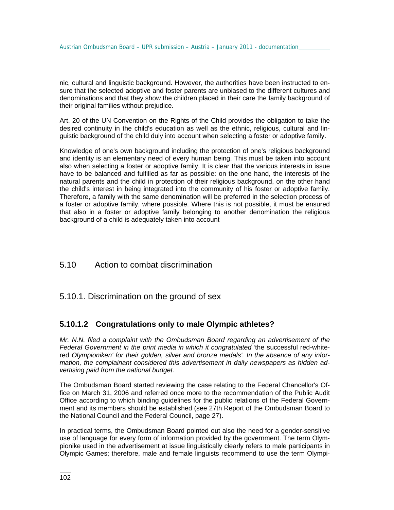nic, cultural and linguistic background. However, the authorities have been instructed to ensure that the selected adoptive and foster parents are unbiased to the different cultures and denominations and that they show the children placed in their care the family background of their original families without prejudice.

Art. 20 of the UN Convention on the Rights of the Child provides the obligation to take the desired continuity in the child's education as well as the ethnic, religious, cultural and linguistic background of the child duly into account when selecting a foster or adoptive family.

Knowledge of one's own background including the protection of one's religious background and identity is an elementary need of every human being. This must be taken into account also when selecting a foster or adoptive family. It is clear that the various interests in issue have to be balanced and fulfilled as far as possible: on the one hand, the interests of the natural parents and the child in protection of their religious background, on the other hand the child's interest in being integrated into the community of his foster or adoptive family. Therefore, a family with the same denomination will be preferred in the selection process of a foster or adoptive family, where possible. Where this is not possible, it must be ensured that also in a foster or adoptive family belonging to another denomination the religious background of a child is adequately taken into account

# 5.10 Action to combat discrimination

# 5.10.1. Discrimination on the ground of sex

# **5.10.1.2 Congratulations only to male Olympic athletes?**

*Mr. N.N. filed a complaint with the Ombudsman Board regarding an advertisement of the Federal Government in the print media in which it congratulated '*the successful red-whitered *Olympioniken' for their golden, silver and bronze medals'. In the absence of any information, the complainant considered this advertisement in daily newspapers as hidden advertising paid from the national budget.*

The Ombudsman Board started reviewing the case relating to the Federal Chancellor's Office on March 31, 2006 and referred once more to the recommendation of the Public Audit Office according to which binding guidelines for the public relations of the Federal Government and its members should be established (see 27th Report of the Ombudsman Board to the National Council and the Federal Council, page 27).

In practical terms, the Ombudsman Board pointed out also the need for a gender-sensitive use of language for every form of information provided by the government. The term Olympionike used in the advertisement at issue linguistically clearly refers to male participants in Olympic Games; therefore, male and female linguists recommend to use the term Olympi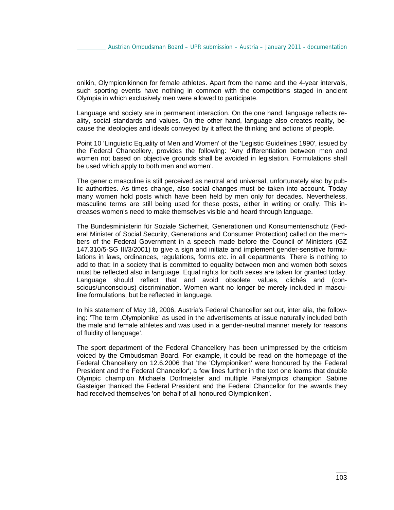onikin, Olympionikinnen for female athletes. Apart from the name and the 4-year intervals, such sporting events have nothing in common with the competitions staged in ancient Olympia in which exclusively men were allowed to participate.

Language and society are in permanent interaction. On the one hand, language reflects reality, social standards and values. On the other hand, language also creates reality, because the ideologies and ideals conveyed by it affect the thinking and actions of people.

Point 10 'Linguistic Equality of Men and Women' of the 'Legistic Guidelines 1990', issued by the Federal Chancellery, provides the following: 'Any differentiation between men and women not based on objective grounds shall be avoided in legislation. Formulations shall be used which apply to both men and women'.

The generic masculine is still perceived as neutral and universal, unfortunately also by public authorities. As times change, also social changes must be taken into account. Today many women hold posts which have been held by men only for decades. Nevertheless, masculine terms are still being used for these posts, either in writing or orally. This increases women's need to make themselves visible and heard through language.

The Bundesministerin für Soziale Sicherheit, Generationen und Konsumentenschutz (Federal Minister of Social Security, Generations and Consumer Protection) called on the members of the Federal Government in a speech made before the Council of Ministers (GZ 147.310/5-SG III/3/2001) to give a sign and initiate and implement gender-sensitive formulations in laws, ordinances, regulations, forms etc. in all departments. There is nothing to add to that: In a society that is committed to equality between men and women both sexes must be reflected also in language. Equal rights for both sexes are taken for granted today. Language should reflect that and avoid obsolete values, clichés and (conscious/unconscious) discrimination. Women want no longer be merely included in masculine formulations, but be reflected in language.

In his statement of May 18, 2006, Austria's Federal Chancellor set out, inter alia, the following: 'The term 'Olympionike' as used in the advertisements at issue naturally included both the male and female athletes and was used in a gender-neutral manner merely for reasons of fluidity of language'.

The sport department of the Federal Chancellery has been unimpressed by the criticism voiced by the Ombudsman Board. For example, it could be read on the homepage of the Federal Chancellery on 12.6.2006 that 'the 'Olympioniken' were honoured by the Federal President and the Federal Chancellor'; a few lines further in the text one learns that double Olympic champion Michaela Dorfmeister and multiple Paralympics champion Sabine Gasteiger thanked the Federal President and the Federal Chancellor for the awards they had received themselves 'on behalf of all honoured Olympioniken'.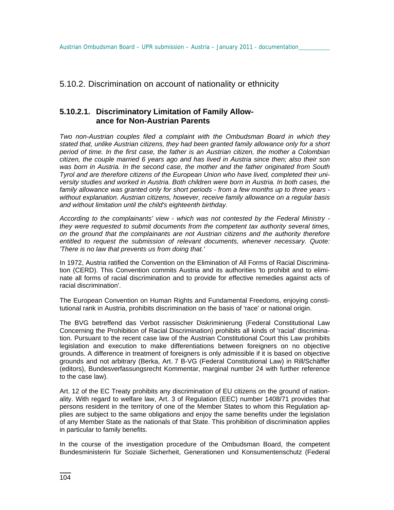# 5.10.2. Discrimination on account of nationality or ethnicity

# **5.10.2.1. Discriminatory Limitation of Family Allowance for Non-Austrian Parents**

*Two non-Austrian couples filed a complaint with the Ombudsman Board in which they stated that, unlike Austrian citizens, they had been granted family allowance only for a short period of time. In the first case, the father is an Austrian citizen, the mother a Colombian citizen, the couple married 6 years ago and has lived in Austria since then; also their son was born in Austria. In the second case, the mother and the father originated from South Tyrol and are therefore citizens of the European Union who have lived, completed their university studies and worked in Austria. Both children were born in Austria. In both cases, the family allowance was granted only for short periods - from a few months up to three years without explanation. Austrian citizens, however, receive family allowance on a regular basis and without limitation until the child's eighteenth birthday.* 

*According to the complainants' view - which was not contested by the Federal Ministry they were requested to submit documents from the competent tax authority several times, on the ground that the complainants are not Austrian citizens and the authority therefore entitled to request the submission of relevant documents, whenever necessary. Quote: 'There is no law that prevents us from doing that.'* 

In 1972, Austria ratified the Convention on the Elimination of All Forms of Racial Discrimination (CERD). This Convention commits Austria and its authorities 'to prohibit and to eliminate all forms of racial discrimination and to provide for effective remedies against acts of racial discrimination'.

The European Convention on Human Rights and Fundamental Freedoms, enjoying constitutional rank in Austria, prohibits discrimination on the basis of 'race' or national origin.

The BVG betreffend das Verbot rassischer Diskriminierung (Federal Constitutional Law Concerning the Prohibition of Racial Discrimination) prohibits all kinds of 'racial' discrimination. Pursuant to the recent case law of the Austrian Constitutional Court this Law prohibits legislation and execution to make differentiations between foreigners on no objective grounds. A difference in treatment of foreigners is only admissible if it is based on objective grounds and not arbitrary (Berka, Art. 7 B-VG (Federal Constitutional Law) in Rill/Schäffer (editors), Bundesverfassungsrecht Kommentar, marginal number 24 with further reference to the case law).

Art. 12 of the EC Treaty prohibits any discrimination of EU citizens on the ground of nationality. With regard to welfare law, Art. 3 of Regulation (EEC) number 1408/71 provides that persons resident in the territory of one of the Member States to whom this Regulation applies are subject to the same obligations and enjoy the same benefits under the legislation of any Member State as the nationals of that State. This prohibition of discrimination applies in particular to family benefits.

In the course of the investigation procedure of the Ombudsman Board, the competent Bundesministerin für Soziale Sicherheit, Generationen und Konsumentenschutz (Federal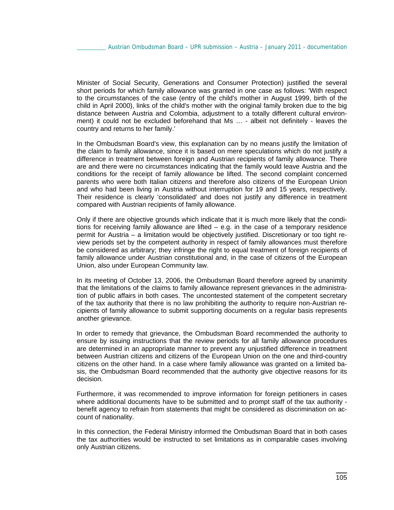Minister of Social Security, Generations and Consumer Protection) justified the several short periods for which family allowance was granted in one case as follows: 'With respect to the circumstances of the case (entry of the child's mother in August 1999, birth of the child in April 2000), links of the child's mother with the original family broken due to the big distance between Austria and Colombia, adjustment to a totally different cultural environment) it could not be excluded beforehand that Ms … - albeit not definitely - leaves the country and returns to her family.'

In the Ombudsman Board's view, this explanation can by no means justify the limitation of the claim to family allowance, since it is based on mere speculations which do not justify a difference in treatment between foreign and Austrian recipients of family allowance. There are and there were no circumstances indicating that the family would leave Austria and the conditions for the receipt of family allowance be lifted. The second complaint concerned parents who were both Italian citizens and therefore also citizens of the European Union and who had been living in Austria without interruption for 19 and 15 years, respectively. Their residence is clearly 'consolidated' and does not justify any difference in treatment compared with Austrian recipients of family allowance.

Only if there are objective grounds which indicate that it is much more likely that the conditions for receiving family allowance are lifted – e.g. in the case of a temporary residence permit for Austria – a limitation would be objectively justified. Discretionary or too tight review periods set by the competent authority in respect of family allowances must therefore be considered as arbitrary; they infringe the right to equal treatment of foreign recipients of family allowance under Austrian constitutional and, in the case of citizens of the European Union, also under European Community law.

In its meeting of October 13, 2006, the Ombudsman Board therefore agreed by unanimity that the limitations of the claims to family allowance represent grievances in the administration of public affairs in both cases. The uncontested statement of the competent secretary of the tax authority that there is no law prohibiting the authority to require non-Austrian recipients of family allowance to submit supporting documents on a regular basis represents another grievance.

In order to remedy that grievance, the Ombudsman Board recommended the authority to ensure by issuing instructions that the review periods for all family allowance procedures are determined in an appropriate manner to prevent any unjustified difference in treatment between Austrian citizens and citizens of the European Union on the one and third-country citizens on the other hand. In a case where family allowance was granted on a limited basis, the Ombudsman Board recommended that the authority give objective reasons for its decision.

Furthermore, it was recommended to improve information for foreign petitioners in cases where additional documents have to be submitted and to prompt staff of the tax authority benefit agency to refrain from statements that might be considered as discrimination on account of nationality.

In this connection, the Federal Ministry informed the Ombudsman Board that in both cases the tax authorities would be instructed to set limitations as in comparable cases involving only Austrian citizens.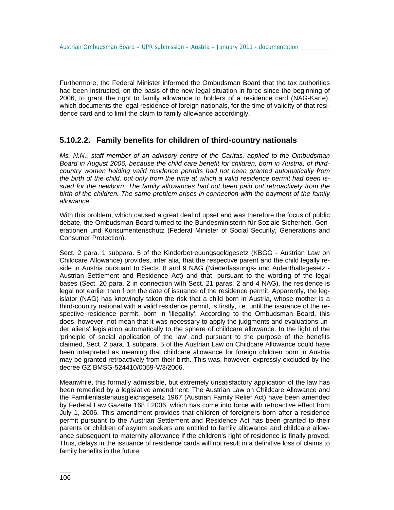Furthermore, the Federal Minister informed the Ombudsman Board that the tax authorities had been instructed, on the basis of the new legal situation in force since the beginning of 2006, to grant the right to family allowance to holders of a residence card (NAG-Karte), which documents the legal residence of foreign nationals, for the time of validity of that residence card and to limit the claim to family allowance accordingly.

#### **5.10.2.2. Family benefits for children of third-country nationals**

*Ms. N.N., staff member of an advisory centre of the Caritas, applied to the Ombudsman Board in August 2006, because the child care benefit for children, born in Austria, of thirdcountry women holding valid residence permits had not been granted automatically from the birth of the child, but only from the time at which a valid residence permit had been issued for the newborn. The family allowances had not been paid out retroactively from the birth of the children. The same problem arises in connection with the payment of the family allowance.* 

With this problem, which caused a great deal of upset and was therefore the focus of public debate, the Ombudsman Board turned to the Bundesministerin für Soziale Sicherheit, Generationen und Konsumentenschutz (Federal Minister of Social Security, Generations and Consumer Protection).

Sect. 2 para. 1 subpara. 5 of the Kinderbetreuungsgeldgesetz (KBGG - Austrian Law on Childcare Allowance) provides, inter alia, that the respective parent and the child legally reside in Austria pursuant to Sects. 8 and 9 NAG (Niederlassungs- und Aufenthaltsgesetz - Austrian Settlement and Residence Act) and that, pursuant to the wording of the legal bases (Sect. 20 para. 2 in connection with Sect. 21 paras. 2 and 4 NAG), the residence is legal not earlier than from the date of issuance of the residence permit. Apparently, the legislator (NAG) has knowingly taken the risk that a child born in Austria, whose mother is a third-country national with a valid residence permit, is firstly, i.e. until the issuance of the respective residence permit, born in 'illegality'. According to the Ombudsman Board, this does, however, not mean that it was necessary to apply the judgments and evaluations under aliens' legislation automatically to the sphere of childcare allowance. In the light of the 'principle of social application of the law' and pursuant to the purpose of the benefits claimed, Sect. 2 para. 1 subpara. 5 of the Austrian Law on Childcare Allowance could have been interpreted as meaning that childcare allowance for foreign children born in Austria may be granted retroactively from their birth. This was, however, expressly excluded by the decree GZ BMSG-524410/0059-V/3/2006.

Meanwhile, this formally admissible, but extremely unsatisfactory application of the law has been remedied by a legislative amendment. The Austrian Law on Childcare Allowance and the Familienlastenausgleichsgesetz 1967 (Austrian Family Relief Act) have been amended by Federal Law Gazette 168 I 2006, which has come into force with retroactive effect from July 1, 2006. This amendment provides that children of foreigners born after a residence permit pursuant to the Austrian Settlement and Residence Act has been granted to their parents or children of asylum seekers are entitled to family allowance and childcare allowance subsequent to maternity allowance if the children's right of residence is finally proved. Thus, delays in the issuance of residence cards will not result in a definitive loss of claims to family benefits in the future.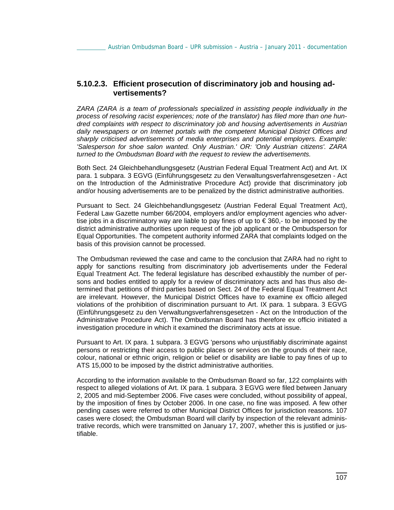#### **5.10.2.3. Efficient prosecution of discriminatory job and housing advertisements?**

*ZARA (ZARA is a team of professionals specialized in assisting people individually in the process of resolving racist experiences; note of the translator) has filed more than one hundred complaints with respect to discriminatory job and housing advertisements in Austrian daily newspapers or on Internet portals with the competent Municipal District Offices and sharply criticised advertisements of media enterprises and potential employers. Example: 'Salesperson for shoe salon wanted. Only Austrian.' OR: 'Only Austrian citizens'. ZARA turned to the Ombudsman Board with the request to review the advertisements.* 

Both Sect. 24 Gleichbehandlungsgesetz (Austrian Federal Equal Treatment Act) and Art. IX para. 1 subpara. 3 EGVG (Einführungsgesetz zu den Verwaltungsverfahrensgesetzen - Act on the Introduction of the Administrative Procedure Act) provide that discriminatory job and/or housing advertisements are to be penalized by the district administrative authorities.

Pursuant to Sect. 24 Gleichbehandlungsgesetz (Austrian Federal Equal Treatment Act), Federal Law Gazette number 66/2004, employers and/or employment agencies who advertise jobs in a discriminatory way are liable to pay fines of up to € 360,- to be imposed by the district administrative authorities upon request of the job applicant or the Ombudsperson for Equal Opportunities. The competent authority informed ZARA that complaints lodged on the basis of this provision cannot be processed.

The Ombudsman reviewed the case and came to the conclusion that ZARA had no right to apply for sanctions resulting from discriminatory job advertisements under the Federal Equal Treatment Act. The federal legislature has described exhaustibly the number of persons and bodies entitled to apply for a review of discriminatory acts and has thus also determined that petitions of third parties based on Sect. 24 of the Federal Equal Treatment Act are irrelevant. However, the Municipal District Offices have to examine ex officio alleged violations of the prohibition of discrimination pursuant to Art. IX para. 1 subpara. 3 EGVG (Einführungsgesetz zu den Verwaltungsverfahrensgesetzen - Act on the Introduction of the Administrative Procedure Act). The Ombudsman Board has therefore ex officio initiated a investigation procedure in which it examined the discriminatory acts at issue.

Pursuant to Art. IX para. 1 subpara. 3 EGVG 'persons who unjustifiably discriminate against persons or restricting their access to public places or services on the grounds of their race, colour, national or ethnic origin, religion or belief or disability are liable to pay fines of up to ATS 15,000 to be imposed by the district administrative authorities.

According to the information available to the Ombudsman Board so far, 122 complaints with respect to alleged violations of Art. IX para. 1 subpara. 3 EGVG were filed between January 2, 2005 and mid-September 2006. Five cases were concluded, without possibility of appeal, by the imposition of fines by October 2006. In one case, no fine was imposed. A few other pending cases were referred to other Municipal District Offices for jurisdiction reasons. 107 cases were closed; the Ombudsman Board will clarify by inspection of the relevant administrative records, which were transmitted on January 17, 2007, whether this is justified or justifiable.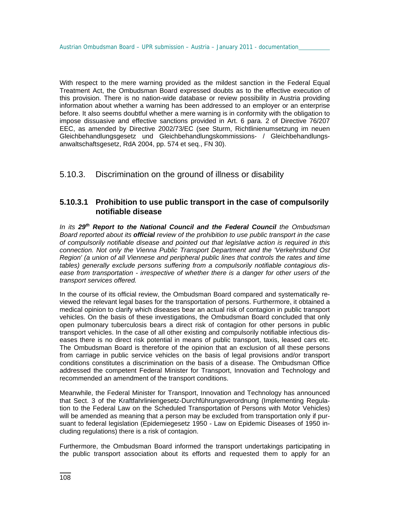With respect to the mere warning provided as the mildest sanction in the Federal Equal Treatment Act, the Ombudsman Board expressed doubts as to the effective execution of this provision. There is no nation-wide database or review possibility in Austria providing information about whether a warning has been addressed to an employer or an enterprise before. It also seems doubtful whether a mere warning is in conformity with the obligation to impose dissuasive and effective sanctions provided in Art. 6 para. 2 of Directive 76/207 EEC, as amended by Directive 2002/73/EC (see Sturm, Richtlinienumsetzung im neuen Gleichbehandlungsgesetz und Gleichbehandlungskommissions- / Gleichbehandlungsanwaltschaftsgesetz, RdA 2004, pp. 574 et seq., FN 30).

# 5.10.3. Discrimination on the ground of illness or disability

### **5.10.3.1 Prohibition to use public transport in the case of compulsorily notifiable disease**

*In its 29th Report to the National Council and the Federal Council the Ombudsman Board reported about its official review of the prohibition to use public transport in the case of compulsorily notifiable disease and pointed out that legislative action is required in this connection. Not only the Vienna Public Transport Department and the 'Verkehrsbund Ost Region' (a union of all Viennese and peripheral public lines that controls the rates and time tables) generally exclude persons suffering from a compulsorily notifiable contagious disease from transportation - irrespective of whether there is a danger for other users of the transport services offered.* 

In the course of its official review, the Ombudsman Board compared and systematically reviewed the relevant legal bases for the transportation of persons. Furthermore, it obtained a medical opinion to clarify which diseases bear an actual risk of contagion in public transport vehicles. On the basis of these investigations, the Ombudsman Board concluded that only open pulmonary tuberculosis bears a direct risk of contagion for other persons in public transport vehicles. In the case of all other existing and compulsorily notifiable infectious diseases there is no direct risk potential in means of public transport, taxis, leased cars etc. The Ombudsman Board is therefore of the opinion that an exclusion of all these persons from carriage in public service vehicles on the basis of legal provisions and/or transport conditions constitutes a discrimination on the basis of a disease. The Ombudsman Office addressed the competent Federal Minister for Transport, Innovation and Technology and recommended an amendment of the transport conditions.

Meanwhile, the Federal Minister for Transport, Innovation and Technology has announced that Sect. 3 of the Kraftfahrliniengesetz-Durchführungsverordnung (Implementing Regulation to the Federal Law on the Scheduled Transportation of Persons with Motor Vehicles) will be amended as meaning that a person may be excluded from transportation only if pursuant to federal legislation (Epidemiegesetz 1950 - Law on Epidemic Diseases of 1950 including regulations) there is a risk of contagion.

Furthermore, the Ombudsman Board informed the transport undertakings participating in the public transport association about its efforts and requested them to apply for an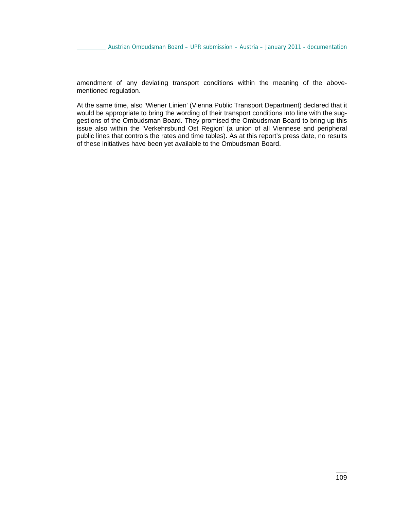amendment of any deviating transport conditions within the meaning of the abovementioned regulation.

At the same time, also 'Wiener Linien' (Vienna Public Transport Department) declared that it would be appropriate to bring the wording of their transport conditions into line with the suggestions of the Ombudsman Board. They promised the Ombudsman Board to bring up this issue also within the 'Verkehrsbund Ost Region' (a union of all Viennese and peripheral public lines that controls the rates and time tables). As at this report's press date, no results of these initiatives have been yet available to the Ombudsman Board.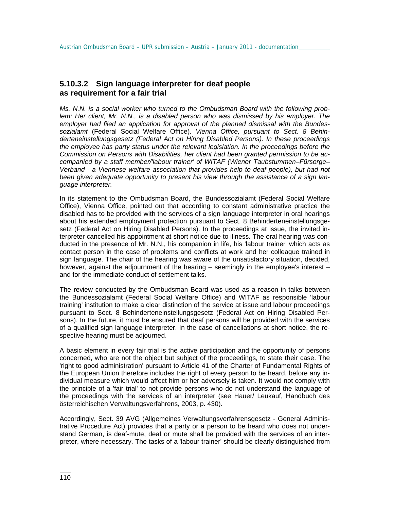### **5.10.3.2 Sign language interpreter for deaf people as requirement for a fair trial**

*Ms. N.N. is a social worker who turned to the Ombudsman Board with the following problem: Her client, Mr. N.N., is a disabled person who was dismissed by his employer. The employer had filed an application for approval of the planned dismissal with the Bundessozialamt* (Federal Social Welfare Office)*, Vienna Office, pursuant to Sect. 8 Behinderteneinstellungsgesetz (Federal Act on Hiring Disabled Persons). In these proceedings the employee has party status under the relevant legislation. In the proceedings before the Commission on Persons with Disabilities, her client had been granted permission to be accompanied by a staff member/'labour trainer' of WITAF (Wiener Taubstummen–Fürsorge– Verband - a Viennese welfare association that provides help to deaf people), but had not been given adequate opportunity to present his view through the assistance of a sign language interpreter.* 

In its statement to the Ombudsman Board, the Bundessozialamt (Federal Social Welfare Office), Vienna Office, pointed out that according to constant administrative practice the disabled has to be provided with the services of a sign language interpreter in oral hearings about his extended employment protection pursuant to Sect. 8 Behinderteneinstellungsgesetz (Federal Act on Hiring Disabled Persons). In the proceedings at issue, the invited interpreter cancelled his appointment at short notice due to illness. The oral hearing was conducted in the presence of Mr. N.N., his companion in life, his 'labour trainer' which acts as contact person in the case of problems and conflicts at work and her colleague trained in sign language. The chair of the hearing was aware of the unsatisfactory situation, decided, however, against the adjournment of the hearing – seemingly in the employee's interest – and for the immediate conduct of settlement talks.

The review conducted by the Ombudsman Board was used as a reason in talks between the Bundessozialamt (Federal Social Welfare Office) and WITAF as responsible 'labour training' institution to make a clear distinction of the service at issue and labour proceedings pursuant to Sect. 8 Behinderteneinstellungsgesetz (Federal Act on Hiring Disabled Persons). In the future, it must be ensured that deaf persons will be provided with the services of a qualified sign language interpreter. In the case of cancellations at short notice, the respective hearing must be adjourned.

A basic element in every fair trial is the active participation and the opportunity of persons concerned, who are not the object but subject of the proceedings, to state their case. The 'right to good administration' pursuant to Article 41 of the Charter of Fundamental Rights of the European Union therefore includes the right of every person to be heard, before any individual measure which would affect him or her adversely is taken. It would not comply with the principle of a 'fair trial' to not provide persons who do not understand the language of the proceedings with the services of an interpreter (see Hauer/ Leukauf, Handbuch des österreichischen Verwaltungsverfahrens, 2003, p. 430).

Accordingly, Sect. 39 AVG (Allgemeines Verwaltungsverfahrensgesetz - General Administrative Procedure Act) provides that a party or a person to be heard who does not understand German, is deaf-mute, deaf or mute shall be provided with the services of an interpreter, where necessary. The tasks of a 'labour trainer' should be clearly distinguished from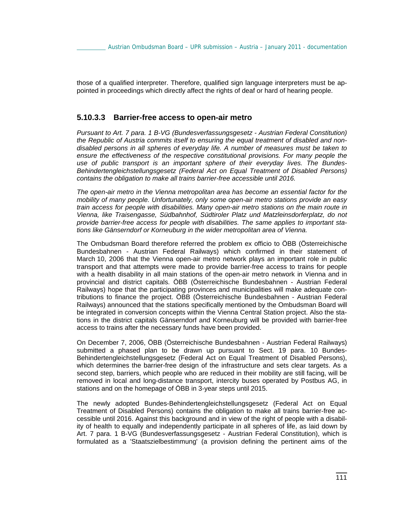those of a qualified interpreter. Therefore, qualified sign language interpreters must be appointed in proceedings which directly affect the rights of deaf or hard of hearing people.

#### **5.10.3.3 Barrier-free access to open-air metro**

*Pursuant to Art. 7 para. 1 B-VG (Bundesverfassungsgesetz - Austrian Federal Constitution) the Republic of Austria commits itself to ensuring the equal treatment of disabled and nondisabled persons in all spheres of everyday life. A number of measures must be taken to ensure the effectiveness of the respective constitutional provisions. For many people the use of public transport is an important sphere of their everyday lives. The Bundes-Behindertengleichstellungsgesetz (Federal Act on Equal Treatment of Disabled Persons) contains the obligation to make all trains barrier-free accessible until 2016.* 

*The open-air metro in the Vienna metropolitan area has become an essential factor for the mobility of many people. Unfortunately, only some open-air metro stations provide an easy train access for people with disabilities. Many open-air metro stations on the main route in Vienna, like Traisengasse, Südbahnhof, Südtiroler Platz und Matzleinsdorferplatz, do not provide barrier-free access for people with disabilities. The same applies to important stations like Gänserndorf or Korneuburg in the wider metropolitan area of Vienna.* 

The Ombudsman Board therefore referred the problem ex officio to ÖBB (Österreichische Bundesbahnen - Austrian Federal Railways) which confirmed in their statement of March 10, 2006 that the Vienna open-air metro network plays an important role in public transport and that attempts were made to provide barrier-free access to trains for people with a health disability in all main stations of the open-air metro network in Vienna and in provincial and district capitals. ÖBB (Österreichische Bundesbahnen - Austrian Federal Railways) hope that the participating provinces and municipalities will make adequate contributions to finance the project. ÖBB (Österreichische Bundesbahnen - Austrian Federal Railways) announced that the stations specifically mentioned by the Ombudsman Board will be integrated in conversion concepts within the Vienna Central Station project. Also the stations in the district capitals Gänserndorf and Korneuburg will be provided with barrier-free access to trains after the necessary funds have been provided.

On December 7, 2006, ÖBB (Österreichische Bundesbahnen - Austrian Federal Railways) submitted a phased plan to be drawn up pursuant to Sect. 19 para. 10 Bundes-Behindertengleichstellungsgesetz (Federal Act on Equal Treatment of Disabled Persons), which determines the barrier-free design of the infrastructure and sets clear targets. As a second step, barriers, which people who are reduced in their mobility are still facing, will be removed in local and long-distance transport, intercity buses operated by Postbus AG, in stations and on the homepage of ÖBB in 3-year steps until 2015.

The newly adopted Bundes-Behindertengleichstellungsgesetz (Federal Act on Equal Treatment of Disabled Persons) contains the obligation to make all trains barrier-free accessible until 2016. Against this background and in view of the right of people with a disability of health to equally and independently participate in all spheres of life, as laid down by Art. 7 para. 1 B-VG (Bundesverfassungsgesetz - Austrian Federal Constitution), which is formulated as a 'Staatszielbestimmung' (a provision defining the pertinent aims of the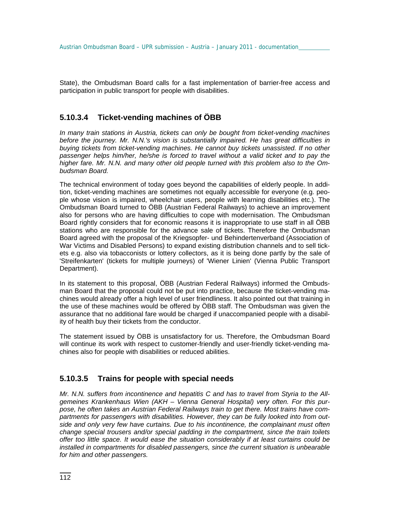State), the Ombudsman Board calls for a fast implementation of barrier-free access and participation in public transport for people with disabilities.

# **5.10.3.4 Ticket-vending machines of ÖBB**

*In many train stations in Austria, tickets can only be bought from ticket-vending machines before the journey. Mr. N.N.'s vision is substantially impaired. He has great difficulties in buying tickets from ticket-vending machines. He cannot buy tickets unassisted. If no other passenger helps him/her, he/she is forced to travel without a valid ticket and to pay the higher fare. Mr. N.N. and many other old people turned with this problem also to the Ombudsman Board.* 

The technical environment of today goes beyond the capabilities of elderly people. In addition, ticket-vending machines are sometimes not equally accessible for everyone (e.g. people whose vision is impaired, wheelchair users, people with learning disabilities etc.). The Ombudsman Board turned to ÖBB (Austrian Federal Railways) to achieve an improvement also for persons who are having difficulties to cope with modernisation. The Ombudsman Board rightly considers that for economic reasons it is inappropriate to use staff in all ÖBB stations who are responsible for the advance sale of tickets. Therefore the Ombudsman Board agreed with the proposal of the Kriegsopfer- und Behindertenverband (Association of War Victims and Disabled Persons) to expand existing distribution channels and to sell tickets e.g. also via tobacconists or lottery collectors, as it is being done partly by the sale of 'Streifenkarten' (tickets for multiple journeys) of 'Wiener Linien' (Vienna Public Transport Department).

In its statement to this proposal, ÖBB (Austrian Federal Railways) informed the Ombudsman Board that the proposal could not be put into practice, because the ticket-vending machines would already offer a high level of user friendliness. It also pointed out that training in the use of these machines would be offered by ÖBB staff. The Ombudsman was given the assurance that no additional fare would be charged if unaccompanied people with a disability of health buy their tickets from the conductor.

The statement issued by ÖBB is unsatisfactory for us. Therefore, the Ombudsman Board will continue its work with respect to customer-friendly and user-friendly ticket-vending machines also for people with disabilities or reduced abilities.

# **5.10.3.5 Trains for people with special needs**

*Mr. N.N. suffers from incontinence and hepatitis C and has to travel from Styria to the Allgemeines Krankenhaus Wien (AKH – Vienna General Hospital) very often. For this purpose, he often takes an Austrian Federal Railways train to get there. Most trains have compartments for passengers with disabilities. However, they can be fully looked into from outside and only very few have curtains. Due to his incontinence, the complainant must often change special trousers and/or special padding in the compartment, since the train toilets offer too little space. It would ease the situation considerably if at least curtains could be installed in compartments for disabled passengers, since the current situation is unbearable for him and other passengers.*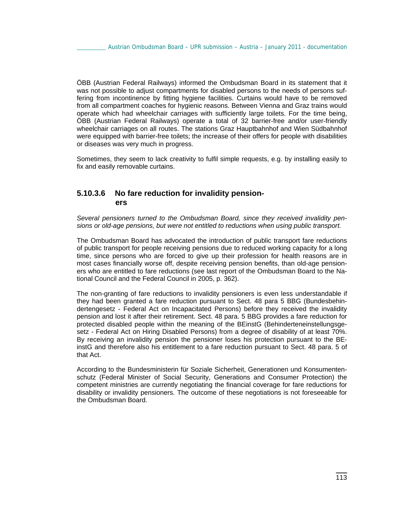ÖBB (Austrian Federal Railways) informed the Ombudsman Board in its statement that it was not possible to adjust compartments for disabled persons to the needs of persons suffering from incontinence by fitting hygiene facilities. Curtains would have to be removed from all compartment coaches for hygienic reasons. Between Vienna and Graz trains would operate which had wheelchair carriages with sufficiently large toilets. For the time being, ÖBB (Austrian Federal Railways) operate a total of 32 barrier-free and/or user-friendly wheelchair carriages on all routes. The stations Graz Hauptbahnhof and Wien Südbahnhof were equipped with barrier-free toilets; the increase of their offers for people with disabilities or diseases was very much in progress.

Sometimes, they seem to lack creativity to fulfil simple requests, e.g. by installing easily to fix and easily removable curtains.

# **5.10.3.6 No fare reduction for invalidity pensioners**

*Several pensioners turned to the Ombudsman Board, since they received invalidity pensions or old-age pensions, but were not entitled to reductions when using public transport.* 

The Ombudsman Board has advocated the introduction of public transport fare reductions of public transport for people receiving pensions due to reduced working capacity for a long time, since persons who are forced to give up their profession for health reasons are in most cases financially worse off, despite receiving pension benefits, than old-age pensioners who are entitled to fare reductions (see last report of the Ombudsman Board to the National Council and the Federal Council in 2005, p. 362).

The non-granting of fare reductions to invalidity pensioners is even less understandable if they had been granted a fare reduction pursuant to Sect. 48 para 5 BBG (Bundesbehindertengesetz - Federal Act on Incapacitated Persons) before they received the invalidity pension and lost it after their retirement. Sect. 48 para. 5 BBG provides a fare reduction for protected disabled people within the meaning of the BEinstG (Behinderteneinstellungsgesetz - Federal Act on Hiring Disabled Persons) from a degree of disability of at least 70%. By receiving an invalidity pension the pensioner loses his protection pursuant to the BEinstG and therefore also his entitlement to a fare reduction pursuant to Sect. 48 para. 5 of that Act.

According to the Bundesministerin für Soziale Sicherheit, Generationen und Konsumentenschutz (Federal Minister of Social Security, Generations and Consumer Protection) the competent ministries are currently negotiating the financial coverage for fare reductions for disability or invalidity pensioners. The outcome of these negotiations is not foreseeable for the Ombudsman Board.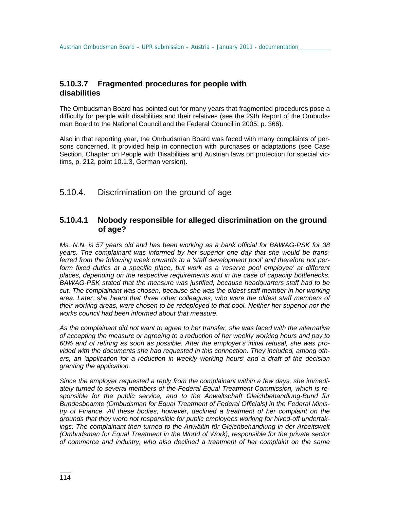### **5.10.3.7 Fragmented procedures for people with disabilities**

The Ombudsman Board has pointed out for many years that fragmented procedures pose a difficulty for people with disabilities and their relatives (see the 29th Report of the Ombudsman Board to the National Council and the Federal Council in 2005, p. 366).

Also in that reporting year, the Ombudsman Board was faced with many complaints of persons concerned. It provided help in connection with purchases or adaptations (see Case Section, Chapter on People with Disabilities and Austrian laws on protection for special victims, p. 212, point 10.1.3, German version).

# 5.10.4. Discrimination on the ground of age

# **5.10.4.1 Nobody responsible for alleged discrimination on the ground of age?**

*Ms. N.N. is 57 years old and has been working as a bank official for BAWAG-PSK for 38 years. The complainant was informed by her superior one day that she would be transferred from the following week onwards to a 'staff development pool' and therefore not perform fixed duties at a specific place, but work as a 'reserve pool employee' at different places, depending on the respective requirements and in the case of capacity bottlenecks. BAWAG-PSK stated that the measure was justified, because headquarters staff had to be cut. The complainant was chosen, because she was the oldest staff member in her working area. Later, she heard that three other colleagues, who were the oldest staff members of their working areas, were chosen to be redeployed to that pool. Neither her superior nor the works council had been informed about that measure.* 

*As the complainant did not want to agree to her transfer, she was faced with the alternative of accepting the measure or agreeing to a reduction of her weekly working hours and pay to 60% and of retiring as soon as possible. After the employer's initial refusal, she was provided with the documents she had requested in this connection. They included, among others, an 'application for a reduction in weekly working hours' and a draft of the decision granting the application.* 

*Since the employer requested a reply from the complainant within a few days, she immediately turned to several members of the Federal Equal Treatment Commission, which is responsible for the public service, and to the Anwaltschaft Gleichbehandlung-Bund für Bundesbeamte (Ombudsman for Equal Treatment of Federal Officials) in the Federal Ministry of Finance. All these bodies, however, declined a treatment of her complaint on the grounds that they were not responsible for public employees working for hived-off undertakings. The complainant then turned to the Anwältin für Gleichbehandlung in der Arbeitswelt (Ombudsman for Equal Treatment in the World of Work), responsible for the private sector of commerce and industry, who also declined a treatment of her complaint on the same*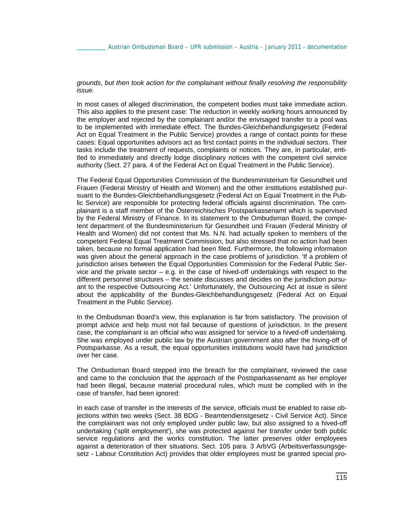*grounds, but then took action for the complainant without finally resolving the responsibility issue.* 

In most cases of alleged discrimination, the competent bodies must take immediate action. This also applies to the present case: The reduction in weekly working hours announced by the employer and rejected by the complainant and/or the envisaged transfer to a pool was to be implemented with immediate effect. The Bundes-Gleichbehandlungsgesetz (Federal Act on Equal Treatment in the Public Service) provides a range of contact points for these cases: Equal opportunities advisors act as first contact points in the individual sectors. Their tasks include the treatment of requests, complaints or notices. They are, in particular, entitled to immediately and directly lodge disciplinary notices with the competent civil service authority (Sect. 27 para. 4 of the Federal Act on Equal Treatment in the Public Service).

The Federal Equal Opportunities Commission of the Bundesministerium für Gesundheit und Frauen (Federal Ministry of Health and Women) and the other institutions established pursuant to the Bundes-Gleichbehandlungsgesetz (Federal Act on Equal Treatment in the Public Service) are responsible for protecting federal officials against discrimination. The complainant is a staff member of the Österreichisches Postsparkassenamt which is supervised by the Federal Ministry of Finance. In its statement to the Ombudsman Board, the competent department of the Bundesministerium für Gesundheit und Frauen (Federal Ministry of Health and Women) did not contest that Ms. N.N. had actually spoken to members of the competent Federal Equal Treatment Commission, but also stressed that no action had been taken, because no formal application had been filed. Furthermore, the following information was given about the general approach in the case problems of jurisdiction. 'If a problem of jurisdiction arises between the Equal Opportunities Commission for the Federal Public Service and the private sector  $-$  e.g. in the case of hived-off undertakings with respect to the different personnel structures – the senate discusses and decides on the jurisdiction pursuant to the respective Outsourcing Act.' Unfortunately, the Outsourcing Act at issue is silent about the applicability of the Bundes-Gleichbehandlungsgesetz (Federal Act on Equal Treatment in the Public Service).

In the Ombudsman Board's view, this explanation is far from satisfactory. The provision of prompt advice and help must not fail because of questions of jurisdiction. In the present case, the complainant is an official who was assigned for service to a hived-off undertaking. She was employed under public law by the Austrian government also after the hiving-off of Postsparkasse. As a result, the equal opportunities institutions would have had jurisdiction over her case.

The Ombudsman Board stepped into the breach for the complainant, reviewed the case and came to the conclusion that the approach of the Postsparkassenamt as her employer had been illegal, because material procedural rules, which must be complied with in the case of transfer, had been ignored:

In each case of transfer in the interests of the service, officials must be enabled to raise objections within two weeks (Sect. 38 BDG - Beamtendienstgesetz - Civil Service Act). Since the complainant was not only employed under public law, but also assigned to a hived-off undertaking ('split employment'), she was protected against her transfer under both public service regulations and the works constitution. The latter preserves older employees against a deterioration of their situations. Sect. 105 para. 3 ArbVG (Arbeitsverfassungsgesetz - Labour Constitution Act) provides that older employees must be granted special pro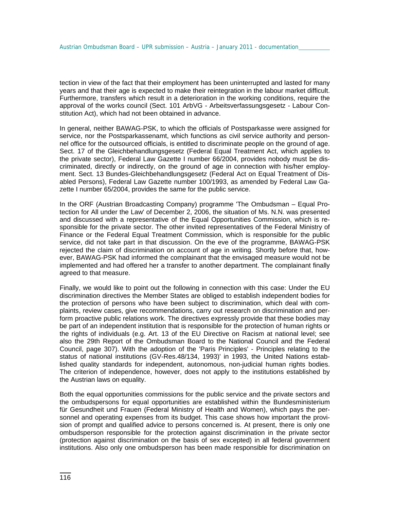tection in view of the fact that their employment has been uninterrupted and lasted for many years and that their age is expected to make their reintegration in the labour market difficult. Furthermore, transfers which result in a deterioration in the working conditions, require the approval of the works council (Sect. 101 ArbVG - Arbeitsverfassungsgesetz - Labour Constitution Act), which had not been obtained in advance.

In general, neither BAWAG-PSK, to which the officials of Postsparkasse were assigned for service, nor the Postsparkassenamt, which functions as civil service authority and personnel office for the outsourced officials, is entitled to discriminate people on the ground of age. Sect. 17 of the Gleichbehandlungsgesetz (Federal Equal Treatment Act, which applies to the private sector), Federal Law Gazette I number 66/2004, provides nobody must be discriminated, directly or indirectly, on the ground of age in connection with his/her employment. Sect. 13 Bundes-Gleichbehandlungsgesetz (Federal Act on Equal Treatment of Disabled Persons), Federal Law Gazette number 100/1993, as amended by Federal Law Gazette I number 65/2004, provides the same for the public service.

In the ORF (Austrian Broadcasting Company) programme 'The Ombudsman – Equal Protection for All under the Law' of December 2, 2006, the situation of Ms. N.N. was presented and discussed with a representative of the Equal Opportunities Commission, which is responsible for the private sector. The other invited representatives of the Federal Ministry of Finance or the Federal Equal Treatment Commission, which is responsible for the public service, did not take part in that discussion. On the eve of the programme, BAWAG-PSK rejected the claim of discrimination on account of age in writing. Shortly before that, however, BAWAG-PSK had informed the complainant that the envisaged measure would not be implemented and had offered her a transfer to another department. The complainant finally agreed to that measure.

Finally, we would like to point out the following in connection with this case: Under the EU discrimination directives the Member States are obliged to establish independent bodies for the protection of persons who have been subject to discrimination, which deal with complaints, review cases, give recommendations, carry out research on discrimination and perform proactive public relations work. The directives expressly provide that these bodies may be part of an independent institution that is responsible for the protection of human rights or the rights of individuals (e.g. Art. 13 of the EU Directive on Racism at national level; see also the 29th Report of the Ombudsman Board to the National Council and the Federal Council, page 307). With the adoption of the 'Paris Principles' - Principles relating to the status of national institutions (GV-Res.48/134, 1993)' in 1993, the United Nations established quality standards for independent, autonomous, non-judicial human rights bodies. The criterion of independence, however, does not apply to the institutions established by the Austrian laws on equality.

Both the equal opportunities commissions for the public service and the private sectors and the ombudspersons for equal opportunities are established within the Bundesministerium für Gesundheit und Frauen (Federal Ministry of Health and Women), which pays the personnel and operating expenses from its budget. This case shows how important the provision of prompt and qualified advice to persons concerned is. At present, there is only one ombudsperson responsible for the protection against discrimination in the private sector (protection against discrimination on the basis of sex excepted) in all federal government institutions. Also only one ombudsperson has been made responsible for discrimination on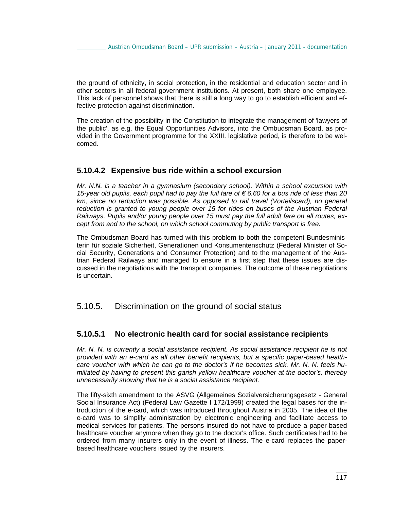the ground of ethnicity, in social protection, in the residential and education sector and in other sectors in all federal government institutions. At present, both share one employee. This lack of personnel shows that there is still a long way to go to establish efficient and effective protection against discrimination.

The creation of the possibility in the Constitution to integrate the management of 'lawyers of the public', as e.g. the Equal Opportunities Advisors, into the Ombudsman Board, as provided in the Government programme for the XXIII. legislative period, is therefore to be welcomed.

#### **5.10.4.2 Expensive bus ride within a school excursion**

*Mr. N.N. is a teacher in a gymnasium (secondary school). Within a school excursion with 15-year old pupils, each pupil had to pay the full fare of € 6.60 for a bus ride of less than 20 km, since no reduction was possible. As opposed to rail travel (Vorteilscard), no general reduction is granted to young people over 15 for rides on buses of the Austrian Federal Railways. Pupils and/or young people over 15 must pay the full adult fare on all routes, except from and to the school, on which school commuting by public transport is free.* 

The Ombudsman Board has turned with this problem to both the competent Bundesministerin für soziale Sicherheit, Generationen und Konsumentenschutz (Federal Minister of Social Security, Generations and Consumer Protection) and to the management of the Austrian Federal Railways and managed to ensure in a first step that these issues are discussed in the negotiations with the transport companies. The outcome of these negotiations is uncertain.

5.10.5. Discrimination on the ground of social status

# **5.10.5.1 No electronic health card for social assistance recipients**

*Mr. N. N. is currently a social assistance recipient. As social assistance recipient he is not provided with an e-card as all other benefit recipients, but a specific paper-based healthcare voucher with which he can go to the doctor's if he becomes sick. Mr. N. N. feels humiliated by having to present this garish yellow healthcare voucher at the doctor's, thereby unnecessarily showing that he is a social assistance recipient.* 

The fifty-sixth amendment to the ASVG (Allgemeines Sozialversicherungsgesetz - General Social Insurance Act) (Federal Law Gazette I 172/1999) created the legal bases for the introduction of the e-card, which was introduced throughout Austria in 2005. The idea of the e-card was to simplify administration by electronic engineering and facilitate access to medical services for patients. The persons insured do not have to produce a paper-based healthcare voucher anymore when they go to the doctor's office. Such certificates had to be ordered from many insurers only in the event of illness. The e-card replaces the paperbased healthcare vouchers issued by the insurers.